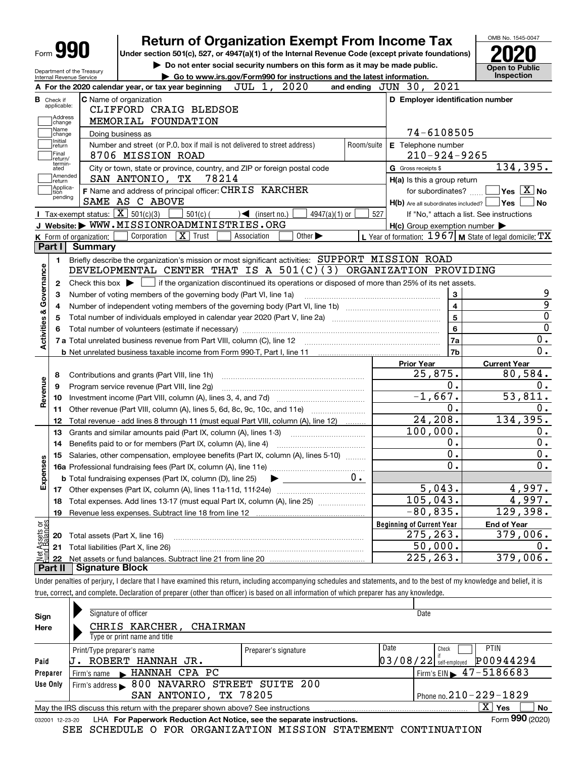|                                                                                        |                         |                                                                   | <b>Return of Organization Exempt From Income Tax</b>                                                                                                                              |                                   |                             |                 |            |                                                             |                         | OMB No. 1545-0047                                                                                                                                                                                                |
|----------------------------------------------------------------------------------------|-------------------------|-------------------------------------------------------------------|-----------------------------------------------------------------------------------------------------------------------------------------------------------------------------------|-----------------------------------|-----------------------------|-----------------|------------|-------------------------------------------------------------|-------------------------|------------------------------------------------------------------------------------------------------------------------------------------------------------------------------------------------------------------|
| Form <b>990</b>                                                                        |                         |                                                                   | Under section 501(c), 527, or 4947(a)(1) of the Internal Revenue Code (except private foundations)<br>Do not enter social security numbers on this form as it may be made public. |                                   |                             |                 |            |                                                             |                         | <b>Open to Public</b>                                                                                                                                                                                            |
| Department of the Treasury<br>Internal Revenue Service                                 |                         |                                                                   | Go to www.irs.gov/Form990 for instructions and the latest information.                                                                                                            |                                   |                             |                 |            |                                                             |                         | Inspection                                                                                                                                                                                                       |
|                                                                                        |                         |                                                                   | A For the 2020 calendar year, or tax year beginning $JUL$ 1, $2020$                                                                                                               |                                   |                             |                 |            | and ending JUN 30, 2021                                     |                         |                                                                                                                                                                                                                  |
| <b>B</b> Check if                                                                      |                         | <b>C</b> Name of organization                                     |                                                                                                                                                                                   |                                   |                             |                 |            | D Employer identification number                            |                         |                                                                                                                                                                                                                  |
| applicable:                                                                            |                         |                                                                   | CLIFFORD CRAIG BLEDSOE                                                                                                                                                            |                                   |                             |                 |            |                                                             |                         |                                                                                                                                                                                                                  |
| Address<br>change                                                                      |                         | MEMORIAL FOUNDATION                                               |                                                                                                                                                                                   |                                   |                             |                 |            |                                                             |                         |                                                                                                                                                                                                                  |
| Name<br>change                                                                         |                         | Doing business as                                                 |                                                                                                                                                                                   |                                   |                             |                 |            | 74-6108505                                                  |                         |                                                                                                                                                                                                                  |
| Initial<br>return<br> Final<br>Ireturn/                                                |                         | 8706 MISSION ROAD                                                 | Number and street (or P.O. box if mail is not delivered to street address)                                                                                                        |                                   |                             |                 | Room/suite | E Telephone number<br>$210 - 924 - 9265$                    |                         |                                                                                                                                                                                                                  |
| termin-<br>ated                                                                        |                         |                                                                   | City or town, state or province, country, and ZIP or foreign postal code                                                                                                          |                                   |                             |                 |            | G Gross receipts \$                                         |                         | 134,395.                                                                                                                                                                                                         |
| Amended<br>∣return                                                                     |                         | SAN ANTONIO, TX                                                   | 78214                                                                                                                                                                             |                                   |                             |                 |            | H(a) Is this a group return                                 |                         |                                                                                                                                                                                                                  |
| Applica-<br>tion                                                                       |                         |                                                                   | F Name and address of principal officer: CHRIS KARCHER                                                                                                                            |                                   |                             |                 |            | for subordinates?                                           |                         | $\sqrt{}$ Yes $\sqrt{}$ X $\sqrt{}$ No                                                                                                                                                                           |
| pending                                                                                |                         | SAME AS C ABOVE                                                   |                                                                                                                                                                                   |                                   |                             |                 |            | $H(b)$ Are all subordinates included? $\Box$ Yes            |                         | No                                                                                                                                                                                                               |
|                                                                                        |                         | Tax-exempt status: $\boxed{\mathbf{X}}$ 501(c)(3)                 | $501(c)$ (                                                                                                                                                                        | $\sqrt{\frac{1}{1}}$ (insert no.) |                             | $4947(a)(1)$ or | 527        |                                                             |                         | If "No," attach a list. See instructions                                                                                                                                                                         |
|                                                                                        |                         |                                                                   | J Website: WWW.MISSIONROADMINISTRIES.ORG                                                                                                                                          |                                   |                             |                 |            | $H(c)$ Group exemption number $\blacktriangleright$         |                         |                                                                                                                                                                                                                  |
|                                                                                        | K Form of organization: | Corporation                                                       | $\boxed{\mathbf{X}}$ Trust                                                                                                                                                        | Association                       | Other $\blacktriangleright$ |                 |            | L Year of formation: $1967$ M State of legal domicile: $TX$ |                         |                                                                                                                                                                                                                  |
| Part I                                                                                 | <b>Summary</b>          |                                                                   |                                                                                                                                                                                   |                                   |                             |                 |            |                                                             |                         |                                                                                                                                                                                                                  |
| 1.                                                                                     |                         |                                                                   | Briefly describe the organization's mission or most significant activities: SUPPORT MISSION ROAD                                                                                  |                                   |                             |                 |            |                                                             |                         |                                                                                                                                                                                                                  |
| 2<br>з                                                                                 |                         | Number of voting members of the governing body (Part VI, line 1a) | Check this box $\triangleright$ $\blacksquare$ if the organization discontinued its operations or disposed of more than 25% of its net assets.                                    |                                   |                             |                 |            |                                                             | 3                       |                                                                                                                                                                                                                  |
|                                                                                        |                         |                                                                   |                                                                                                                                                                                   |                                   |                             |                 |            |                                                             |                         |                                                                                                                                                                                                                  |
| 4                                                                                      |                         |                                                                   |                                                                                                                                                                                   |                                   |                             |                 |            |                                                             | $\overline{\mathbf{4}}$ |                                                                                                                                                                                                                  |
| 5                                                                                      |                         |                                                                   |                                                                                                                                                                                   |                                   |                             |                 |            |                                                             | 5                       |                                                                                                                                                                                                                  |
|                                                                                        |                         |                                                                   |                                                                                                                                                                                   |                                   |                             |                 |            |                                                             | 6                       |                                                                                                                                                                                                                  |
|                                                                                        |                         |                                                                   |                                                                                                                                                                                   |                                   |                             |                 |            |                                                             | 7a                      |                                                                                                                                                                                                                  |
|                                                                                        |                         |                                                                   |                                                                                                                                                                                   |                                   |                             |                 |            |                                                             | 7 <sub>b</sub>          |                                                                                                                                                                                                                  |
|                                                                                        |                         |                                                                   |                                                                                                                                                                                   |                                   |                             |                 |            | <b>Prior Year</b>                                           |                         | <b>Current Year</b>                                                                                                                                                                                              |
| 8                                                                                      |                         | Contributions and grants (Part VIII, line 1h)                     |                                                                                                                                                                                   |                                   |                             |                 |            | 25,875.                                                     |                         |                                                                                                                                                                                                                  |
| 9                                                                                      |                         | Program service revenue (Part VIII, line 2g)                      |                                                                                                                                                                                   |                                   |                             |                 |            |                                                             | 0.                      |                                                                                                                                                                                                                  |
| 10                                                                                     |                         |                                                                   |                                                                                                                                                                                   |                                   |                             |                 |            |                                                             | $-1,667.$               |                                                                                                                                                                                                                  |
| 11                                                                                     |                         |                                                                   | Other revenue (Part VIII, column (A), lines 5, 6d, 8c, 9c, 10c, and 11e)                                                                                                          |                                   |                             |                 |            |                                                             | 0.                      |                                                                                                                                                                                                                  |
| 12                                                                                     |                         |                                                                   | Total revenue - add lines 8 through 11 (must equal Part VIII, column (A), line 12)                                                                                                |                                   |                             |                 |            |                                                             | 24, 208.                |                                                                                                                                                                                                                  |
| 13                                                                                     |                         |                                                                   | Grants and similar amounts paid (Part IX, column (A), lines 1-3)                                                                                                                  |                                   |                             |                 |            | 100,000.                                                    |                         |                                                                                                                                                                                                                  |
| 14                                                                                     |                         |                                                                   | Benefits paid to or for members (Part IX, column (A), line 4)                                                                                                                     |                                   |                             |                 |            |                                                             | $0$ .                   |                                                                                                                                                                                                                  |
|                                                                                        |                         |                                                                   | 15 Salaries, other compensation, employee benefits (Part IX, column (A), lines 5-10)                                                                                              |                                   |                             |                 |            |                                                             | 0.                      |                                                                                                                                                                                                                  |
|                                                                                        |                         |                                                                   |                                                                                                                                                                                   |                                   |                             |                 |            |                                                             | 0.                      |                                                                                                                                                                                                                  |
| w                                                                                      |                         |                                                                   | <b>b</b> Total fundraising expenses (Part IX, column (D), line 25)                                                                                                                |                                   |                             |                 | υ.         |                                                             |                         |                                                                                                                                                                                                                  |
| 17                                                                                     |                         |                                                                   |                                                                                                                                                                                   |                                   |                             |                 |            |                                                             | 5,043.                  |                                                                                                                                                                                                                  |
| 18                                                                                     |                         |                                                                   | Total expenses. Add lines 13-17 (must equal Part IX, column (A), line 25)                                                                                                         |                                   |                             |                 |            | 105,043.                                                    |                         |                                                                                                                                                                                                                  |
| 19                                                                                     |                         |                                                                   | Revenue less expenses. Subtract line 18 from line 12                                                                                                                              |                                   |                             |                 |            | $-80, 835.$                                                 |                         |                                                                                                                                                                                                                  |
|                                                                                        |                         |                                                                   |                                                                                                                                                                                   |                                   |                             |                 |            | <b>Beginning of Current Year</b>                            |                         | <b>End of Year</b>                                                                                                                                                                                               |
| 20                                                                                     |                         | Total assets (Part X, line 16)                                    |                                                                                                                                                                                   |                                   |                             |                 |            | 275,263.                                                    |                         |                                                                                                                                                                                                                  |
| Activities & Governance<br>Revenue<br>Expense<br>t Assets or<br>d Balances<br>21<br>22 |                         | Total liabilities (Part X, line 26)                               |                                                                                                                                                                                   |                                   |                             |                 |            | 225, 263.                                                   | 50,000.                 | $\overline{9}$<br>$\overline{0}$<br>$\overline{0}$<br>0.<br>$\overline{0}$ .<br>80,584.<br>0.<br>53,811.<br>0.<br>134,395.<br>0.<br>0.<br>0.<br>0.<br>4,997.<br>4,997.<br>129,398.<br>379,006.<br>0.<br>379,006. |

| Sign            | Signature of officer                                                                                         |                                       | Date                                   |  |  |  |  |  |
|-----------------|--------------------------------------------------------------------------------------------------------------|---------------------------------------|----------------------------------------|--|--|--|--|--|
| Here            | CHRIS KARCHER,<br>CHAIRMAN<br>Type or print name and title                                                   |                                       |                                        |  |  |  |  |  |
|                 | Print/Type preparer's name                                                                                   | Preparer's signature                  | Date<br><b>PTIN</b><br>Check           |  |  |  |  |  |
| Paid            | ROBERT HANNAH JR.                                                                                            | P00944294<br>$03/08/22$ self-employed |                                        |  |  |  |  |  |
| Preparer        | Firm's name MANNAH CPA PC                                                                                    |                                       | Firm's EIN $\triangleright$ 47-5186683 |  |  |  |  |  |
| Use Only        | Firm's address > 800 NAVARRO STREET SUITE 200                                                                |                                       |                                        |  |  |  |  |  |
|                 | SAN ANTONIO, TX 78205                                                                                        | Phone no. $210 - 229 - 1829$          |                                        |  |  |  |  |  |
|                 | $\mathbf{x}$<br>Yes<br>No<br>May the IRS discuss this return with the preparer shown above? See instructions |                                       |                                        |  |  |  |  |  |
| 032001 12-23-20 | LHA For Paperwork Reduction Act Notice, see the separate instructions.                                       |                                       | Form 990 (2020)                        |  |  |  |  |  |

SEE SCHEDULE O FOR ORGANIZATION MISSION STATEMENT CONTINUATION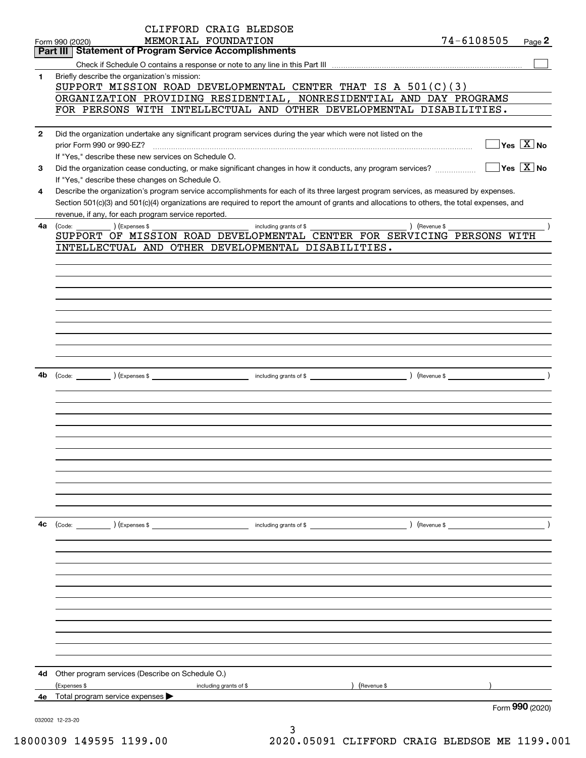|              | CLIFFORD CRAIG BLEDSOE                                                                                                                                               |               |                                                 |
|--------------|----------------------------------------------------------------------------------------------------------------------------------------------------------------------|---------------|-------------------------------------------------|
|              | MEMORIAL FOUNDATION<br>Form 990 (2020)                                                                                                                               | 74-6108505    | Page 2                                          |
|              | <b>Part III   Statement of Program Service Accomplishments</b>                                                                                                       |               |                                                 |
|              |                                                                                                                                                                      |               |                                                 |
| 1.           | Briefly describe the organization's mission:                                                                                                                         |               |                                                 |
|              | SUPPORT MISSION ROAD DEVELOPMENTAL CENTER THAT IS A $501(C)(3)$                                                                                                      |               |                                                 |
|              | ORGANIZATION PROVIDING RESIDENTIAL, NONRESIDENTIAL AND DAY PROGRAMS                                                                                                  |               |                                                 |
|              | FOR PERSONS WITH INTELLECTUAL AND OTHER DEVELOPMENTAL DISABILITIES.                                                                                                  |               |                                                 |
|              |                                                                                                                                                                      |               |                                                 |
| $\mathbf{2}$ | Did the organization undertake any significant program services during the year which were not listed on the                                                         |               | $\boxed{\phantom{1}}$ Yes $\boxed{\text{X}}$ No |
|              | prior Form 990 or 990-EZ?                                                                                                                                            |               |                                                 |
|              | If "Yes," describe these new services on Schedule O.<br>Did the organization cease conducting, or make significant changes in how it conducts, any program services? |               | $\boxed{\phantom{1}}$ Yes $\boxed{\text{X}}$ No |
| 3            | If "Yes," describe these changes on Schedule O.                                                                                                                      |               |                                                 |
| 4            | Describe the organization's program service accomplishments for each of its three largest program services, as measured by expenses.                                 |               |                                                 |
|              | Section 501(c)(3) and 501(c)(4) organizations are required to report the amount of grants and allocations to others, the total expenses, and                         |               |                                                 |
|              | revenue, if any, for each program service reported.                                                                                                                  |               |                                                 |
| 4a l         | $(Ex)$ (Expenses \$<br>) (Revenue \$<br>(Code:<br>including grants of \$                                                                                             |               |                                                 |
|              | SUPPORT OF MISSION ROAD DEVELOPMENTAL CENTER FOR SERVICING PERSONS WITH                                                                                              |               |                                                 |
|              | INTELLECTUAL AND OTHER DEVELOPMENTAL DISABILITIES.                                                                                                                   |               |                                                 |
|              |                                                                                                                                                                      |               |                                                 |
|              |                                                                                                                                                                      |               |                                                 |
|              |                                                                                                                                                                      |               |                                                 |
|              |                                                                                                                                                                      |               |                                                 |
|              |                                                                                                                                                                      |               |                                                 |
|              |                                                                                                                                                                      |               |                                                 |
|              |                                                                                                                                                                      |               |                                                 |
|              |                                                                                                                                                                      |               |                                                 |
|              |                                                                                                                                                                      |               |                                                 |
|              |                                                                                                                                                                      |               |                                                 |
| 4b           |                                                                                                                                                                      |               |                                                 |
|              |                                                                                                                                                                      |               |                                                 |
|              |                                                                                                                                                                      |               |                                                 |
|              |                                                                                                                                                                      |               |                                                 |
|              |                                                                                                                                                                      |               |                                                 |
|              |                                                                                                                                                                      |               |                                                 |
|              |                                                                                                                                                                      |               |                                                 |
|              |                                                                                                                                                                      |               |                                                 |
|              |                                                                                                                                                                      |               |                                                 |
|              |                                                                                                                                                                      |               |                                                 |
|              |                                                                                                                                                                      |               |                                                 |
|              |                                                                                                                                                                      |               |                                                 |
|              |                                                                                                                                                                      |               |                                                 |
| 4c           | (Code: ) (Expenses \$<br>including grants of \$                                                                                                                      | ) (Revenue \$ |                                                 |
|              |                                                                                                                                                                      |               |                                                 |
|              |                                                                                                                                                                      |               |                                                 |
|              |                                                                                                                                                                      |               |                                                 |
|              |                                                                                                                                                                      |               |                                                 |
|              |                                                                                                                                                                      |               |                                                 |
|              |                                                                                                                                                                      |               |                                                 |
|              |                                                                                                                                                                      |               |                                                 |
|              |                                                                                                                                                                      |               |                                                 |
|              |                                                                                                                                                                      |               |                                                 |
|              |                                                                                                                                                                      |               |                                                 |
|              |                                                                                                                                                                      |               |                                                 |
| 4d           | Other program services (Describe on Schedule O.)                                                                                                                     |               |                                                 |
|              | (Expenses \$<br>(Revenue \$<br>including grants of \$                                                                                                                |               |                                                 |
| 4е           | Total program service expenses                                                                                                                                       |               |                                                 |
|              |                                                                                                                                                                      |               | Form 990 (2020)                                 |
|              | 032002 12-23-20                                                                                                                                                      |               |                                                 |
|              | ٦                                                                                                                                                                    |               |                                                 |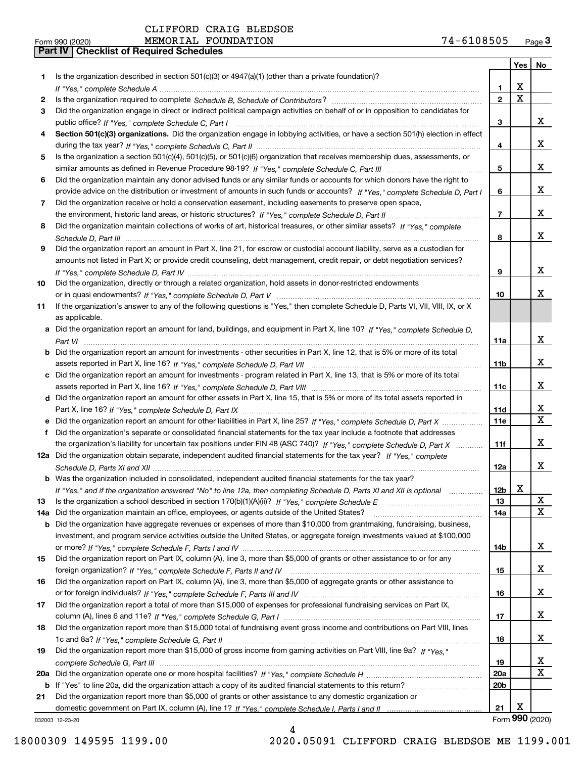|     |                                                                                                                                                     |                 | Yes | No              |
|-----|-----------------------------------------------------------------------------------------------------------------------------------------------------|-----------------|-----|-----------------|
| 1.  | Is the organization described in section $501(c)(3)$ or $4947(a)(1)$ (other than a private foundation)?                                             |                 |     |                 |
|     |                                                                                                                                                     | 1               | х   |                 |
| 2   |                                                                                                                                                     | $\mathbf{2}$    | X   |                 |
| 3   | Did the organization engage in direct or indirect political campaign activities on behalf of or in opposition to candidates for                     |                 |     |                 |
|     |                                                                                                                                                     | 3               |     | x               |
| 4   | Section 501(c)(3) organizations. Did the organization engage in lobbying activities, or have a section 501(h) election in effect                    |                 |     |                 |
|     |                                                                                                                                                     | 4               |     | x               |
| 5   | Is the organization a section 501(c)(4), 501(c)(5), or 501(c)(6) organization that receives membership dues, assessments, or                        |                 |     |                 |
|     |                                                                                                                                                     | 5               |     | x               |
| 6   | Did the organization maintain any donor advised funds or any similar funds or accounts for which donors have the right to                           |                 |     |                 |
|     | provide advice on the distribution or investment of amounts in such funds or accounts? If "Yes," complete Schedule D, Part I                        | 6               |     | x               |
| 7.  | Did the organization receive or hold a conservation easement, including easements to preserve open space,                                           |                 |     |                 |
|     |                                                                                                                                                     | 7               |     | x               |
| 8   | Did the organization maintain collections of works of art, historical treasures, or other similar assets? If "Yes," complete                        |                 |     | x               |
|     |                                                                                                                                                     | 8               |     |                 |
| 9   | Did the organization report an amount in Part X, line 21, for escrow or custodial account liability, serve as a custodian for                       |                 |     |                 |
|     | amounts not listed in Part X; or provide credit counseling, debt management, credit repair, or debt negotiation services?                           |                 |     | x               |
|     |                                                                                                                                                     | 9               |     |                 |
| 10  | Did the organization, directly or through a related organization, hold assets in donor-restricted endowments                                        |                 |     | x               |
|     |                                                                                                                                                     | 10              |     |                 |
| 11  | If the organization's answer to any of the following questions is "Yes," then complete Schedule D, Parts VI, VIII, VIII, IX, or X<br>as applicable. |                 |     |                 |
|     | a Did the organization report an amount for land, buildings, and equipment in Part X, line 10? If "Yes," complete Schedule D,                       |                 |     |                 |
|     |                                                                                                                                                     | 11a             |     | x               |
|     | <b>b</b> Did the organization report an amount for investments - other securities in Part X, line 12, that is 5% or more of its total               |                 |     |                 |
|     |                                                                                                                                                     | 11 <sub>b</sub> |     | x               |
|     | c Did the organization report an amount for investments - program related in Part X, line 13, that is 5% or more of its total                       |                 |     |                 |
|     |                                                                                                                                                     | 11c             |     | x               |
|     | d Did the organization report an amount for other assets in Part X, line 15, that is 5% or more of its total assets reported in                     |                 |     |                 |
|     |                                                                                                                                                     | 11d             |     | x               |
|     | Did the organization report an amount for other liabilities in Part X, line 25? If "Yes," complete Schedule D, Part X                               | <b>11e</b>      |     | $\mathbf X$     |
| f   | Did the organization's separate or consolidated financial statements for the tax year include a footnote that addresses                             |                 |     |                 |
|     | the organization's liability for uncertain tax positions under FIN 48 (ASC 740)? If "Yes," complete Schedule D, Part X                              | 11f             |     | x               |
|     | 12a Did the organization obtain separate, independent audited financial statements for the tax year? If "Yes," complete                             |                 |     |                 |
|     |                                                                                                                                                     | 12a             |     | x               |
|     | <b>b</b> Was the organization included in consolidated, independent audited financial statements for the tax year?                                  |                 |     |                 |
|     | If "Yes," and if the organization answered "No" to line 12a, then completing Schedule D, Parts XI and XII is optional                               | 12b             | х   |                 |
| 13  | Is the organization a school described in section $170(b)(1)(A)(ii)?$ If "Yes," complete Schedule E                                                 | 13              |     | X               |
| 14a | Did the organization maintain an office, employees, or agents outside of the United States?                                                         | 14a             |     | x               |
|     | b Did the organization have aggregate revenues or expenses of more than \$10,000 from grantmaking, fundraising, business,                           |                 |     |                 |
|     | investment, and program service activities outside the United States, or aggregate foreign investments valued at \$100,000                          |                 |     |                 |
|     |                                                                                                                                                     | 14b             |     | x               |
| 15  | Did the organization report on Part IX, column (A), line 3, more than \$5,000 of grants or other assistance to or for any                           |                 |     |                 |
|     |                                                                                                                                                     | 15              |     | x               |
| 16  | Did the organization report on Part IX, column (A), line 3, more than \$5,000 of aggregate grants or other assistance to                            |                 |     |                 |
|     |                                                                                                                                                     | 16              |     | x               |
| 17  | Did the organization report a total of more than \$15,000 of expenses for professional fundraising services on Part IX,                             |                 |     |                 |
|     |                                                                                                                                                     | 17              |     | x               |
| 18  | Did the organization report more than \$15,000 total of fundraising event gross income and contributions on Part VIII, lines                        |                 |     |                 |
|     |                                                                                                                                                     | 18              |     | x               |
| 19  | Did the organization report more than \$15,000 of gross income from gaming activities on Part VIII, line 9a? If "Yes."                              |                 |     |                 |
|     |                                                                                                                                                     | 19              |     | X               |
| 20a |                                                                                                                                                     | 20a             |     | X               |
|     | b If "Yes" to line 20a, did the organization attach a copy of its audited financial statements to this return?                                      | 20b             |     |                 |
| 21  | Did the organization report more than \$5,000 of grants or other assistance to any domestic organization or                                         |                 |     |                 |
|     |                                                                                                                                                     | 21              | х   |                 |
|     | 032003 12-23-20                                                                                                                                     |                 |     | Form 990 (2020) |

032003 12-23-20

18000309 149595 1199.00 2020.05091 CLIFFORD CRAIG BLEDSOE ME 1199.001

4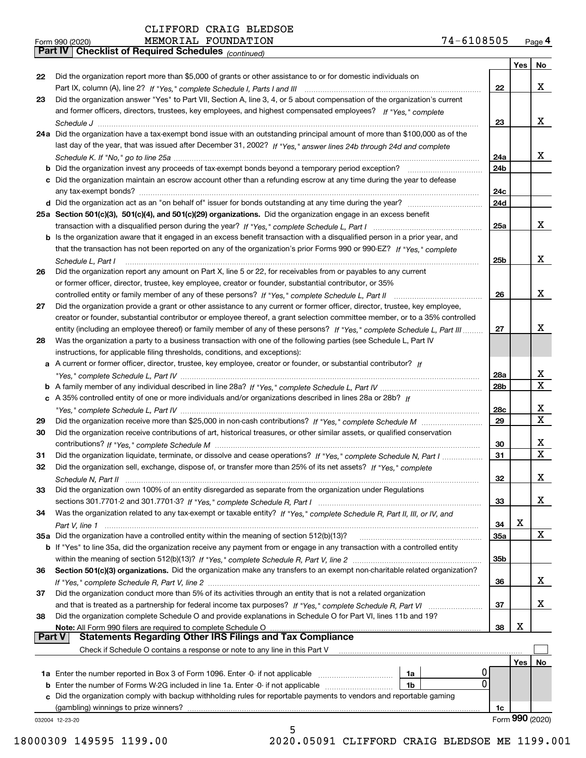*(continued)*

|               |                                                                                                                                    |                 | Yes | No              |
|---------------|------------------------------------------------------------------------------------------------------------------------------------|-----------------|-----|-----------------|
| 22            | Did the organization report more than \$5,000 of grants or other assistance to or for domestic individuals on                      |                 |     |                 |
|               |                                                                                                                                    | 22              |     | x               |
| 23            | Did the organization answer "Yes" to Part VII, Section A, line 3, 4, or 5 about compensation of the organization's current         |                 |     |                 |
|               | and former officers, directors, trustees, key employees, and highest compensated employees? If "Yes," complete                     |                 |     |                 |
|               |                                                                                                                                    | 23              |     | x               |
|               | 24a Did the organization have a tax-exempt bond issue with an outstanding principal amount of more than \$100,000 as of the        |                 |     |                 |
|               | last day of the year, that was issued after December 31, 2002? If "Yes," answer lines 24b through 24d and complete                 |                 |     |                 |
|               |                                                                                                                                    | 24a             |     | X.              |
|               | <b>b</b> Did the organization invest any proceeds of tax-exempt bonds beyond a temporary period exception?                         | 24b             |     |                 |
|               | c Did the organization maintain an escrow account other than a refunding escrow at any time during the year to defease             |                 |     |                 |
|               | any tax-exempt bonds?                                                                                                              | 24c             |     |                 |
|               |                                                                                                                                    | 24d             |     |                 |
|               | 25a Section 501(c)(3), 501(c)(4), and 501(c)(29) organizations. Did the organization engage in an excess benefit                   |                 |     |                 |
|               |                                                                                                                                    | 25a             |     | x               |
|               | b Is the organization aware that it engaged in an excess benefit transaction with a disqualified person in a prior year, and       |                 |     |                 |
|               | that the transaction has not been reported on any of the organization's prior Forms 990 or 990-EZ? If "Yes." complete              |                 |     |                 |
|               | Schedule L, Part I                                                                                                                 | 25b             |     | x               |
| 26            | Did the organization report any amount on Part X, line 5 or 22, for receivables from or payables to any current                    |                 |     |                 |
|               | or former officer, director, trustee, key employee, creator or founder, substantial contributor, or 35%                            |                 |     |                 |
|               |                                                                                                                                    | 26              |     | x               |
| 27            | Did the organization provide a grant or other assistance to any current or former officer, director, trustee, key employee,        |                 |     |                 |
|               | creator or founder, substantial contributor or employee thereof, a grant selection committee member, or to a 35% controlled        |                 |     |                 |
|               | entity (including an employee thereof) or family member of any of these persons? If "Yes," complete Schedule L, Part III           | 27              |     | x               |
| 28            | Was the organization a party to a business transaction with one of the following parties (see Schedule L, Part IV                  |                 |     |                 |
|               |                                                                                                                                    |                 |     |                 |
|               | instructions, for applicable filing thresholds, conditions, and exceptions):                                                       |                 |     |                 |
|               | a A current or former officer, director, trustee, key employee, creator or founder, or substantial contributor? If                 |                 |     | x               |
|               |                                                                                                                                    | 28a             |     | X               |
|               |                                                                                                                                    | 28 <sub>b</sub> |     |                 |
|               | c A 35% controlled entity of one or more individuals and/or organizations described in lines 28a or 28b? If                        |                 |     |                 |
|               |                                                                                                                                    | 28c             |     | x<br>X          |
| 29            |                                                                                                                                    | 29              |     |                 |
| 30            | Did the organization receive contributions of art, historical treasures, or other similar assets, or qualified conservation        |                 |     |                 |
|               |                                                                                                                                    | 30              |     | x               |
| 31            | Did the organization liquidate, terminate, or dissolve and cease operations? If "Yes," complete Schedule N, Part I                 | 31              |     | X               |
| 32            | Did the organization sell, exchange, dispose of, or transfer more than 25% of its net assets? If "Yes," complete                   |                 |     |                 |
|               |                                                                                                                                    | 32              |     | x               |
| 33            | Did the organization own 100% of an entity disregarded as separate from the organization under Regulations                         |                 |     |                 |
|               |                                                                                                                                    | 33              |     | X               |
| 34            | Was the organization related to any tax-exempt or taxable entity? If "Yes," complete Schedule R, Part II, III, or IV, and          |                 |     |                 |
|               | Part V, line 1                                                                                                                     | 34              | X   |                 |
|               | 35a Did the organization have a controlled entity within the meaning of section 512(b)(13)?                                        | 35a             |     | X               |
|               | b If "Yes" to line 35a, did the organization receive any payment from or engage in any transaction with a controlled entity        |                 |     |                 |
|               |                                                                                                                                    | 35b             |     |                 |
| 36            | Section 501(c)(3) organizations. Did the organization make any transfers to an exempt non-charitable related organization?         |                 |     |                 |
|               |                                                                                                                                    | 36              |     | x               |
| 37            | Did the organization conduct more than 5% of its activities through an entity that is not a related organization                   |                 |     |                 |
|               | and that is treated as a partnership for federal income tax purposes? If "Yes," complete Schedule R, Part VI                       | 37              |     | x               |
| 38            | Did the organization complete Schedule O and provide explanations in Schedule O for Part VI, lines 11b and 19?                     |                 |     |                 |
|               | Note: All Form 990 filers are required to complete Schedule O                                                                      | 38              | X   |                 |
| <b>Part V</b> | <b>Statements Regarding Other IRS Filings and Tax Compliance</b>                                                                   |                 |     |                 |
|               | Check if Schedule O contains a response or note to any line in this Part V                                                         |                 |     |                 |
|               |                                                                                                                                    |                 | Yes | No              |
|               | 0<br>1a                                                                                                                            |                 |     |                 |
|               | $\mathbf{0}$<br><b>b</b> Enter the number of Forms W-2G included in line 1a. Enter -0- if not applicable <i>manumerances</i><br>1b |                 |     |                 |
|               | c Did the organization comply with backup withholding rules for reportable payments to vendors and reportable gaming               |                 |     |                 |
|               | (gambling) winnings to prize winners?                                                                                              | 1c              |     |                 |
|               | 032004 12-23-20                                                                                                                    |                 |     | Form 990 (2020) |
|               | 5                                                                                                                                  |                 |     |                 |

18000309 149595 1199.00 2020.05091 CLIFFORD CRAIG BLEDSOE ME 1199.001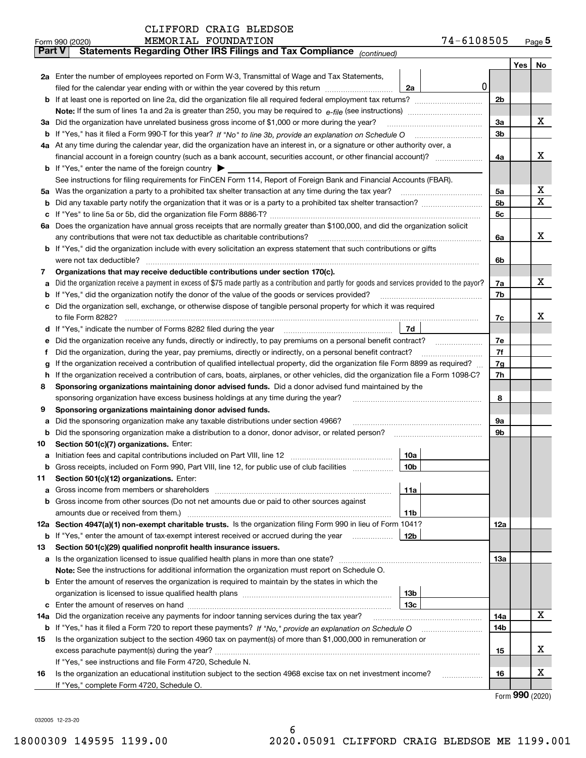| Part V | Statements Regarding Other IRS Fillings and Tax Compilance $_{(continued)}$                                                                                                                |                |     |         |
|--------|--------------------------------------------------------------------------------------------------------------------------------------------------------------------------------------------|----------------|-----|---------|
|        |                                                                                                                                                                                            |                | Yes | $N_{0}$ |
|        | 2a Enter the number of employees reported on Form W-3, Transmittal of Wage and Tax Statements,                                                                                             |                |     |         |
|        | 0<br>filed for the calendar year ending with or within the year covered by this return<br>2a                                                                                               |                |     |         |
|        |                                                                                                                                                                                            | 2 <sub>b</sub> |     |         |
|        |                                                                                                                                                                                            |                |     |         |
|        | 3a Did the organization have unrelated business gross income of \$1,000 or more during the year?                                                                                           | 3a             |     | х       |
|        |                                                                                                                                                                                            | 3b             |     |         |
|        | 4a At any time during the calendar year, did the organization have an interest in, or a signature or other authority over, a                                                               |                |     |         |
|        |                                                                                                                                                                                            | 4a             |     | x       |
|        | <b>b</b> If "Yes," enter the name of the foreign country                                                                                                                                   |                |     |         |
|        | See instructions for filing requirements for FinCEN Form 114, Report of Foreign Bank and Financial Accounts (FBAR).                                                                        |                |     |         |
|        | 5a Was the organization a party to a prohibited tax shelter transaction at any time during the tax year?                                                                                   | 5a             |     | х       |
|        |                                                                                                                                                                                            | 5b             |     | х       |
|        |                                                                                                                                                                                            | 5c             |     |         |
|        | 6a Does the organization have annual gross receipts that are normally greater than \$100,000, and did the organization solicit                                                             |                |     |         |
|        | any contributions that were not tax deductible as charitable contributions?                                                                                                                | 6a             |     | х       |
|        | <b>b</b> If "Yes," did the organization include with every solicitation an express statement that such contributions or gifts                                                              |                |     |         |
|        | were not tax deductible?                                                                                                                                                                   | 6b             |     |         |
| 7      | Organizations that may receive deductible contributions under section 170(c).                                                                                                              |                |     |         |
| a      | Did the organization receive a payment in excess of \$75 made partly as a contribution and partly for goods and services provided to the payor?                                            | 7a             |     | х       |
|        | <b>b</b> If "Yes," did the organization notify the donor of the value of the goods or services provided?                                                                                   | 7b             |     |         |
|        | c Did the organization sell, exchange, or otherwise dispose of tangible personal property for which it was required                                                                        |                |     |         |
|        | to file Form 8282?                                                                                                                                                                         | 7c             |     | х       |
|        | d If "Yes," indicate the number of Forms 8282 filed during the year<br>7d                                                                                                                  |                |     |         |
| е      | Did the organization receive any funds, directly or indirectly, to pay premiums on a personal benefit contract?                                                                            | 7е             |     |         |
| f      | Did the organization, during the year, pay premiums, directly or indirectly, on a personal benefit contract?                                                                               | 7f             |     |         |
| g      | If the organization received a contribution of qualified intellectual property, did the organization file Form 8899 as required?                                                           | 7g             |     |         |
| h.     | If the organization received a contribution of cars, boats, airplanes, or other vehicles, did the organization file a Form 1098-C?                                                         | 7h             |     |         |
| 8      | Sponsoring organizations maintaining donor advised funds. Did a donor advised fund maintained by the<br>sponsoring organization have excess business holdings at any time during the year? | 8              |     |         |
| 9      | Sponsoring organizations maintaining donor advised funds.                                                                                                                                  |                |     |         |
| а      | Did the sponsoring organization make any taxable distributions under section 4966?                                                                                                         | 9а             |     |         |
| b      | Did the sponsoring organization make a distribution to a donor, donor advisor, or related person?                                                                                          | 9b             |     |         |
| 10     | Section 501(c)(7) organizations. Enter:                                                                                                                                                    |                |     |         |
| а      | 10a                                                                                                                                                                                        |                |     |         |
|        | b Gross receipts, included on Form 990, Part VIII, line 12, for public use of club facilities<br>10b                                                                                       |                |     |         |
| 11.    | Section 501(c)(12) organizations. Enter:                                                                                                                                                   |                |     |         |
|        | 11a                                                                                                                                                                                        |                |     |         |
|        | <b>b</b> Gross income from other sources (Do not net amounts due or paid to other sources against                                                                                          |                |     |         |
|        | 11b                                                                                                                                                                                        |                |     |         |
|        | 12a Section 4947(a)(1) non-exempt charitable trusts. Is the organization filing Form 990 in lieu of Form 1041?                                                                             | 12a            |     |         |
|        | <b>b</b> If "Yes," enter the amount of tax-exempt interest received or accrued during the year<br>12b                                                                                      |                |     |         |
| 13     | Section 501(c)(29) qualified nonprofit health insurance issuers.                                                                                                                           |                |     |         |
|        | a Is the organization licensed to issue qualified health plans in more than one state?                                                                                                     | 13а            |     |         |
|        | Note: See the instructions for additional information the organization must report on Schedule O.                                                                                          |                |     |         |
|        | <b>b</b> Enter the amount of reserves the organization is required to maintain by the states in which the                                                                                  |                |     |         |
|        | 13 <sub>b</sub>                                                                                                                                                                            |                |     |         |
|        | 13c                                                                                                                                                                                        |                |     |         |
| 14a    | Did the organization receive any payments for indoor tanning services during the tax year?                                                                                                 | 14a            |     | х       |
|        |                                                                                                                                                                                            | 14b            |     |         |
| 15     | Is the organization subject to the section 4960 tax on payment(s) of more than \$1,000,000 in remuneration or                                                                              |                |     |         |
|        |                                                                                                                                                                                            | 15             |     | x       |
|        | If "Yes," see instructions and file Form 4720, Schedule N.                                                                                                                                 |                |     |         |
| 16     | Is the organization an educational institution subject to the section 4968 excise tax on net investment income?                                                                            | 16             |     | х       |
|        | If "Yes," complete Form 4720, Schedule O.                                                                                                                                                  |                |     |         |

Form (2020) **990**

032005 12-23-20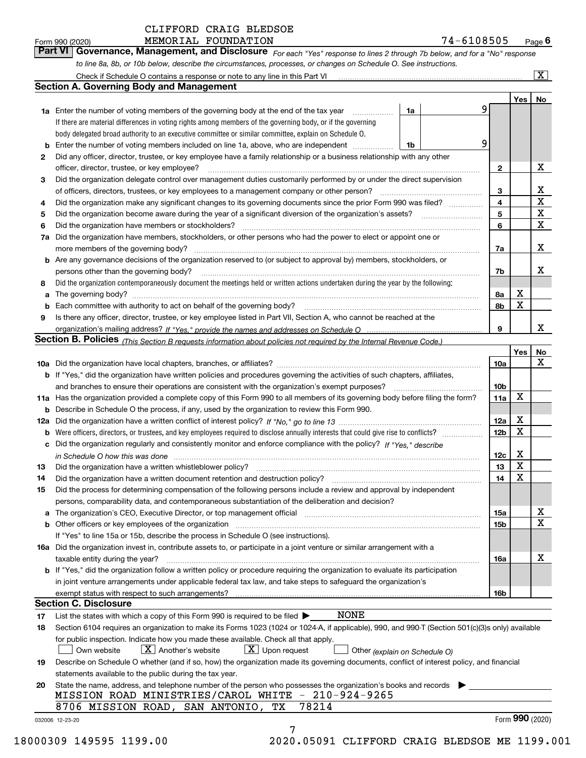#### MEMORIAL FOUNDATION CLIFFORD CRAIG BLEDSOE

| 74-6108505 |  |  |  |  |  |  | Page |
|------------|--|--|--|--|--|--|------|
|------------|--|--|--|--|--|--|------|

*For each "Yes" response to lines 2 through 7b below, and for a "No" response to line 8a, 8b, or 10b below, describe the circumstances, processes, or changes on Schedule O. See instructions.* Form 990 (2020) **MEMORIAL FOUNDATION**<br>**Part VI Governance, Management, and Disclosure** For each "Yes" response to lines 2 through 7b below, and for a "No" response

| $\overline{\mathbf{x}}$<br>Check if Schedule O contains a response or note to any line in this Part VI                          |                                                                                                                                                                       |    |  |                 |                  |                 |  |
|---------------------------------------------------------------------------------------------------------------------------------|-----------------------------------------------------------------------------------------------------------------------------------------------------------------------|----|--|-----------------|------------------|-----------------|--|
|                                                                                                                                 | <b>Section A. Governing Body and Management</b>                                                                                                                       |    |  |                 |                  |                 |  |
|                                                                                                                                 |                                                                                                                                                                       |    |  |                 | Yes              | No              |  |
|                                                                                                                                 | <b>1a</b> Enter the number of voting members of the governing body at the end of the tax year                                                                         | 1a |  | 9               |                  |                 |  |
|                                                                                                                                 | If there are material differences in voting rights among members of the governing body, or if the governing                                                           |    |  |                 |                  |                 |  |
|                                                                                                                                 | body delegated broad authority to an executive committee or similar committee, explain on Schedule O.                                                                 |    |  |                 |                  |                 |  |
| b                                                                                                                               | Enter the number of voting members included on line 1a, above, who are independent                                                                                    | 1b |  | 9               |                  |                 |  |
| 2                                                                                                                               | Did any officer, director, trustee, or key employee have a family relationship or a business relationship with any other                                              |    |  |                 |                  |                 |  |
|                                                                                                                                 | officer, director, trustee, or key employee?                                                                                                                          |    |  | $\mathbf{2}$    |                  | X               |  |
| 3                                                                                                                               | Did the organization delegate control over management duties customarily performed by or under the direct supervision                                                 |    |  |                 |                  |                 |  |
|                                                                                                                                 | of officers, directors, trustees, or key employees to a management company or other person?                                                                           |    |  | 3               |                  | X               |  |
| 4                                                                                                                               | Did the organization make any significant changes to its governing documents since the prior Form 990 was filed?                                                      |    |  | $\overline{4}$  |                  | X               |  |
| 5                                                                                                                               | Did the organization become aware during the year of a significant diversion of the organization's assets?                                                            |    |  | 5               |                  | X               |  |
| 6                                                                                                                               | Did the organization have members or stockholders?                                                                                                                    |    |  | 6               |                  | X               |  |
| 7a                                                                                                                              | Did the organization have members, stockholders, or other persons who had the power to elect or appoint one or                                                        |    |  |                 |                  |                 |  |
|                                                                                                                                 | more members of the governing body?                                                                                                                                   |    |  | 7a              |                  | X               |  |
|                                                                                                                                 | <b>b</b> Are any governance decisions of the organization reserved to (or subject to approval by) members, stockholders, or                                           |    |  |                 |                  |                 |  |
|                                                                                                                                 | persons other than the governing body?                                                                                                                                |    |  |                 |                  |                 |  |
| 8                                                                                                                               | Did the organization contemporaneously document the meetings held or written actions undertaken during the year by the following:                                     |    |  |                 |                  |                 |  |
| a                                                                                                                               | The governing body?                                                                                                                                                   |    |  | 8а              | х                |                 |  |
| b                                                                                                                               |                                                                                                                                                                       |    |  | 8b              | $\mathbf X$      |                 |  |
| 9                                                                                                                               | Is there any officer, director, trustee, or key employee listed in Part VII, Section A, who cannot be reached at the                                                  |    |  |                 |                  |                 |  |
|                                                                                                                                 |                                                                                                                                                                       |    |  | 9               |                  | x               |  |
|                                                                                                                                 | Section B. Policies <sub>(This Section B requests information about policies not required by the Internal Revenue Code.)</sub>                                        |    |  |                 |                  |                 |  |
|                                                                                                                                 |                                                                                                                                                                       |    |  |                 | Yes              | <u>No</u>       |  |
|                                                                                                                                 |                                                                                                                                                                       |    |  | 10a             |                  | х               |  |
|                                                                                                                                 | <b>b</b> If "Yes," did the organization have written policies and procedures governing the activities of such chapters, affiliates,                                   |    |  |                 |                  |                 |  |
|                                                                                                                                 | and branches to ensure their operations are consistent with the organization's exempt purposes?                                                                       |    |  |                 |                  |                 |  |
| 11a Has the organization provided a complete copy of this Form 990 to all members of its governing body before filing the form? |                                                                                                                                                                       |    |  |                 |                  |                 |  |
| b                                                                                                                               | Describe in Schedule O the process, if any, used by the organization to review this Form 990.                                                                         |    |  |                 |                  |                 |  |
| 12a                                                                                                                             |                                                                                                                                                                       |    |  |                 |                  |                 |  |
| b                                                                                                                               | Were officers, directors, or trustees, and key employees required to disclose annually interests that could give rise to conflicts?                                   |    |  | 12 <sub>b</sub> | X                |                 |  |
| c                                                                                                                               | Did the organization regularly and consistently monitor and enforce compliance with the policy? If "Yes." describe                                                    |    |  |                 |                  |                 |  |
|                                                                                                                                 |                                                                                                                                                                       |    |  | 12c             | Х<br>$\mathbf X$ |                 |  |
| 13                                                                                                                              | Did the organization have a written whistleblower policy?                                                                                                             |    |  | 13              | X                |                 |  |
| 14                                                                                                                              | Did the organization have a written document retention and destruction policy?                                                                                        |    |  | 14              |                  |                 |  |
| 15                                                                                                                              | Did the process for determining compensation of the following persons include a review and approval by independent                                                    |    |  |                 |                  |                 |  |
|                                                                                                                                 | persons, comparability data, and contemporaneous substantiation of the deliberation and decision?                                                                     |    |  |                 |                  | х               |  |
| a                                                                                                                               | The organization's CEO, Executive Director, or top management official manufactured content of the organization's CEO, Executive Director, or top management official |    |  | 15a             |                  | $\mathbf X$     |  |
|                                                                                                                                 | <b>b</b> Other officers or key employees of the organization                                                                                                          |    |  | 15 <sub>b</sub> |                  |                 |  |
|                                                                                                                                 | If "Yes" to line 15a or 15b, describe the process in Schedule O (see instructions).                                                                                   |    |  |                 |                  |                 |  |
|                                                                                                                                 | 16a Did the organization invest in, contribute assets to, or participate in a joint venture or similar arrangement with a<br>taxable entity during the year?          |    |  | 16a             |                  | х               |  |
|                                                                                                                                 | b If "Yes," did the organization follow a written policy or procedure requiring the organization to evaluate its participation                                        |    |  |                 |                  |                 |  |
|                                                                                                                                 | in joint venture arrangements under applicable federal tax law, and take steps to safequard the organization's                                                        |    |  |                 |                  |                 |  |
|                                                                                                                                 | exempt status with respect to such arrangements?                                                                                                                      |    |  | 16b             |                  |                 |  |
|                                                                                                                                 | <b>Section C. Disclosure</b>                                                                                                                                          |    |  |                 |                  |                 |  |
| 17                                                                                                                              | <b>NONE</b><br>List the states with which a copy of this Form 990 is required to be filed $\blacktriangleright$                                                       |    |  |                 |                  |                 |  |
| 18                                                                                                                              | Section 6104 requires an organization to make its Forms 1023 (1024 or 1024-A, if applicable), 990, and 990-T (Section 501(c)(3)s only) available                      |    |  |                 |                  |                 |  |
|                                                                                                                                 | for public inspection. Indicate how you made these available. Check all that apply.                                                                                   |    |  |                 |                  |                 |  |
|                                                                                                                                 | $X$ Another's website<br>$X$ Upon request<br>Own website<br>Other (explain on Schedule O)                                                                             |    |  |                 |                  |                 |  |
| 19                                                                                                                              | Describe on Schedule O whether (and if so, how) the organization made its governing documents, conflict of interest policy, and financial                             |    |  |                 |                  |                 |  |
|                                                                                                                                 | statements available to the public during the tax year.                                                                                                               |    |  |                 |                  |                 |  |
| 20                                                                                                                              | State the name, address, and telephone number of the person who possesses the organization's books and records                                                        |    |  |                 |                  |                 |  |
|                                                                                                                                 | MISSION ROAD MINISTRIES/CAROL WHITE - 210-924-9265                                                                                                                    |    |  |                 |                  |                 |  |
|                                                                                                                                 | 78214<br>8706 MISSION ROAD, SAN ANTONIO, TX                                                                                                                           |    |  |                 |                  |                 |  |
|                                                                                                                                 | 032006 12-23-20                                                                                                                                                       |    |  |                 |                  | Form 990 (2020) |  |
|                                                                                                                                 | 7                                                                                                                                                                     |    |  |                 |                  |                 |  |

18000309 149595 1199.00 2020.05091 CLIFFORD CRAIG BLEDSOE ME 1199.001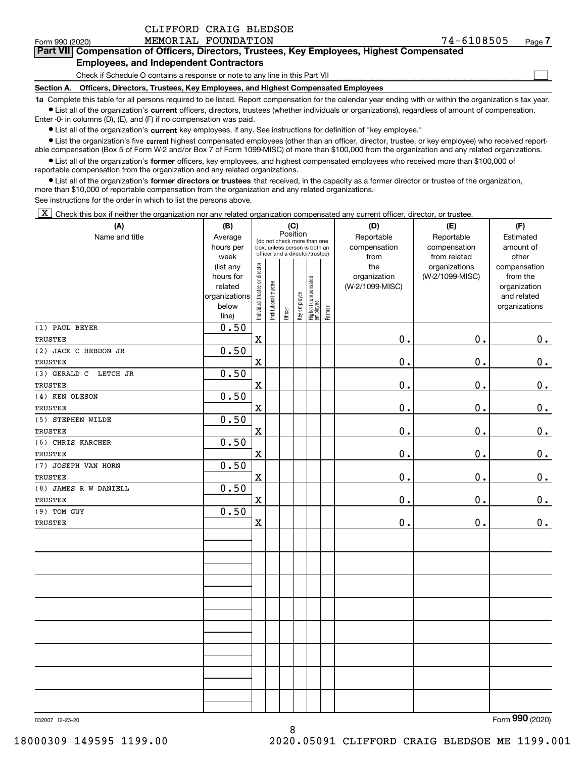| CLIFFORD CRAIG BLEDSOE |  |
|------------------------|--|
|                        |  |

 $\mathcal{L}^{\text{max}}$ 

| Form 990 (2020) | MEMORIAL FOUNDATION                                                                        | 74-6108505 | Page $7$ |
|-----------------|--------------------------------------------------------------------------------------------|------------|----------|
|                 | Part VII Compensation of Officers, Directors, Trustees, Key Employees, Highest Compensated |            |          |
|                 | <b>Employees, and Independent Contractors</b>                                              |            |          |

Check if Schedule O contains a response or note to any line in this Part VII

**Section A. Officers, Directors, Trustees, Key Employees, and Highest Compensated Employees**

**1a**  Complete this table for all persons required to be listed. Report compensation for the calendar year ending with or within the organization's tax year. **•** List all of the organization's current officers, directors, trustees (whether individuals or organizations), regardless of amount of compensation.

Enter -0- in columns (D), (E), and (F) if no compensation was paid.

 $\bullet$  List all of the organization's  $\,$ current key employees, if any. See instructions for definition of "key employee."

**•** List the organization's five current highest compensated employees (other than an officer, director, trustee, or key employee) who received reportable compensation (Box 5 of Form W-2 and/or Box 7 of Form 1099-MISC) of more than \$100,000 from the organization and any related organizations.

**•** List all of the organization's former officers, key employees, and highest compensated employees who received more than \$100,000 of reportable compensation from the organization and any related organizations.

**former directors or trustees**  ¥ List all of the organization's that received, in the capacity as a former director or trustee of the organization, more than \$10,000 of reportable compensation from the organization and any related organizations.

See instructions for the order in which to list the persons above.

 $\boxed{\textbf{X}}$  Check this box if neither the organization nor any related organization compensated any current officer, director, or trustee.

| (A)                   | (B)            |                                |                       |          | (C)          |                                 |        | (D)             | (E)             | (F)           |
|-----------------------|----------------|--------------------------------|-----------------------|----------|--------------|---------------------------------|--------|-----------------|-----------------|---------------|
| Name and title        | Average        |                                |                       | Position |              | (do not check more than one     |        | Reportable      | Reportable      | Estimated     |
|                       | hours per      |                                |                       |          |              | box, unless person is both an   |        | compensation    | compensation    | amount of     |
|                       | week           |                                |                       |          |              | officer and a director/trustee) |        | from            | from related    | other         |
|                       | (list any      |                                |                       |          |              |                                 |        | the             | organizations   | compensation  |
|                       | hours for      |                                |                       |          |              |                                 |        | organization    | (W-2/1099-MISC) | from the      |
|                       | related        |                                |                       |          |              |                                 |        | (W-2/1099-MISC) |                 | organization  |
|                       | organizations  |                                |                       |          |              |                                 |        |                 |                 | and related   |
|                       | below<br>line) | Individual trustee or director | Institutional trustee | Officer  | Key employee | Highest compensated<br>employee | Former |                 |                 | organizations |
| (1) PAUL BEYER        | 0.50           |                                |                       |          |              |                                 |        |                 |                 |               |
| TRUSTEE               |                | $\mathbf x$                    |                       |          |              |                                 |        | 0.              | 0.              | 0.            |
|                       | 0.50           |                                |                       |          |              |                                 |        |                 |                 |               |
| (2) JACK C HEBDON JR  |                |                                |                       |          |              |                                 |        |                 |                 |               |
| TRUSTEE               |                | $\mathbf x$                    |                       |          |              |                                 |        | $\mathbf 0$ .   | 0.              | $\mathbf 0$ . |
| (3) GERALD C LETCH JR | 0.50           |                                |                       |          |              |                                 |        |                 |                 |               |
| <b>TRUSTEE</b>        |                | $\mathbf x$                    |                       |          |              |                                 |        | 0.              | $\mathbf 0$ .   | $\mathbf 0$ . |
| (4) KEN OLESON        | 0.50           |                                |                       |          |              |                                 |        |                 |                 |               |
| TRUSTEE               |                | $\mathbf X$                    |                       |          |              |                                 |        | $0$ .           | 0.              | $\mathbf 0$ . |
| (5) STEPHEN WILDE     | 0.50           |                                |                       |          |              |                                 |        |                 |                 |               |
| <b>TRUSTEE</b>        |                | $\mathbf X$                    |                       |          |              |                                 |        | $\mathfrak o$ . | 0.              | $0_{.}$       |
| (6) CHRIS KARCHER     | 0.50           |                                |                       |          |              |                                 |        |                 |                 |               |
| <b>TRUSTEE</b>        |                | $\mathbf X$                    |                       |          |              |                                 |        | $\mathbf 0$ .   | 0.              | $\mathbf 0$ . |
| (7) JOSEPH VAN HORN   | 0.50           |                                |                       |          |              |                                 |        |                 |                 |               |
| <b>TRUSTEE</b>        |                | $\mathbf X$                    |                       |          |              |                                 |        | 0.              | 0.              | $\mathbf 0$ . |
| (8) JAMES R W DANIELL | 0.50           |                                |                       |          |              |                                 |        |                 |                 |               |
| TRUSTEE               |                | $\overline{\mathbf{X}}$        |                       |          |              |                                 |        | 0.              | 0.              | 0.            |
| (9) TOM GUY           | 0.50           |                                |                       |          |              |                                 |        |                 |                 |               |
| TRUSTEE               |                | $\mathbf X$                    |                       |          |              |                                 |        | $0$ .           | 0.              | 0.            |
|                       |                |                                |                       |          |              |                                 |        |                 |                 |               |
|                       |                |                                |                       |          |              |                                 |        |                 |                 |               |
|                       |                |                                |                       |          |              |                                 |        |                 |                 |               |
|                       |                |                                |                       |          |              |                                 |        |                 |                 |               |
|                       |                |                                |                       |          |              |                                 |        |                 |                 |               |
|                       |                |                                |                       |          |              |                                 |        |                 |                 |               |
|                       |                |                                |                       |          |              |                                 |        |                 |                 |               |
|                       |                |                                |                       |          |              |                                 |        |                 |                 |               |
|                       |                |                                |                       |          |              |                                 |        |                 |                 |               |
|                       |                |                                |                       |          |              |                                 |        |                 |                 |               |
|                       |                |                                |                       |          |              |                                 |        |                 |                 |               |
|                       |                |                                |                       |          |              |                                 |        |                 |                 |               |
|                       |                |                                |                       |          |              |                                 |        |                 |                 |               |
|                       |                |                                |                       |          |              |                                 |        |                 |                 |               |
|                       |                |                                |                       |          |              |                                 |        |                 |                 |               |
|                       |                |                                |                       |          |              |                                 |        |                 |                 |               |

032007 12-23-20

Form (2020) **990**

18000309 149595 1199.00 2020.05091 CLIFFORD CRAIG BLEDSOE ME 1199.001

8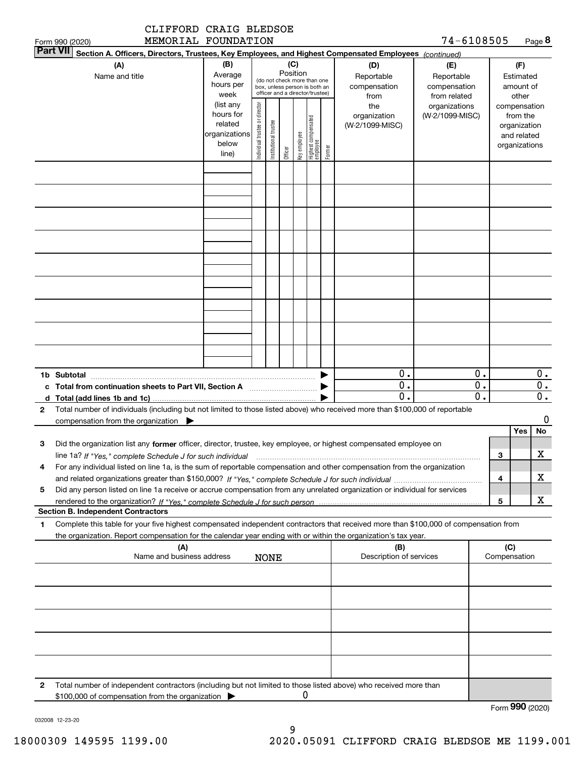| MEMORIAL FOUNDATION<br>Form 990 (2020)                                                                                                                                                                                                                      |                                                                      |                                |                       |                 |              |                                                                                                 |        |                                           | 74-6108505                                        |                     |                     |                                                                          | Page 8         |
|-------------------------------------------------------------------------------------------------------------------------------------------------------------------------------------------------------------------------------------------------------------|----------------------------------------------------------------------|--------------------------------|-----------------------|-----------------|--------------|-------------------------------------------------------------------------------------------------|--------|-------------------------------------------|---------------------------------------------------|---------------------|---------------------|--------------------------------------------------------------------------|----------------|
| <b>Part VII</b><br>Section A. Officers, Directors, Trustees, Key Employees, and Highest Compensated Employees (continued)                                                                                                                                   |                                                                      |                                |                       |                 |              |                                                                                                 |        |                                           |                                                   |                     |                     |                                                                          |                |
| (A)<br>Name and title                                                                                                                                                                                                                                       | (B)<br>Average<br>hours per<br>week                                  |                                |                       | (C)<br>Position |              | (do not check more than one<br>box, unless person is both an<br>officer and a director/trustee) |        | (D)<br>Reportable<br>compensation<br>from | (E)<br>Reportable<br>compensation<br>from related |                     |                     | (F)<br>Estimated<br>amount of<br>other                                   |                |
|                                                                                                                                                                                                                                                             | (list any<br>hours for<br>related<br>organizations<br>below<br>line) | Individual trustee or director | Institutional trustee | Officer         | key employee | Highest compensated<br>employee                                                                 | Former | the<br>organization<br>(W-2/1099-MISC)    | organizations<br>(W-2/1099-MISC)                  |                     |                     | compensation<br>from the<br>organization<br>and related<br>organizations |                |
|                                                                                                                                                                                                                                                             |                                                                      |                                |                       |                 |              |                                                                                                 |        |                                           |                                                   |                     |                     |                                                                          |                |
|                                                                                                                                                                                                                                                             |                                                                      |                                |                       |                 |              |                                                                                                 |        |                                           |                                                   |                     |                     |                                                                          |                |
|                                                                                                                                                                                                                                                             |                                                                      |                                |                       |                 |              |                                                                                                 |        |                                           |                                                   |                     |                     |                                                                          |                |
|                                                                                                                                                                                                                                                             |                                                                      |                                |                       |                 |              |                                                                                                 |        |                                           |                                                   |                     |                     |                                                                          |                |
|                                                                                                                                                                                                                                                             |                                                                      |                                |                       |                 |              |                                                                                                 |        |                                           |                                                   |                     |                     |                                                                          |                |
|                                                                                                                                                                                                                                                             |                                                                      |                                |                       |                 |              |                                                                                                 |        |                                           |                                                   |                     |                     |                                                                          |                |
|                                                                                                                                                                                                                                                             |                                                                      |                                |                       |                 |              |                                                                                                 |        | 0.                                        |                                                   | 0.                  |                     |                                                                          | $0$ .          |
| 1b Subtotal<br>Total (add lines 1b and 1c)<br>d                                                                                                                                                                                                             |                                                                      |                                |                       |                 |              |                                                                                                 |        | $\mathbf 0$ .<br>$\mathbf 0$ .            |                                                   | 0.<br>$\mathbf 0$ . |                     |                                                                          | $0$ .<br>0.    |
| Total number of individuals (including but not limited to those listed above) who received more than \$100,000 of reportable<br>2<br>compensation from the organization                                                                                     |                                                                      |                                |                       |                 |              |                                                                                                 |        |                                           |                                                   |                     |                     |                                                                          | 0              |
| Did the organization list any former officer, director, trustee, key employee, or highest compensated employee on<br>3<br>line 1a? If "Yes," complete Schedule J for such individual manufactured contained and the complete Schedule J for such individual |                                                                      |                                |                       |                 |              |                                                                                                 |        |                                           |                                                   |                     | з                   | Yes                                                                      | <b>No</b><br>x |
| For any individual listed on line 1a, is the sum of reportable compensation and other compensation from the organization<br>4                                                                                                                               |                                                                      |                                |                       |                 |              |                                                                                                 |        |                                           |                                                   |                     | 4                   |                                                                          | х              |
| Did any person listed on line 1a receive or accrue compensation from any unrelated organization or individual for services<br>5<br><b>Section B. Independent Contractors</b>                                                                                |                                                                      |                                |                       |                 |              |                                                                                                 |        |                                           |                                                   |                     | 5                   |                                                                          | x              |
| Complete this table for your five highest compensated independent contractors that received more than \$100,000 of compensation from<br>1<br>the organization. Report compensation for the calendar year ending with or within the organization's tax year. |                                                                      |                                |                       |                 |              |                                                                                                 |        |                                           |                                                   |                     |                     |                                                                          |                |
| (A)<br>Name and business address                                                                                                                                                                                                                            |                                                                      |                                | <b>NONE</b>           |                 |              |                                                                                                 |        | (B)<br>Description of services            |                                                   |                     | (C)<br>Compensation |                                                                          |                |
|                                                                                                                                                                                                                                                             |                                                                      |                                |                       |                 |              |                                                                                                 |        |                                           |                                                   |                     |                     |                                                                          |                |
|                                                                                                                                                                                                                                                             |                                                                      |                                |                       |                 |              |                                                                                                 |        |                                           |                                                   |                     |                     |                                                                          |                |
|                                                                                                                                                                                                                                                             |                                                                      |                                |                       |                 |              |                                                                                                 |        |                                           |                                                   |                     |                     |                                                                          |                |
|                                                                                                                                                                                                                                                             |                                                                      |                                |                       |                 |              |                                                                                                 |        |                                           |                                                   |                     |                     |                                                                          |                |
| Total number of independent contractors (including but not limited to those listed above) who received more than<br>2<br>\$100,000 of compensation from the organization                                                                                    |                                                                      |                                |                       |                 | U            |                                                                                                 |        |                                           |                                                   |                     |                     |                                                                          |                |

Form (2020) **990**

032008 12-23-20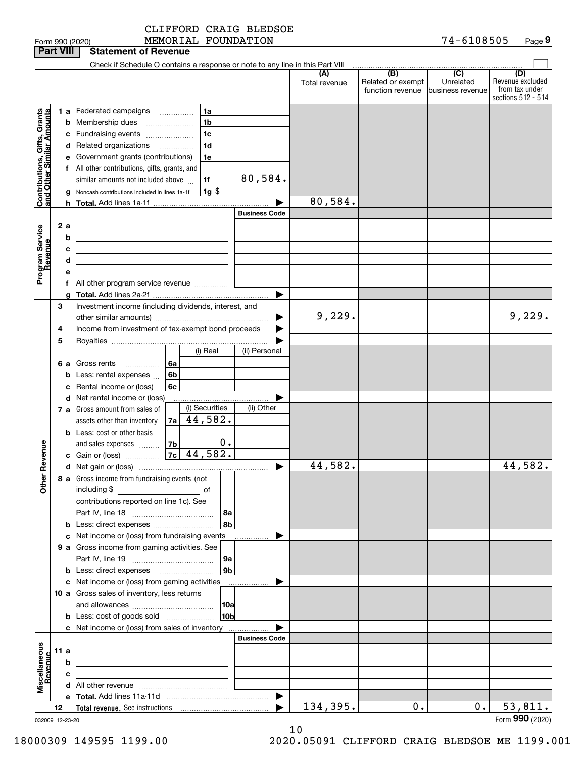|                                                           |     |        |                                                                               |                |                             | CLIFFORD CRAIG BLEDSOE |               |                                       |                                |                                                          |
|-----------------------------------------------------------|-----|--------|-------------------------------------------------------------------------------|----------------|-----------------------------|------------------------|---------------|---------------------------------------|--------------------------------|----------------------------------------------------------|
|                                                           |     |        | Form 990 (2020)                                                               |                |                             | MEMORIAL FOUNDATION    |               |                                       | 74-6108505                     | Page 9                                                   |
| <b>Part VIII</b>                                          |     |        | <b>Statement of Revenue</b>                                                   |                |                             |                        |               |                                       |                                |                                                          |
|                                                           |     |        | Check if Schedule O contains a response or note to any line in this Part VIII |                |                             |                        | (A)           | (B)                                   | $\overline{C}$                 | (D)                                                      |
|                                                           |     |        |                                                                               |                |                             |                        | Total revenue | Related or exempt<br>function revenue | Unrelated<br>lbusiness revenue | Revenue excluded<br>from tax under<br>sections 512 - 514 |
|                                                           |     |        | 1 a Federated campaigns                                                       |                | 1a                          |                        |               |                                       |                                |                                                          |
| Contributions, Gifts, Grants<br>and Other Similar Amounts |     |        | <b>b</b> Membership dues                                                      |                | 1 <sub>b</sub>              |                        |               |                                       |                                |                                                          |
|                                                           |     |        | c Fundraising events                                                          |                | 1 <sub>c</sub>              |                        |               |                                       |                                |                                                          |
|                                                           |     |        | d Related organizations                                                       |                | 1 <sub>d</sub>              |                        |               |                                       |                                |                                                          |
|                                                           |     |        | e Government grants (contributions)                                           |                | 1e                          |                        |               |                                       |                                |                                                          |
|                                                           |     |        | f All other contributions, gifts, grants, and                                 |                |                             |                        |               |                                       |                                |                                                          |
|                                                           |     |        | similar amounts not included above                                            |                | 1f                          | 80,584.                |               |                                       |                                |                                                          |
|                                                           |     |        | g Noncash contributions included in lines 1a-1f                               |                | $1g$ $\frac{1}{3}$          |                        |               |                                       |                                |                                                          |
|                                                           |     |        |                                                                               |                |                             |                        | 80,584.       |                                       |                                |                                                          |
|                                                           |     |        |                                                                               |                |                             | <b>Business Code</b>   |               |                                       |                                |                                                          |
|                                                           |     | 2a     | <u> 1989 - Johann Barn, mars eta bainar eta idazlea (</u>                     |                |                             |                        |               |                                       |                                |                                                          |
|                                                           |     | b      |                                                                               |                |                             |                        |               |                                       |                                |                                                          |
|                                                           |     | с<br>d |                                                                               |                |                             |                        |               |                                       |                                |                                                          |
| Program Service<br>Revenue                                |     | е      | <u> 1999 - Johann Barbara, martin amerikan personal (</u>                     |                |                             |                        |               |                                       |                                |                                                          |
|                                                           |     |        |                                                                               |                |                             |                        |               |                                       |                                |                                                          |
|                                                           |     |        |                                                                               |                |                             |                        |               |                                       |                                |                                                          |
|                                                           | 3   |        | Investment income (including dividends, interest, and                         |                |                             |                        |               |                                       |                                |                                                          |
|                                                           |     |        |                                                                               |                |                             | ▶                      | 9,229.        |                                       |                                | 9,229.                                                   |
|                                                           | 4   |        | Income from investment of tax-exempt bond proceeds                            |                |                             |                        |               |                                       |                                |                                                          |
|                                                           | 5   |        |                                                                               |                |                             |                        |               |                                       |                                |                                                          |
|                                                           |     |        |                                                                               |                | (i) Real                    | (ii) Personal          |               |                                       |                                |                                                          |
|                                                           |     |        |                                                                               |                |                             |                        |               |                                       |                                |                                                          |
|                                                           |     |        | <b>b</b> Less: rental expenses                                                | 6b             |                             |                        |               |                                       |                                |                                                          |
|                                                           |     |        | Rental income or (loss)                                                       | 6 <sub>c</sub> |                             |                        |               |                                       |                                |                                                          |
|                                                           |     |        | d Net rental income or (loss)                                                 |                | (i) Securities              | (ii) Other             |               |                                       |                                |                                                          |
|                                                           |     |        | 7 a Gross amount from sales of<br>assets other than inventory                 |                | 44,582.                     |                        |               |                                       |                                |                                                          |
|                                                           |     |        | <b>b</b> Less: cost or other basis                                            | 7a             |                             |                        |               |                                       |                                |                                                          |
|                                                           |     |        | and sales expenses                                                            | 7 <sub>b</sub> | 0.                          |                        |               |                                       |                                |                                                          |
|                                                           |     |        |                                                                               |                |                             |                        |               |                                       |                                |                                                          |
|                                                           |     |        |                                                                               |                |                             |                        | 44,582.       |                                       |                                | 44,582.                                                  |
| <b>Other Revenue</b>                                      |     |        | 8 a Gross income from fundraising events (not                                 |                |                             |                        |               |                                       |                                |                                                          |
|                                                           |     |        | including \$<br>$\overline{\phantom{a}}$ of                                   |                |                             |                        |               |                                       |                                |                                                          |
|                                                           |     |        | contributions reported on line 1c). See                                       |                |                             |                        |               |                                       |                                |                                                          |
|                                                           |     |        |                                                                               |                | 8a                          |                        |               |                                       |                                |                                                          |
|                                                           |     |        | <b>b</b> Less: direct expenses <b>contained b</b> Less: direct expenses       |                | 8b                          |                        |               |                                       |                                |                                                          |
|                                                           |     |        | c Net income or (loss) from fundraising events                                |                |                             |                        |               |                                       |                                |                                                          |
|                                                           |     |        | 9 a Gross income from gaming activities. See                                  |                |                             |                        |               |                                       |                                |                                                          |
|                                                           |     |        |                                                                               |                | <b>9a</b><br>9 <sub>b</sub> |                        |               |                                       |                                |                                                          |
|                                                           |     |        | c Net income or (loss) from gaming activities ______________                  |                |                             |                        |               |                                       |                                |                                                          |
|                                                           |     |        | 10 a Gross sales of inventory, less returns                                   |                |                             |                        |               |                                       |                                |                                                          |
|                                                           |     |        |                                                                               |                | 10a                         |                        |               |                                       |                                |                                                          |
|                                                           |     |        | <b>b</b> Less: cost of goods sold                                             |                | 10 <sub>b</sub>             |                        |               |                                       |                                |                                                          |
|                                                           |     |        | c Net income or (loss) from sales of inventory                                |                |                             |                        |               |                                       |                                |                                                          |
|                                                           |     |        |                                                                               |                |                             | <b>Business Code</b>   |               |                                       |                                |                                                          |
|                                                           | 11a |        |                                                                               |                |                             |                        |               |                                       |                                |                                                          |
| Miscellaneous<br>Revenue                                  |     | b      |                                                                               |                |                             |                        |               |                                       |                                |                                                          |
|                                                           |     | с      |                                                                               |                |                             |                        |               |                                       |                                |                                                          |
|                                                           |     |        |                                                                               |                |                             |                        |               |                                       |                                |                                                          |

032009 12-23-20

**Total revenue. 12** See instructions

**e Total.**  Add lines 11a-11d |

10

 $\blacktriangleright$ 

134,395. **0.** 0. 53,811.

Form (2020) **990**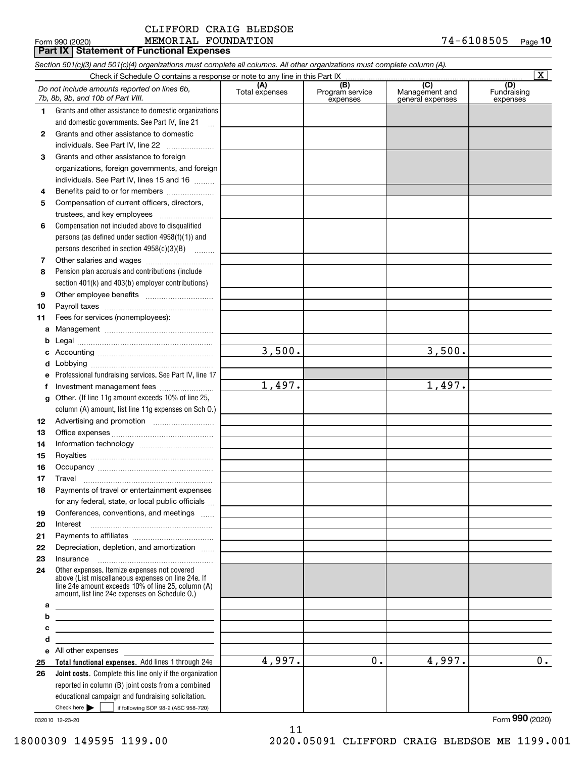#### $_{\rm Form}$  990 (2020) <code>MEMORIAL FOUNDATION</code> 7 4 – 6<code>108505</code> Page **Part IX Statement of Functional Expenses** CLIFFORD CRAIG BLEDSOE

| Check if Schedule O contains a response or note to any line in this Part IX<br>(A)<br>Total expenses<br>(C)<br>(B)<br>Program service<br>(D)<br>Do not include amounts reported on lines 6b,<br>Fundraising<br>Management and<br>7b, 8b, 9b, and 10b of Part VIII.<br>expenses<br>general expenses<br>expenses<br>Grants and other assistance to domestic organizations<br>1.<br>and domestic governments. See Part IV, line 21<br>$\mathbf{r}$<br>Grants and other assistance to domestic<br>2<br>individuals. See Part IV, line 22<br>Grants and other assistance to foreign<br>3<br>organizations, foreign governments, and foreign<br>individuals. See Part IV, lines 15 and 16<br>Benefits paid to or for members<br>4<br>Compensation of current officers, directors,<br>5<br>trustees, and key employees<br>Compensation not included above to disqualified<br>6<br>persons (as defined under section 4958(f)(1)) and<br>persons described in section 4958(c)(3)(B)<br>7<br>Pension plan accruals and contributions (include<br>8<br>section 401(k) and 403(b) employer contributions)<br>9<br>10<br>Fees for services (nonemployees):<br>11<br>a<br>b<br>3,500.<br>3,500.<br>c<br>d<br>Professional fundraising services. See Part IV, line 17<br>e<br>1,497.<br>1,497.<br>Investment management fees<br>f<br>Other. (If line 11g amount exceeds 10% of line 25,<br>g<br>column (A) amount, list line 11g expenses on Sch 0.)<br>12<br>13<br>14<br>15<br>16<br>17<br>Payments of travel or entertainment expenses<br>18<br>for any federal, state, or local public officials<br>Conferences, conventions, and meetings<br>19<br>Interest<br>Depreciation, depletion, and amortization<br>Insurance<br>Other expenses. Itemize expenses not covered<br>above (List miscellaneous expenses on line 24e. If<br>line 24e amount exceeds 10% of line 25, column (A)<br>amount, list line 24e expenses on Schedule O.)<br>а<br>b<br><u> 1989 - Johann Barbara, martin amerikan basar dan berasal dalam basar dalam basar dalam basar dalam basar dala</u><br>c<br><u> 1989 - Johann John Stone, markin film yn y brening yn y brening yn y brening yn y brening y brening yn y bre</u><br>d<br>the contract of the contract of the contract of<br>e All other expenses<br>4,997.<br>4,997.<br>0.1<br>Total functional expenses. Add lines 1 through 24e<br>25<br>Joint costs. Complete this line only if the organization<br>26<br>reported in column (B) joint costs from a combined<br>educational campaign and fundraising solicitation. |    | Section 501(c)(3) and 501(c)(4) organizations must complete all columns. All other organizations must complete column (A). |  | $\vert X \vert$ |
|-----------------------------------------------------------------------------------------------------------------------------------------------------------------------------------------------------------------------------------------------------------------------------------------------------------------------------------------------------------------------------------------------------------------------------------------------------------------------------------------------------------------------------------------------------------------------------------------------------------------------------------------------------------------------------------------------------------------------------------------------------------------------------------------------------------------------------------------------------------------------------------------------------------------------------------------------------------------------------------------------------------------------------------------------------------------------------------------------------------------------------------------------------------------------------------------------------------------------------------------------------------------------------------------------------------------------------------------------------------------------------------------------------------------------------------------------------------------------------------------------------------------------------------------------------------------------------------------------------------------------------------------------------------------------------------------------------------------------------------------------------------------------------------------------------------------------------------------------------------------------------------------------------------------------------------------------------------------------------------------------------------------------------------------------------------------------------------------------------------------------------------------------------------------------------------------------------------------------------------------------------------------------------------------------------------------------------------------------------------------------------------------------------------------------------------------------------------------------------------------------------------------------------------------------|----|----------------------------------------------------------------------------------------------------------------------------|--|-----------------|
|                                                                                                                                                                                                                                                                                                                                                                                                                                                                                                                                                                                                                                                                                                                                                                                                                                                                                                                                                                                                                                                                                                                                                                                                                                                                                                                                                                                                                                                                                                                                                                                                                                                                                                                                                                                                                                                                                                                                                                                                                                                                                                                                                                                                                                                                                                                                                                                                                                                                                                                                               |    |                                                                                                                            |  |                 |
|                                                                                                                                                                                                                                                                                                                                                                                                                                                                                                                                                                                                                                                                                                                                                                                                                                                                                                                                                                                                                                                                                                                                                                                                                                                                                                                                                                                                                                                                                                                                                                                                                                                                                                                                                                                                                                                                                                                                                                                                                                                                                                                                                                                                                                                                                                                                                                                                                                                                                                                                               |    |                                                                                                                            |  |                 |
|                                                                                                                                                                                                                                                                                                                                                                                                                                                                                                                                                                                                                                                                                                                                                                                                                                                                                                                                                                                                                                                                                                                                                                                                                                                                                                                                                                                                                                                                                                                                                                                                                                                                                                                                                                                                                                                                                                                                                                                                                                                                                                                                                                                                                                                                                                                                                                                                                                                                                                                                               |    |                                                                                                                            |  |                 |
|                                                                                                                                                                                                                                                                                                                                                                                                                                                                                                                                                                                                                                                                                                                                                                                                                                                                                                                                                                                                                                                                                                                                                                                                                                                                                                                                                                                                                                                                                                                                                                                                                                                                                                                                                                                                                                                                                                                                                                                                                                                                                                                                                                                                                                                                                                                                                                                                                                                                                                                                               |    |                                                                                                                            |  |                 |
|                                                                                                                                                                                                                                                                                                                                                                                                                                                                                                                                                                                                                                                                                                                                                                                                                                                                                                                                                                                                                                                                                                                                                                                                                                                                                                                                                                                                                                                                                                                                                                                                                                                                                                                                                                                                                                                                                                                                                                                                                                                                                                                                                                                                                                                                                                                                                                                                                                                                                                                                               |    |                                                                                                                            |  |                 |
|                                                                                                                                                                                                                                                                                                                                                                                                                                                                                                                                                                                                                                                                                                                                                                                                                                                                                                                                                                                                                                                                                                                                                                                                                                                                                                                                                                                                                                                                                                                                                                                                                                                                                                                                                                                                                                                                                                                                                                                                                                                                                                                                                                                                                                                                                                                                                                                                                                                                                                                                               |    |                                                                                                                            |  |                 |
|                                                                                                                                                                                                                                                                                                                                                                                                                                                                                                                                                                                                                                                                                                                                                                                                                                                                                                                                                                                                                                                                                                                                                                                                                                                                                                                                                                                                                                                                                                                                                                                                                                                                                                                                                                                                                                                                                                                                                                                                                                                                                                                                                                                                                                                                                                                                                                                                                                                                                                                                               |    |                                                                                                                            |  |                 |
|                                                                                                                                                                                                                                                                                                                                                                                                                                                                                                                                                                                                                                                                                                                                                                                                                                                                                                                                                                                                                                                                                                                                                                                                                                                                                                                                                                                                                                                                                                                                                                                                                                                                                                                                                                                                                                                                                                                                                                                                                                                                                                                                                                                                                                                                                                                                                                                                                                                                                                                                               |    |                                                                                                                            |  |                 |
|                                                                                                                                                                                                                                                                                                                                                                                                                                                                                                                                                                                                                                                                                                                                                                                                                                                                                                                                                                                                                                                                                                                                                                                                                                                                                                                                                                                                                                                                                                                                                                                                                                                                                                                                                                                                                                                                                                                                                                                                                                                                                                                                                                                                                                                                                                                                                                                                                                                                                                                                               |    |                                                                                                                            |  |                 |
|                                                                                                                                                                                                                                                                                                                                                                                                                                                                                                                                                                                                                                                                                                                                                                                                                                                                                                                                                                                                                                                                                                                                                                                                                                                                                                                                                                                                                                                                                                                                                                                                                                                                                                                                                                                                                                                                                                                                                                                                                                                                                                                                                                                                                                                                                                                                                                                                                                                                                                                                               |    |                                                                                                                            |  |                 |
|                                                                                                                                                                                                                                                                                                                                                                                                                                                                                                                                                                                                                                                                                                                                                                                                                                                                                                                                                                                                                                                                                                                                                                                                                                                                                                                                                                                                                                                                                                                                                                                                                                                                                                                                                                                                                                                                                                                                                                                                                                                                                                                                                                                                                                                                                                                                                                                                                                                                                                                                               |    |                                                                                                                            |  |                 |
|                                                                                                                                                                                                                                                                                                                                                                                                                                                                                                                                                                                                                                                                                                                                                                                                                                                                                                                                                                                                                                                                                                                                                                                                                                                                                                                                                                                                                                                                                                                                                                                                                                                                                                                                                                                                                                                                                                                                                                                                                                                                                                                                                                                                                                                                                                                                                                                                                                                                                                                                               |    |                                                                                                                            |  |                 |
|                                                                                                                                                                                                                                                                                                                                                                                                                                                                                                                                                                                                                                                                                                                                                                                                                                                                                                                                                                                                                                                                                                                                                                                                                                                                                                                                                                                                                                                                                                                                                                                                                                                                                                                                                                                                                                                                                                                                                                                                                                                                                                                                                                                                                                                                                                                                                                                                                                                                                                                                               |    |                                                                                                                            |  |                 |
|                                                                                                                                                                                                                                                                                                                                                                                                                                                                                                                                                                                                                                                                                                                                                                                                                                                                                                                                                                                                                                                                                                                                                                                                                                                                                                                                                                                                                                                                                                                                                                                                                                                                                                                                                                                                                                                                                                                                                                                                                                                                                                                                                                                                                                                                                                                                                                                                                                                                                                                                               |    |                                                                                                                            |  |                 |
|                                                                                                                                                                                                                                                                                                                                                                                                                                                                                                                                                                                                                                                                                                                                                                                                                                                                                                                                                                                                                                                                                                                                                                                                                                                                                                                                                                                                                                                                                                                                                                                                                                                                                                                                                                                                                                                                                                                                                                                                                                                                                                                                                                                                                                                                                                                                                                                                                                                                                                                                               |    |                                                                                                                            |  |                 |
|                                                                                                                                                                                                                                                                                                                                                                                                                                                                                                                                                                                                                                                                                                                                                                                                                                                                                                                                                                                                                                                                                                                                                                                                                                                                                                                                                                                                                                                                                                                                                                                                                                                                                                                                                                                                                                                                                                                                                                                                                                                                                                                                                                                                                                                                                                                                                                                                                                                                                                                                               |    |                                                                                                                            |  |                 |
|                                                                                                                                                                                                                                                                                                                                                                                                                                                                                                                                                                                                                                                                                                                                                                                                                                                                                                                                                                                                                                                                                                                                                                                                                                                                                                                                                                                                                                                                                                                                                                                                                                                                                                                                                                                                                                                                                                                                                                                                                                                                                                                                                                                                                                                                                                                                                                                                                                                                                                                                               |    |                                                                                                                            |  |                 |
|                                                                                                                                                                                                                                                                                                                                                                                                                                                                                                                                                                                                                                                                                                                                                                                                                                                                                                                                                                                                                                                                                                                                                                                                                                                                                                                                                                                                                                                                                                                                                                                                                                                                                                                                                                                                                                                                                                                                                                                                                                                                                                                                                                                                                                                                                                                                                                                                                                                                                                                                               |    |                                                                                                                            |  |                 |
| $\overline{0}$ .                                                                                                                                                                                                                                                                                                                                                                                                                                                                                                                                                                                                                                                                                                                                                                                                                                                                                                                                                                                                                                                                                                                                                                                                                                                                                                                                                                                                                                                                                                                                                                                                                                                                                                                                                                                                                                                                                                                                                                                                                                                                                                                                                                                                                                                                                                                                                                                                                                                                                                                              |    |                                                                                                                            |  |                 |
|                                                                                                                                                                                                                                                                                                                                                                                                                                                                                                                                                                                                                                                                                                                                                                                                                                                                                                                                                                                                                                                                                                                                                                                                                                                                                                                                                                                                                                                                                                                                                                                                                                                                                                                                                                                                                                                                                                                                                                                                                                                                                                                                                                                                                                                                                                                                                                                                                                                                                                                                               |    |                                                                                                                            |  |                 |
|                                                                                                                                                                                                                                                                                                                                                                                                                                                                                                                                                                                                                                                                                                                                                                                                                                                                                                                                                                                                                                                                                                                                                                                                                                                                                                                                                                                                                                                                                                                                                                                                                                                                                                                                                                                                                                                                                                                                                                                                                                                                                                                                                                                                                                                                                                                                                                                                                                                                                                                                               |    |                                                                                                                            |  |                 |
|                                                                                                                                                                                                                                                                                                                                                                                                                                                                                                                                                                                                                                                                                                                                                                                                                                                                                                                                                                                                                                                                                                                                                                                                                                                                                                                                                                                                                                                                                                                                                                                                                                                                                                                                                                                                                                                                                                                                                                                                                                                                                                                                                                                                                                                                                                                                                                                                                                                                                                                                               |    |                                                                                                                            |  |                 |
|                                                                                                                                                                                                                                                                                                                                                                                                                                                                                                                                                                                                                                                                                                                                                                                                                                                                                                                                                                                                                                                                                                                                                                                                                                                                                                                                                                                                                                                                                                                                                                                                                                                                                                                                                                                                                                                                                                                                                                                                                                                                                                                                                                                                                                                                                                                                                                                                                                                                                                                                               |    |                                                                                                                            |  |                 |
|                                                                                                                                                                                                                                                                                                                                                                                                                                                                                                                                                                                                                                                                                                                                                                                                                                                                                                                                                                                                                                                                                                                                                                                                                                                                                                                                                                                                                                                                                                                                                                                                                                                                                                                                                                                                                                                                                                                                                                                                                                                                                                                                                                                                                                                                                                                                                                                                                                                                                                                                               |    |                                                                                                                            |  |                 |
|                                                                                                                                                                                                                                                                                                                                                                                                                                                                                                                                                                                                                                                                                                                                                                                                                                                                                                                                                                                                                                                                                                                                                                                                                                                                                                                                                                                                                                                                                                                                                                                                                                                                                                                                                                                                                                                                                                                                                                                                                                                                                                                                                                                                                                                                                                                                                                                                                                                                                                                                               |    |                                                                                                                            |  |                 |
|                                                                                                                                                                                                                                                                                                                                                                                                                                                                                                                                                                                                                                                                                                                                                                                                                                                                                                                                                                                                                                                                                                                                                                                                                                                                                                                                                                                                                                                                                                                                                                                                                                                                                                                                                                                                                                                                                                                                                                                                                                                                                                                                                                                                                                                                                                                                                                                                                                                                                                                                               |    |                                                                                                                            |  |                 |
|                                                                                                                                                                                                                                                                                                                                                                                                                                                                                                                                                                                                                                                                                                                                                                                                                                                                                                                                                                                                                                                                                                                                                                                                                                                                                                                                                                                                                                                                                                                                                                                                                                                                                                                                                                                                                                                                                                                                                                                                                                                                                                                                                                                                                                                                                                                                                                                                                                                                                                                                               |    |                                                                                                                            |  |                 |
|                                                                                                                                                                                                                                                                                                                                                                                                                                                                                                                                                                                                                                                                                                                                                                                                                                                                                                                                                                                                                                                                                                                                                                                                                                                                                                                                                                                                                                                                                                                                                                                                                                                                                                                                                                                                                                                                                                                                                                                                                                                                                                                                                                                                                                                                                                                                                                                                                                                                                                                                               |    |                                                                                                                            |  |                 |
|                                                                                                                                                                                                                                                                                                                                                                                                                                                                                                                                                                                                                                                                                                                                                                                                                                                                                                                                                                                                                                                                                                                                                                                                                                                                                                                                                                                                                                                                                                                                                                                                                                                                                                                                                                                                                                                                                                                                                                                                                                                                                                                                                                                                                                                                                                                                                                                                                                                                                                                                               |    |                                                                                                                            |  |                 |
|                                                                                                                                                                                                                                                                                                                                                                                                                                                                                                                                                                                                                                                                                                                                                                                                                                                                                                                                                                                                                                                                                                                                                                                                                                                                                                                                                                                                                                                                                                                                                                                                                                                                                                                                                                                                                                                                                                                                                                                                                                                                                                                                                                                                                                                                                                                                                                                                                                                                                                                                               |    |                                                                                                                            |  |                 |
|                                                                                                                                                                                                                                                                                                                                                                                                                                                                                                                                                                                                                                                                                                                                                                                                                                                                                                                                                                                                                                                                                                                                                                                                                                                                                                                                                                                                                                                                                                                                                                                                                                                                                                                                                                                                                                                                                                                                                                                                                                                                                                                                                                                                                                                                                                                                                                                                                                                                                                                                               |    |                                                                                                                            |  |                 |
|                                                                                                                                                                                                                                                                                                                                                                                                                                                                                                                                                                                                                                                                                                                                                                                                                                                                                                                                                                                                                                                                                                                                                                                                                                                                                                                                                                                                                                                                                                                                                                                                                                                                                                                                                                                                                                                                                                                                                                                                                                                                                                                                                                                                                                                                                                                                                                                                                                                                                                                                               |    |                                                                                                                            |  |                 |
|                                                                                                                                                                                                                                                                                                                                                                                                                                                                                                                                                                                                                                                                                                                                                                                                                                                                                                                                                                                                                                                                                                                                                                                                                                                                                                                                                                                                                                                                                                                                                                                                                                                                                                                                                                                                                                                                                                                                                                                                                                                                                                                                                                                                                                                                                                                                                                                                                                                                                                                                               |    |                                                                                                                            |  |                 |
|                                                                                                                                                                                                                                                                                                                                                                                                                                                                                                                                                                                                                                                                                                                                                                                                                                                                                                                                                                                                                                                                                                                                                                                                                                                                                                                                                                                                                                                                                                                                                                                                                                                                                                                                                                                                                                                                                                                                                                                                                                                                                                                                                                                                                                                                                                                                                                                                                                                                                                                                               |    |                                                                                                                            |  |                 |
|                                                                                                                                                                                                                                                                                                                                                                                                                                                                                                                                                                                                                                                                                                                                                                                                                                                                                                                                                                                                                                                                                                                                                                                                                                                                                                                                                                                                                                                                                                                                                                                                                                                                                                                                                                                                                                                                                                                                                                                                                                                                                                                                                                                                                                                                                                                                                                                                                                                                                                                                               |    |                                                                                                                            |  |                 |
|                                                                                                                                                                                                                                                                                                                                                                                                                                                                                                                                                                                                                                                                                                                                                                                                                                                                                                                                                                                                                                                                                                                                                                                                                                                                                                                                                                                                                                                                                                                                                                                                                                                                                                                                                                                                                                                                                                                                                                                                                                                                                                                                                                                                                                                                                                                                                                                                                                                                                                                                               |    |                                                                                                                            |  |                 |
|                                                                                                                                                                                                                                                                                                                                                                                                                                                                                                                                                                                                                                                                                                                                                                                                                                                                                                                                                                                                                                                                                                                                                                                                                                                                                                                                                                                                                                                                                                                                                                                                                                                                                                                                                                                                                                                                                                                                                                                                                                                                                                                                                                                                                                                                                                                                                                                                                                                                                                                                               |    |                                                                                                                            |  |                 |
|                                                                                                                                                                                                                                                                                                                                                                                                                                                                                                                                                                                                                                                                                                                                                                                                                                                                                                                                                                                                                                                                                                                                                                                                                                                                                                                                                                                                                                                                                                                                                                                                                                                                                                                                                                                                                                                                                                                                                                                                                                                                                                                                                                                                                                                                                                                                                                                                                                                                                                                                               |    |                                                                                                                            |  |                 |
|                                                                                                                                                                                                                                                                                                                                                                                                                                                                                                                                                                                                                                                                                                                                                                                                                                                                                                                                                                                                                                                                                                                                                                                                                                                                                                                                                                                                                                                                                                                                                                                                                                                                                                                                                                                                                                                                                                                                                                                                                                                                                                                                                                                                                                                                                                                                                                                                                                                                                                                                               | 20 |                                                                                                                            |  |                 |
|                                                                                                                                                                                                                                                                                                                                                                                                                                                                                                                                                                                                                                                                                                                                                                                                                                                                                                                                                                                                                                                                                                                                                                                                                                                                                                                                                                                                                                                                                                                                                                                                                                                                                                                                                                                                                                                                                                                                                                                                                                                                                                                                                                                                                                                                                                                                                                                                                                                                                                                                               | 21 |                                                                                                                            |  |                 |
|                                                                                                                                                                                                                                                                                                                                                                                                                                                                                                                                                                                                                                                                                                                                                                                                                                                                                                                                                                                                                                                                                                                                                                                                                                                                                                                                                                                                                                                                                                                                                                                                                                                                                                                                                                                                                                                                                                                                                                                                                                                                                                                                                                                                                                                                                                                                                                                                                                                                                                                                               | 22 |                                                                                                                            |  |                 |
|                                                                                                                                                                                                                                                                                                                                                                                                                                                                                                                                                                                                                                                                                                                                                                                                                                                                                                                                                                                                                                                                                                                                                                                                                                                                                                                                                                                                                                                                                                                                                                                                                                                                                                                                                                                                                                                                                                                                                                                                                                                                                                                                                                                                                                                                                                                                                                                                                                                                                                                                               | 23 |                                                                                                                            |  |                 |
|                                                                                                                                                                                                                                                                                                                                                                                                                                                                                                                                                                                                                                                                                                                                                                                                                                                                                                                                                                                                                                                                                                                                                                                                                                                                                                                                                                                                                                                                                                                                                                                                                                                                                                                                                                                                                                                                                                                                                                                                                                                                                                                                                                                                                                                                                                                                                                                                                                                                                                                                               | 24 |                                                                                                                            |  |                 |
|                                                                                                                                                                                                                                                                                                                                                                                                                                                                                                                                                                                                                                                                                                                                                                                                                                                                                                                                                                                                                                                                                                                                                                                                                                                                                                                                                                                                                                                                                                                                                                                                                                                                                                                                                                                                                                                                                                                                                                                                                                                                                                                                                                                                                                                                                                                                                                                                                                                                                                                                               |    |                                                                                                                            |  |                 |
|                                                                                                                                                                                                                                                                                                                                                                                                                                                                                                                                                                                                                                                                                                                                                                                                                                                                                                                                                                                                                                                                                                                                                                                                                                                                                                                                                                                                                                                                                                                                                                                                                                                                                                                                                                                                                                                                                                                                                                                                                                                                                                                                                                                                                                                                                                                                                                                                                                                                                                                                               |    |                                                                                                                            |  |                 |
|                                                                                                                                                                                                                                                                                                                                                                                                                                                                                                                                                                                                                                                                                                                                                                                                                                                                                                                                                                                                                                                                                                                                                                                                                                                                                                                                                                                                                                                                                                                                                                                                                                                                                                                                                                                                                                                                                                                                                                                                                                                                                                                                                                                                                                                                                                                                                                                                                                                                                                                                               |    |                                                                                                                            |  |                 |
|                                                                                                                                                                                                                                                                                                                                                                                                                                                                                                                                                                                                                                                                                                                                                                                                                                                                                                                                                                                                                                                                                                                                                                                                                                                                                                                                                                                                                                                                                                                                                                                                                                                                                                                                                                                                                                                                                                                                                                                                                                                                                                                                                                                                                                                                                                                                                                                                                                                                                                                                               |    |                                                                                                                            |  |                 |
|                                                                                                                                                                                                                                                                                                                                                                                                                                                                                                                                                                                                                                                                                                                                                                                                                                                                                                                                                                                                                                                                                                                                                                                                                                                                                                                                                                                                                                                                                                                                                                                                                                                                                                                                                                                                                                                                                                                                                                                                                                                                                                                                                                                                                                                                                                                                                                                                                                                                                                                                               |    |                                                                                                                            |  |                 |
|                                                                                                                                                                                                                                                                                                                                                                                                                                                                                                                                                                                                                                                                                                                                                                                                                                                                                                                                                                                                                                                                                                                                                                                                                                                                                                                                                                                                                                                                                                                                                                                                                                                                                                                                                                                                                                                                                                                                                                                                                                                                                                                                                                                                                                                                                                                                                                                                                                                                                                                                               |    |                                                                                                                            |  |                 |
|                                                                                                                                                                                                                                                                                                                                                                                                                                                                                                                                                                                                                                                                                                                                                                                                                                                                                                                                                                                                                                                                                                                                                                                                                                                                                                                                                                                                                                                                                                                                                                                                                                                                                                                                                                                                                                                                                                                                                                                                                                                                                                                                                                                                                                                                                                                                                                                                                                                                                                                                               |    |                                                                                                                            |  |                 |
|                                                                                                                                                                                                                                                                                                                                                                                                                                                                                                                                                                                                                                                                                                                                                                                                                                                                                                                                                                                                                                                                                                                                                                                                                                                                                                                                                                                                                                                                                                                                                                                                                                                                                                                                                                                                                                                                                                                                                                                                                                                                                                                                                                                                                                                                                                                                                                                                                                                                                                                                               |    |                                                                                                                            |  |                 |
| Check here $\blacktriangleright$<br>if following SOP 98-2 (ASC 958-720)                                                                                                                                                                                                                                                                                                                                                                                                                                                                                                                                                                                                                                                                                                                                                                                                                                                                                                                                                                                                                                                                                                                                                                                                                                                                                                                                                                                                                                                                                                                                                                                                                                                                                                                                                                                                                                                                                                                                                                                                                                                                                                                                                                                                                                                                                                                                                                                                                                                                       |    |                                                                                                                            |  |                 |

11

032010 12-23-20

Form (2020) **990**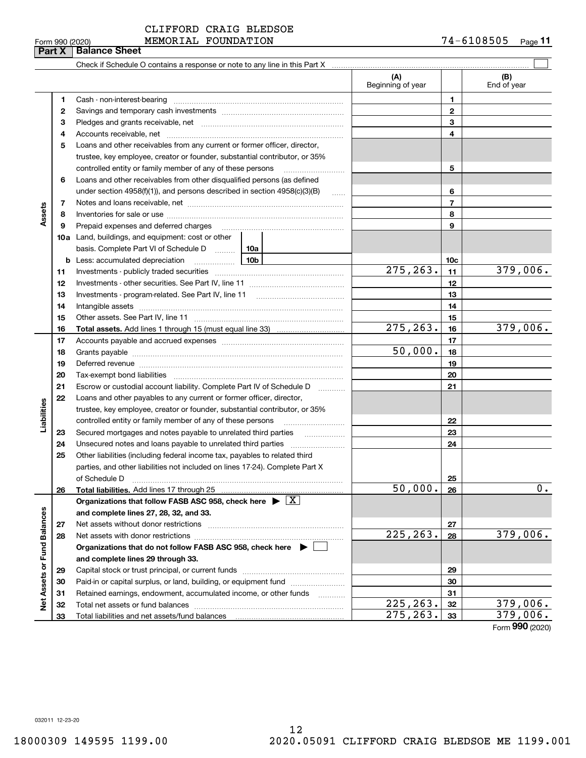Form (2020) **990**

CLIFFORD CRAIG BLEDSOE

 $_{\rm Form}$  990 (2020) <code>MEMORIAL FOUNDATION</code> 7 4 – 6<code>108505</code> Page **11**

|                             |          |                                                                                                                                                                                                                                |                     | (A)<br>Beginning of year |                | (B)<br>End of year |
|-----------------------------|----------|--------------------------------------------------------------------------------------------------------------------------------------------------------------------------------------------------------------------------------|---------------------|--------------------------|----------------|--------------------|
|                             | 1        | Cash - non-interest-bearing                                                                                                                                                                                                    |                     |                          | 1              |                    |
|                             | 2        |                                                                                                                                                                                                                                |                     |                          | $\mathbf{2}$   |                    |
|                             | з        |                                                                                                                                                                                                                                |                     |                          | 3              |                    |
|                             | 4        |                                                                                                                                                                                                                                |                     |                          | 4              |                    |
|                             | 5        | Loans and other receivables from any current or former officer, director,                                                                                                                                                      |                     |                          |                |                    |
|                             |          | trustee, key employee, creator or founder, substantial contributor, or 35%                                                                                                                                                     |                     |                          |                |                    |
|                             |          | controlled entity or family member of any of these persons                                                                                                                                                                     |                     |                          | 5              |                    |
|                             | 6        | Loans and other receivables from other disqualified persons (as defined                                                                                                                                                        |                     |                          |                |                    |
|                             |          | under section $4958(f)(1)$ , and persons described in section $4958(c)(3)(B)$                                                                                                                                                  | $\sim$              |                          | 6              |                    |
|                             | 7        |                                                                                                                                                                                                                                |                     |                          | $\overline{7}$ |                    |
| Assets                      | 8        |                                                                                                                                                                                                                                |                     |                          | 8              |                    |
|                             | 9        | Prepaid expenses and deferred charges                                                                                                                                                                                          |                     |                          | 9              |                    |
|                             |          | 10a Land, buildings, and equipment: cost or other                                                                                                                                                                              |                     |                          |                |                    |
|                             |          | basis. Complete Part VI of Schedule D  10a                                                                                                                                                                                     |                     |                          |                |                    |
|                             |          | <b>b</b> Less: accumulated depreciation                                                                                                                                                                                        | 10 <sub>b</sub>     |                          | 10c            |                    |
|                             | 11       |                                                                                                                                                                                                                                |                     | 275, 263.                | 11             | 379,006.           |
|                             | 12       |                                                                                                                                                                                                                                |                     |                          | 12             |                    |
|                             | 13       |                                                                                                                                                                                                                                |                     |                          | 13             |                    |
|                             | 14       |                                                                                                                                                                                                                                |                     |                          | 14             |                    |
|                             | 15       |                                                                                                                                                                                                                                |                     |                          | 15             |                    |
|                             | 16       |                                                                                                                                                                                                                                |                     | 275, 263.                | 16             | 379,006.           |
|                             | 17       |                                                                                                                                                                                                                                |                     |                          | 17             |                    |
|                             | 18       |                                                                                                                                                                                                                                |                     | 50,000.                  | 18             |                    |
|                             | 19       |                                                                                                                                                                                                                                |                     |                          | 19             |                    |
|                             |          | Deferred revenue manual contracts and contracts are all the contracts and contracts are contracted and contracts are contracted and contract are contracted and contract are contracted and contract are contracted and contra |                     |                          | 20             |                    |
|                             | 20<br>21 | Tax-exempt bond liabilities                                                                                                                                                                                                    |                     |                          | 21             |                    |
|                             |          | Escrow or custodial account liability. Complete Part IV of Schedule D                                                                                                                                                          | 1.1.1.1.1.1.1.1.1.1 |                          |                |                    |
|                             | 22       | Loans and other payables to any current or former officer, director,                                                                                                                                                           |                     |                          |                |                    |
| Liabilities                 |          | trustee, key employee, creator or founder, substantial contributor, or 35%                                                                                                                                                     |                     |                          |                |                    |
|                             |          | controlled entity or family member of any of these persons                                                                                                                                                                     |                     |                          | 22             |                    |
|                             | 23       | Secured mortgages and notes payable to unrelated third parties                                                                                                                                                                 |                     |                          | 23             |                    |
|                             | 24       |                                                                                                                                                                                                                                |                     |                          | 24             |                    |
|                             | 25       | Other liabilities (including federal income tax, payables to related third                                                                                                                                                     |                     |                          |                |                    |
|                             |          | parties, and other liabilities not included on lines 17-24). Complete Part X                                                                                                                                                   |                     |                          |                |                    |
|                             |          | of Schedule D                                                                                                                                                                                                                  |                     | 50,000.                  | 25             | 0.                 |
|                             | 26       | Total liabilities. Add lines 17 through 25                                                                                                                                                                                     |                     |                          | 26             |                    |
|                             |          | Organizations that follow FASB ASC 958, check here $\blacktriangleright \boxed{X}$                                                                                                                                             |                     |                          |                |                    |
|                             |          | and complete lines 27, 28, 32, and 33.                                                                                                                                                                                         |                     |                          |                |                    |
|                             | 27       | Net assets without donor restrictions                                                                                                                                                                                          |                     | 225, 263.                | 27             |                    |
|                             | 28       | Net assets with donor restrictions                                                                                                                                                                                             |                     |                          | 28             | 379,006.           |
|                             |          | Organizations that do not follow FASB ASC 958, check here $\blacktriangleright$                                                                                                                                                |                     |                          |                |                    |
|                             |          | and complete lines 29 through 33.                                                                                                                                                                                              |                     |                          |                |                    |
|                             | 29       | Capital stock or trust principal, or current funds                                                                                                                                                                             |                     |                          | 29             |                    |
| Net Assets or Fund Balances | 30       | Paid-in or capital surplus, or land, building, or equipment fund                                                                                                                                                               |                     |                          | 30             |                    |
|                             | 31       | Retained earnings, endowment, accumulated income, or other funds                                                                                                                                                               |                     |                          | 31             |                    |
|                             | 32       |                                                                                                                                                                                                                                |                     | 225, 263.                | 32             | 379,006.           |
|                             | 33       |                                                                                                                                                                                                                                |                     | 275, 263.                | 33             | 379,006.           |

**Part X Balance Sheet**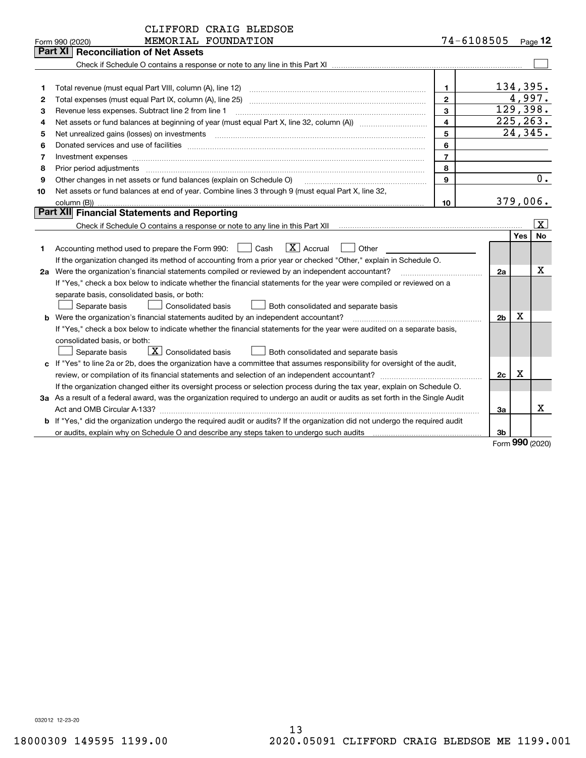| 74-6108505<br>MEMORIAL FOUNDATION<br>Form 990 (2020)                                                                            |     | Page $12$           |
|---------------------------------------------------------------------------------------------------------------------------------|-----|---------------------|
| Part XI<br><b>Reconciliation of Net Assets</b>                                                                                  |     |                     |
|                                                                                                                                 |     |                     |
|                                                                                                                                 |     |                     |
| 1<br>1                                                                                                                          |     | 134,395.            |
| $\mathbf{2}$<br>Total expenses (must equal Part IX, column (A), line 25)<br>2                                                   |     | 4,997.              |
| 3<br>Revenue less expenses. Subtract line 2 from line 1<br>з                                                                    |     | 129,398.            |
| 4<br>4                                                                                                                          |     | 225, 263.           |
| 5<br>5<br>Net unrealized gains (losses) on investments                                                                          |     | 24,345.             |
| 6<br>6                                                                                                                          |     |                     |
| $\overline{7}$<br>7<br>Investment expenses www.communication.com/www.communication.com/www.communication.com/www.com            |     |                     |
| 8<br>8<br>Prior period adjustments                                                                                              |     |                     |
| Other changes in net assets or fund balances (explain on Schedule O)<br>9<br>9                                                  |     | 0.                  |
| Net assets or fund balances at end of year. Combine lines 3 through 9 (must equal Part X, line 32,<br>10                        |     |                     |
| 10                                                                                                                              |     | 379,006.            |
| <b>Part XII</b> Financial Statements and Reporting                                                                              |     |                     |
|                                                                                                                                 |     | X                   |
|                                                                                                                                 | Yes | No                  |
| $\boxed{\text{X}}$ Accrual<br>Accounting method used to prepare the Form 990: <u>I</u> Cash<br>Other<br>1.                      |     |                     |
| If the organization changed its method of accounting from a prior year or checked "Other," explain in Schedule O.               |     |                     |
| 2a Were the organization's financial statements compiled or reviewed by an independent accountant?<br>2a                        |     | x                   |
| If "Yes," check a box below to indicate whether the financial statements for the year were compiled or reviewed on a            |     |                     |
| separate basis, consolidated basis, or both:                                                                                    |     |                     |
| Separate basis<br><b>Consolidated basis</b><br>Both consolidated and separate basis                                             |     |                     |
| <b>b</b> Were the organization's financial statements audited by an independent accountant?<br>2 <sub>b</sub>                   | X   |                     |
| If "Yes," check a box below to indicate whether the financial statements for the year were audited on a separate basis,         |     |                     |
| consolidated basis, or both:                                                                                                    |     |                     |
| $\boxed{\mathbf{X}}$ Consolidated basis<br>Separate basis<br><b>Both consolidated and separate basis</b>                        |     |                     |
| c If "Yes" to line 2a or 2b, does the organization have a committee that assumes responsibility for oversight of the audit,     |     |                     |
| 2c                                                                                                                              | х   |                     |
| If the organization changed either its oversight process or selection process during the tax year, explain on Schedule O.       |     |                     |
| 3a As a result of a federal award, was the organization required to undergo an audit or audits as set forth in the Single Audit |     |                     |
| Act and OMB Circular A-133?<br>3a                                                                                               |     | x                   |
| b If "Yes," did the organization undergo the required audit or audits? If the organization did not undergo the required audit   |     |                     |
| 3b                                                                                                                              |     | $000 \text{ hours}$ |

Form (2020) **990**

032012 12-23-20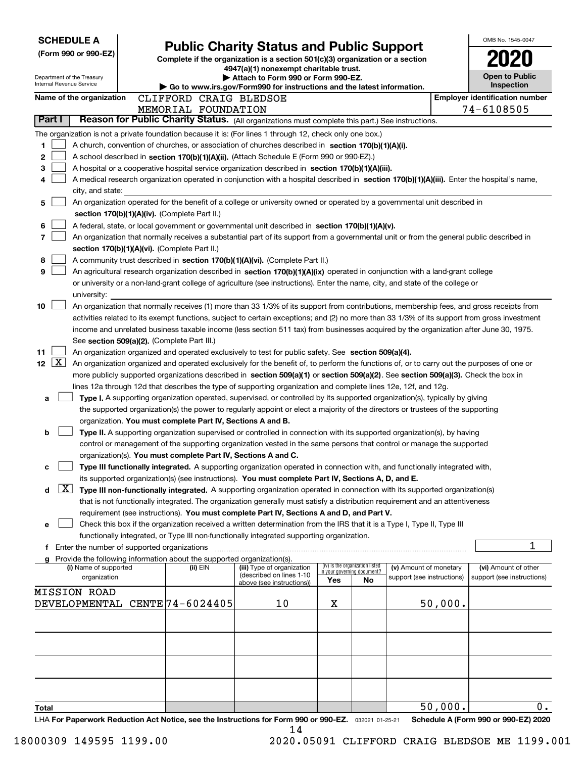| <b>SCHEDULE A</b>                                                                                 |                                                               | <b>Public Charity Status and Public Support</b>                                                                                                                                                                                                    |     |                                                                |                            |         | OMB No. 1545-0047                          |
|---------------------------------------------------------------------------------------------------|---------------------------------------------------------------|----------------------------------------------------------------------------------------------------------------------------------------------------------------------------------------------------------------------------------------------------|-----|----------------------------------------------------------------|----------------------------|---------|--------------------------------------------|
| (Form 990 or 990-EZ)                                                                              |                                                               | Complete if the organization is a section 501(c)(3) organization or a section                                                                                                                                                                      |     |                                                                |                            |         |                                            |
|                                                                                                   |                                                               | 4947(a)(1) nonexempt charitable trust.                                                                                                                                                                                                             |     |                                                                |                            |         |                                            |
| Department of the Treasury<br>Internal Revenue Service                                            |                                                               | Attach to Form 990 or Form 990-EZ.                                                                                                                                                                                                                 |     |                                                                |                            |         | <b>Open to Public</b><br><b>Inspection</b> |
| Name of the organization                                                                          | CLIFFORD CRAIG BLEDSOE                                        | $\blacktriangleright$ Go to www.irs.gov/Form990 for instructions and the latest information.                                                                                                                                                       |     |                                                                |                            |         | <b>Employer identification number</b>      |
|                                                                                                   | MEMORIAL FOUNDATION                                           |                                                                                                                                                                                                                                                    |     |                                                                |                            |         | 74-6108505                                 |
| Part I                                                                                            |                                                               | Reason for Public Charity Status. (All organizations must complete this part.) See instructions.                                                                                                                                                   |     |                                                                |                            |         |                                            |
|                                                                                                   |                                                               | The organization is not a private foundation because it is: (For lines 1 through 12, check only one box.)                                                                                                                                          |     |                                                                |                            |         |                                            |
| 1                                                                                                 |                                                               | A church, convention of churches, or association of churches described in section 170(b)(1)(A)(i).                                                                                                                                                 |     |                                                                |                            |         |                                            |
| 2                                                                                                 |                                                               | A school described in section 170(b)(1)(A)(ii). (Attach Schedule E (Form 990 or 990-EZ).)                                                                                                                                                          |     |                                                                |                            |         |                                            |
| 3                                                                                                 |                                                               | A hospital or a cooperative hospital service organization described in section 170(b)(1)(A)(iii).                                                                                                                                                  |     |                                                                |                            |         |                                            |
| 4                                                                                                 |                                                               | A medical research organization operated in conjunction with a hospital described in section 170(b)(1)(A)(iii). Enter the hospital's name,                                                                                                         |     |                                                                |                            |         |                                            |
| city, and state:                                                                                  |                                                               |                                                                                                                                                                                                                                                    |     |                                                                |                            |         |                                            |
| 5                                                                                                 |                                                               | An organization operated for the benefit of a college or university owned or operated by a governmental unit described in                                                                                                                          |     |                                                                |                            |         |                                            |
|                                                                                                   | section 170(b)(1)(A)(iv). (Complete Part II.)                 |                                                                                                                                                                                                                                                    |     |                                                                |                            |         |                                            |
| 6                                                                                                 |                                                               | A federal, state, or local government or governmental unit described in section 170(b)(1)(A)(v).                                                                                                                                                   |     |                                                                |                            |         |                                            |
| 7                                                                                                 | section 170(b)(1)(A)(vi). (Complete Part II.)                 | An organization that normally receives a substantial part of its support from a governmental unit or from the general public described in                                                                                                          |     |                                                                |                            |         |                                            |
| 8                                                                                                 |                                                               | A community trust described in section 170(b)(1)(A)(vi). (Complete Part II.)                                                                                                                                                                       |     |                                                                |                            |         |                                            |
| 9                                                                                                 |                                                               | An agricultural research organization described in section 170(b)(1)(A)(ix) operated in conjunction with a land-grant college                                                                                                                      |     |                                                                |                            |         |                                            |
|                                                                                                   |                                                               | or university or a non-land-grant college of agriculture (see instructions). Enter the name, city, and state of the college or                                                                                                                     |     |                                                                |                            |         |                                            |
| university:                                                                                       |                                                               |                                                                                                                                                                                                                                                    |     |                                                                |                            |         |                                            |
| 10                                                                                                |                                                               | An organization that normally receives (1) more than 33 1/3% of its support from contributions, membership fees, and gross receipts from                                                                                                           |     |                                                                |                            |         |                                            |
|                                                                                                   |                                                               | activities related to its exempt functions, subject to certain exceptions; and (2) no more than 33 1/3% of its support from gross investment                                                                                                       |     |                                                                |                            |         |                                            |
|                                                                                                   |                                                               | income and unrelated business taxable income (less section 511 tax) from businesses acquired by the organization after June 30, 1975.                                                                                                              |     |                                                                |                            |         |                                            |
|                                                                                                   | See section 509(a)(2). (Complete Part III.)                   |                                                                                                                                                                                                                                                    |     |                                                                |                            |         |                                            |
| 11<br>12 $[X]$                                                                                    |                                                               | An organization organized and operated exclusively to test for public safety. See section 509(a)(4).<br>An organization organized and operated exclusively for the benefit of, to perform the functions of, or to carry out the purposes of one or |     |                                                                |                            |         |                                            |
|                                                                                                   |                                                               | more publicly supported organizations described in section 509(a)(1) or section 509(a)(2). See section 509(a)(3). Check the box in                                                                                                                 |     |                                                                |                            |         |                                            |
|                                                                                                   |                                                               | lines 12a through 12d that describes the type of supporting organization and complete lines 12e, 12f, and 12g.                                                                                                                                     |     |                                                                |                            |         |                                            |
| a                                                                                                 |                                                               | Type I. A supporting organization operated, supervised, or controlled by its supported organization(s), typically by giving                                                                                                                        |     |                                                                |                            |         |                                            |
|                                                                                                   |                                                               | the supported organization(s) the power to regularly appoint or elect a majority of the directors or trustees of the supporting                                                                                                                    |     |                                                                |                            |         |                                            |
|                                                                                                   | organization. You must complete Part IV, Sections A and B.    |                                                                                                                                                                                                                                                    |     |                                                                |                            |         |                                            |
| b                                                                                                 |                                                               | Type II. A supporting organization supervised or controlled in connection with its supported organization(s), by having                                                                                                                            |     |                                                                |                            |         |                                            |
|                                                                                                   |                                                               | control or management of the supporting organization vested in the same persons that control or manage the supported                                                                                                                               |     |                                                                |                            |         |                                            |
|                                                                                                   | organization(s). You must complete Part IV, Sections A and C. |                                                                                                                                                                                                                                                    |     |                                                                |                            |         |                                            |
| с                                                                                                 |                                                               | Type III functionally integrated. A supporting organization operated in connection with, and functionally integrated with,<br>its supported organization(s) (see instructions). You must complete Part IV, Sections A, D, and E.                   |     |                                                                |                            |         |                                            |
| X <br>d                                                                                           |                                                               | Type III non-functionally integrated. A supporting organization operated in connection with its supported organization(s)                                                                                                                          |     |                                                                |                            |         |                                            |
|                                                                                                   |                                                               | that is not functionally integrated. The organization generally must satisfy a distribution requirement and an attentiveness                                                                                                                       |     |                                                                |                            |         |                                            |
|                                                                                                   |                                                               | requirement (see instructions). You must complete Part IV, Sections A and D, and Part V.                                                                                                                                                           |     |                                                                |                            |         |                                            |
| е                                                                                                 |                                                               | Check this box if the organization received a written determination from the IRS that it is a Type I, Type II, Type III                                                                                                                            |     |                                                                |                            |         |                                            |
|                                                                                                   |                                                               | functionally integrated, or Type III non-functionally integrated supporting organization.                                                                                                                                                          |     |                                                                |                            |         |                                            |
| f Enter the number of supported organizations                                                     |                                                               |                                                                                                                                                                                                                                                    |     |                                                                |                            |         | 1                                          |
| g Provide the following information about the supported organization(s).<br>(i) Name of supported | (ii) EIN                                                      | (iii) Type of organization                                                                                                                                                                                                                         |     | (iv) Is the organization listed<br>in your governing document? | (v) Amount of monetary     |         | (vi) Amount of other                       |
| organization                                                                                      |                                                               | (described on lines 1-10                                                                                                                                                                                                                           | Yes | No                                                             | support (see instructions) |         | support (see instructions)                 |
| <b>MISSION ROAD</b>                                                                               |                                                               | above (see instructions))                                                                                                                                                                                                                          |     |                                                                |                            |         |                                            |
| DEVELOPMENTAL CENTE 74-6024405                                                                    |                                                               | 10                                                                                                                                                                                                                                                 | х   |                                                                |                            | 50,000. |                                            |
|                                                                                                   |                                                               |                                                                                                                                                                                                                                                    |     |                                                                |                            |         |                                            |
|                                                                                                   |                                                               |                                                                                                                                                                                                                                                    |     |                                                                |                            |         |                                            |
|                                                                                                   |                                                               |                                                                                                                                                                                                                                                    |     |                                                                |                            |         |                                            |
|                                                                                                   |                                                               |                                                                                                                                                                                                                                                    |     |                                                                |                            |         |                                            |
|                                                                                                   |                                                               |                                                                                                                                                                                                                                                    |     |                                                                |                            |         |                                            |
|                                                                                                   |                                                               |                                                                                                                                                                                                                                                    |     |                                                                |                            |         |                                            |
|                                                                                                   |                                                               |                                                                                                                                                                                                                                                    |     |                                                                |                            |         |                                            |
| Total                                                                                             |                                                               |                                                                                                                                                                                                                                                    |     |                                                                |                            | 50,000. | $0$ .                                      |
|                                                                                                   |                                                               | LHA For Paperwork Reduction Act Notice, see the Instructions for Form 990 or 990-EZ. 032021 01-25-21                                                                                                                                               |     |                                                                |                            |         | Schedule A (Form 990 or 990-EZ) 2020       |

14

 <sup>18000309 149595 1199.00 2020.05091</sup> CLIFFORD CRAIG BLEDSOE ME 1199.001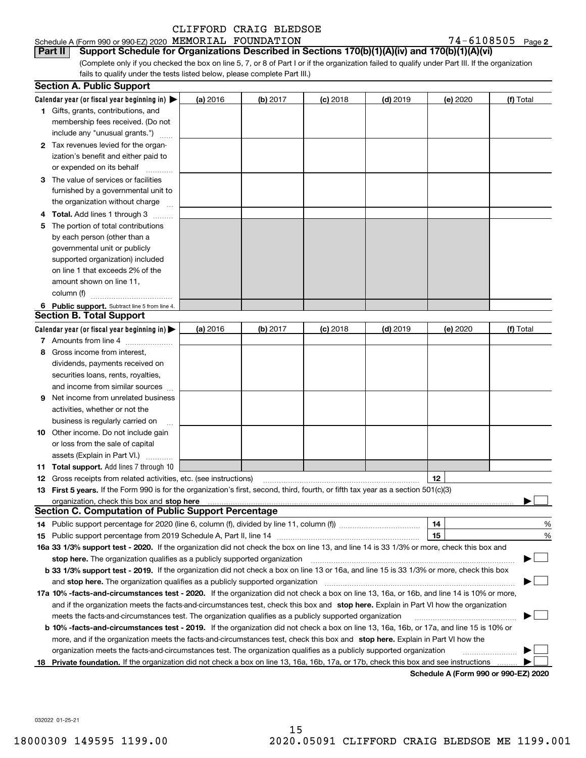#### Schedule A (Form 990 or 990-EZ) 2020 Page MEMORIAL FOUNDATION 74-6108505

74-6108505 Page 2

(Complete only if you checked the box on line 5, 7, or 8 of Part I or if the organization failed to qualify under Part III. If the organization fails to qualify under the tests listed below, please complete Part III.) **Part II Support Schedule for Organizations Described in Sections 170(b)(1)(A)(iv) and 170(b)(1)(A)(vi)**

|    | <b>Section A. Public Support</b>                                                                                                               |          |                 |            |            |                                      |           |
|----|------------------------------------------------------------------------------------------------------------------------------------------------|----------|-----------------|------------|------------|--------------------------------------|-----------|
|    | Calendar year (or fiscal year beginning in) $\blacktriangleright$                                                                              | (a) 2016 | <b>(b)</b> 2017 | $(c)$ 2018 | $(d)$ 2019 | (e) 2020                             | (f) Total |
|    | <b>1</b> Gifts, grants, contributions, and                                                                                                     |          |                 |            |            |                                      |           |
|    | membership fees received. (Do not                                                                                                              |          |                 |            |            |                                      |           |
|    | include any "unusual grants.")                                                                                                                 |          |                 |            |            |                                      |           |
|    | 2 Tax revenues levied for the organ-                                                                                                           |          |                 |            |            |                                      |           |
|    | ization's benefit and either paid to                                                                                                           |          |                 |            |            |                                      |           |
|    | or expended on its behalf                                                                                                                      |          |                 |            |            |                                      |           |
|    | 3 The value of services or facilities                                                                                                          |          |                 |            |            |                                      |           |
|    | furnished by a governmental unit to                                                                                                            |          |                 |            |            |                                      |           |
|    | the organization without charge                                                                                                                |          |                 |            |            |                                      |           |
|    | 4 Total. Add lines 1 through 3                                                                                                                 |          |                 |            |            |                                      |           |
| 5  | The portion of total contributions                                                                                                             |          |                 |            |            |                                      |           |
|    | by each person (other than a                                                                                                                   |          |                 |            |            |                                      |           |
|    | governmental unit or publicly                                                                                                                  |          |                 |            |            |                                      |           |
|    | supported organization) included                                                                                                               |          |                 |            |            |                                      |           |
|    | on line 1 that exceeds 2% of the                                                                                                               |          |                 |            |            |                                      |           |
|    | amount shown on line 11,                                                                                                                       |          |                 |            |            |                                      |           |
|    | column (f)                                                                                                                                     |          |                 |            |            |                                      |           |
|    | 6 Public support. Subtract line 5 from line 4.                                                                                                 |          |                 |            |            |                                      |           |
|    | <b>Section B. Total Support</b>                                                                                                                |          |                 |            |            |                                      |           |
|    | Calendar year (or fiscal year beginning in) $\blacktriangleright$                                                                              | (a) 2016 | (b) 2017        | $(c)$ 2018 | $(d)$ 2019 | (e) 2020                             | (f) Total |
|    | 7 Amounts from line 4                                                                                                                          |          |                 |            |            |                                      |           |
|    | 8 Gross income from interest,                                                                                                                  |          |                 |            |            |                                      |           |
|    | dividends, payments received on                                                                                                                |          |                 |            |            |                                      |           |
|    | securities loans, rents, royalties,                                                                                                            |          |                 |            |            |                                      |           |
|    | and income from similar sources                                                                                                                |          |                 |            |            |                                      |           |
| 9. | Net income from unrelated business                                                                                                             |          |                 |            |            |                                      |           |
|    | activities, whether or not the                                                                                                                 |          |                 |            |            |                                      |           |
|    | business is regularly carried on                                                                                                               |          |                 |            |            |                                      |           |
|    | <b>10</b> Other income. Do not include gain                                                                                                    |          |                 |            |            |                                      |           |
|    | or loss from the sale of capital                                                                                                               |          |                 |            |            |                                      |           |
|    | assets (Explain in Part VI.)                                                                                                                   |          |                 |            |            |                                      |           |
|    | <b>11 Total support.</b> Add lines 7 through 10                                                                                                |          |                 |            |            |                                      |           |
|    | <b>12</b> Gross receipts from related activities, etc. (see instructions)                                                                      |          |                 |            |            | 12                                   |           |
|    | 13 First 5 years. If the Form 990 is for the organization's first, second, third, fourth, or fifth tax year as a section 501(c)(3)             |          |                 |            |            |                                      |           |
|    |                                                                                                                                                |          |                 |            |            |                                      |           |
|    | <b>Section C. Computation of Public Support Percentage</b>                                                                                     |          |                 |            |            |                                      |           |
|    | 14 Public support percentage for 2020 (line 6, column (f), divided by line 11, column (f) <i>marroummaname</i>                                 |          |                 |            |            | 14                                   | %         |
|    |                                                                                                                                                |          |                 |            |            | 15                                   | %         |
|    | 16a 33 1/3% support test - 2020. If the organization did not check the box on line 13, and line 14 is 33 1/3% or more, check this box and      |          |                 |            |            |                                      |           |
|    | stop here. The organization qualifies as a publicly supported organization                                                                     |          |                 |            |            |                                      |           |
|    | b 33 1/3% support test - 2019. If the organization did not check a box on line 13 or 16a, and line 15 is 33 1/3% or more, check this box       |          |                 |            |            |                                      |           |
|    | and stop here. The organization qualifies as a publicly supported organization                                                                 |          |                 |            |            |                                      |           |
|    | 17a 10% -facts-and-circumstances test - 2020. If the organization did not check a box on line 13, 16a, or 16b, and line 14 is 10% or more,     |          |                 |            |            |                                      |           |
|    | and if the organization meets the facts-and-circumstances test, check this box and stop here. Explain in Part VI how the organization          |          |                 |            |            |                                      |           |
|    | meets the facts-and-circumstances test. The organization qualifies as a publicly supported organization                                        |          |                 |            |            |                                      |           |
|    | <b>b 10% -facts-and-circumstances test - 2019.</b> If the organization did not check a box on line 13, 16a, 16b, or 17a, and line 15 is 10% or |          |                 |            |            |                                      |           |
|    | more, and if the organization meets the facts-and-circumstances test, check this box and stop here. Explain in Part VI how the                 |          |                 |            |            |                                      |           |
|    | organization meets the facts-and-circumstances test. The organization qualifies as a publicly supported organization                           |          |                 |            |            |                                      |           |
| 18 | Private foundation. If the organization did not check a box on line 13, 16a, 16b, 17a, or 17b, check this box and see instructions             |          |                 |            |            | Schedule A (Form 990 or 990-F7) 2020 |           |

**Schedule A (Form 990 or 990-EZ) 2020**

032022 01-25-21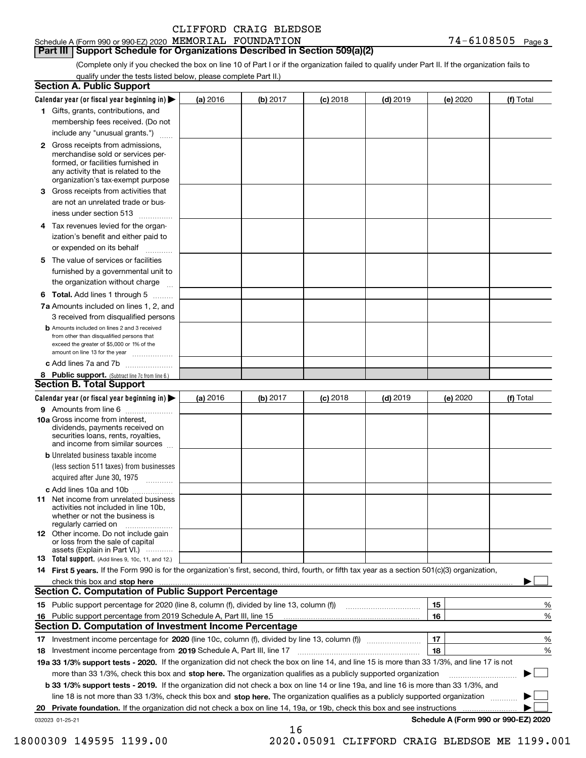|  | CLIFFORD CRAIG BLEDSOE |
|--|------------------------|
|--|------------------------|

#### Schedule A (Form 990 or 990-EZ) 2020 Page MEMORIAL FOUNDATION 74-6108505 **Part III Support Schedule for Organizations Described in Section 509(a)(2)**

(Complete only if you checked the box on line 10 of Part I or if the organization failed to qualify under Part II. If the organization fails to qualify under the tests listed below, please complete Part II.)

| <b>Section A. Public Support</b>                                                                                                                                                                                        |          |            |            |            |          |                                      |
|-------------------------------------------------------------------------------------------------------------------------------------------------------------------------------------------------------------------------|----------|------------|------------|------------|----------|--------------------------------------|
| Calendar year (or fiscal year beginning in) $\blacktriangleright$                                                                                                                                                       | (a) 2016 | $(b)$ 2017 | $(c)$ 2018 | $(d)$ 2019 | (e) 2020 | (f) Total                            |
| 1 Gifts, grants, contributions, and                                                                                                                                                                                     |          |            |            |            |          |                                      |
| membership fees received. (Do not                                                                                                                                                                                       |          |            |            |            |          |                                      |
| include any "unusual grants.")                                                                                                                                                                                          |          |            |            |            |          |                                      |
| <b>2</b> Gross receipts from admissions,<br>merchandise sold or services per-<br>formed, or facilities furnished in<br>any activity that is related to the<br>organization's tax-exempt purpose                         |          |            |            |            |          |                                      |
| 3 Gross receipts from activities that<br>are not an unrelated trade or bus-                                                                                                                                             |          |            |            |            |          |                                      |
| iness under section 513                                                                                                                                                                                                 |          |            |            |            |          |                                      |
| 4 Tax revenues levied for the organ-<br>ization's benefit and either paid to<br>or expended on its behalf<br>.                                                                                                          |          |            |            |            |          |                                      |
| 5 The value of services or facilities<br>furnished by a governmental unit to                                                                                                                                            |          |            |            |            |          |                                      |
| the organization without charge                                                                                                                                                                                         |          |            |            |            |          |                                      |
| <b>6 Total.</b> Add lines 1 through 5                                                                                                                                                                                   |          |            |            |            |          |                                      |
| 7a Amounts included on lines 1, 2, and<br>3 received from disqualified persons                                                                                                                                          |          |            |            |            |          |                                      |
| <b>b</b> Amounts included on lines 2 and 3 received<br>from other than disqualified persons that<br>exceed the greater of \$5,000 or 1% of the<br>amount on line 13 for the year                                        |          |            |            |            |          |                                      |
| c Add lines 7a and 7b                                                                                                                                                                                                   |          |            |            |            |          |                                      |
| 8 Public support. (Subtract line 7c from line 6.)                                                                                                                                                                       |          |            |            |            |          |                                      |
| <b>Section B. Total Support</b>                                                                                                                                                                                         |          |            |            |            |          |                                      |
| Calendar year (or fiscal year beginning in)                                                                                                                                                                             | (a) 2016 | (b) 2017   | $(c)$ 2018 | $(d)$ 2019 | (e) 2020 | (f) Total                            |
| 9 Amounts from line 6                                                                                                                                                                                                   |          |            |            |            |          |                                      |
| 10a Gross income from interest,<br>dividends, payments received on<br>securities loans, rents, royalties,<br>and income from similar sources                                                                            |          |            |            |            |          |                                      |
| <b>b</b> Unrelated business taxable income                                                                                                                                                                              |          |            |            |            |          |                                      |
| (less section 511 taxes) from businesses<br>acquired after June 30, 1975                                                                                                                                                |          |            |            |            |          |                                      |
| c Add lines 10a and 10b                                                                                                                                                                                                 |          |            |            |            |          |                                      |
| <b>11</b> Net income from unrelated business<br>activities not included in line 10b,<br>whether or not the business is<br>regularly carried on                                                                          |          |            |            |            |          |                                      |
| 12 Other income. Do not include gain<br>or loss from the sale of capital<br>assets (Explain in Part VI.)                                                                                                                |          |            |            |            |          |                                      |
| <b>13 Total support.</b> (Add lines 9, 10c, 11, and 12.)                                                                                                                                                                |          |            |            |            |          |                                      |
| 14 First 5 years. If the Form 990 is for the organization's first, second, third, fourth, or fifth tax year as a section 501(c)(3) organization,                                                                        |          |            |            |            |          |                                      |
| check this box and stop here www.communications.communications.communications.com                                                                                                                                       |          |            |            |            |          |                                      |
| <b>Section C. Computation of Public Support Percentage</b>                                                                                                                                                              |          |            |            |            |          |                                      |
| 15 Public support percentage for 2020 (line 8, column (f), divided by line 13, column (f))                                                                                                                              |          |            |            |            | 15       | %                                    |
| 16 Public support percentage from 2019 Schedule A, Part III, line 15<br><b>Section D. Computation of Investment Income Percentage</b>                                                                                   |          |            |            |            | 16       | %                                    |
|                                                                                                                                                                                                                         |          |            |            |            |          |                                      |
|                                                                                                                                                                                                                         |          |            |            |            | 17<br>18 | %                                    |
| 18 Investment income percentage from 2019 Schedule A, Part III, line 17<br>19a 33 1/3% support tests - 2020. If the organization did not check the box on line 14, and line 15 is more than 33 1/3%, and line 17 is not |          |            |            |            |          | %                                    |
| more than 33 1/3%, check this box and stop here. The organization qualifies as a publicly supported organization                                                                                                        |          |            |            |            |          |                                      |
| b 33 1/3% support tests - 2019. If the organization did not check a box on line 14 or line 19a, and line 16 is more than 33 1/3%, and                                                                                   |          |            |            |            |          |                                      |
| line 18 is not more than 33 1/3%, check this box and stop here. The organization qualifies as a publicly supported organization                                                                                         |          |            |            |            |          |                                      |
| 20 Private foundation. If the organization did not check a box on line 14, 19a, or 19b, check this box and see instructions                                                                                             |          |            |            |            |          |                                      |
| 032023 01-25-21                                                                                                                                                                                                         |          |            |            |            |          | Schedule A (Form 990 or 990-EZ) 2020 |
|                                                                                                                                                                                                                         |          | 16         |            |            |          |                                      |

18000309 149595 1199.00 2020.05091 CLIFFORD CRAIG BLEDSOE ME 1199.001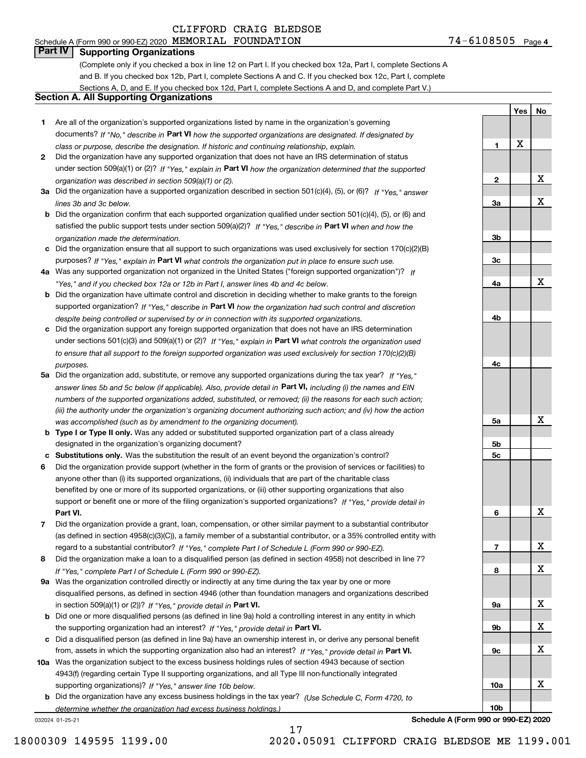Schedule A (Form 990 or 990-EZ) 2020 Page MEMORIAL FOUNDATION 74-6108505

### **Part IV Supporting Organizations**

(Complete only if you checked a box in line 12 on Part I. If you checked box 12a, Part I, complete Sections A and B. If you checked box 12b, Part I, complete Sections A and C. If you checked box 12c, Part I, complete Sections A, D, and E. If you checked box 12d, Part I, complete Sections A and D, and complete Part V.)

#### **Section A. All Supporting Organizations**

- **1** Are all of the organization's supported organizations listed by name in the organization's governing documents? If "No," describe in **Part VI** how the supported organizations are designated. If designated by *class or purpose, describe the designation. If historic and continuing relationship, explain.*
- **2** Did the organization have any supported organization that does not have an IRS determination of status under section 509(a)(1) or (2)? If "Yes," explain in Part VI how the organization determined that the supported *organization was described in section 509(a)(1) or (2).*
- **3a** Did the organization have a supported organization described in section 501(c)(4), (5), or (6)? If "Yes," answer *lines 3b and 3c below.*
- **b** Did the organization confirm that each supported organization qualified under section 501(c)(4), (5), or (6) and satisfied the public support tests under section 509(a)(2)? If "Yes," describe in **Part VI** when and how the *organization made the determination.*
- **c**Did the organization ensure that all support to such organizations was used exclusively for section 170(c)(2)(B) purposes? If "Yes," explain in **Part VI** what controls the organization put in place to ensure such use.
- **4a***If* Was any supported organization not organized in the United States ("foreign supported organization")? *"Yes," and if you checked box 12a or 12b in Part I, answer lines 4b and 4c below.*
- **b** Did the organization have ultimate control and discretion in deciding whether to make grants to the foreign supported organization? If "Yes," describe in **Part VI** how the organization had such control and discretion *despite being controlled or supervised by or in connection with its supported organizations.*
- **c** Did the organization support any foreign supported organization that does not have an IRS determination under sections 501(c)(3) and 509(a)(1) or (2)? If "Yes," explain in **Part VI** what controls the organization used *to ensure that all support to the foreign supported organization was used exclusively for section 170(c)(2)(B) purposes.*
- **5a** Did the organization add, substitute, or remove any supported organizations during the tax year? If "Yes," answer lines 5b and 5c below (if applicable). Also, provide detail in **Part VI,** including (i) the names and EIN *numbers of the supported organizations added, substituted, or removed; (ii) the reasons for each such action; (iii) the authority under the organization's organizing document authorizing such action; and (iv) how the action was accomplished (such as by amendment to the organizing document).*
- **b** Type I or Type II only. Was any added or substituted supported organization part of a class already designated in the organization's organizing document?
- **cSubstitutions only.**  Was the substitution the result of an event beyond the organization's control?
- **6** Did the organization provide support (whether in the form of grants or the provision of services or facilities) to **Part VI.** *If "Yes," provide detail in* support or benefit one or more of the filing organization's supported organizations? anyone other than (i) its supported organizations, (ii) individuals that are part of the charitable class benefited by one or more of its supported organizations, or (iii) other supporting organizations that also
- **7**Did the organization provide a grant, loan, compensation, or other similar payment to a substantial contributor *If "Yes," complete Part I of Schedule L (Form 990 or 990-EZ).* regard to a substantial contributor? (as defined in section 4958(c)(3)(C)), a family member of a substantial contributor, or a 35% controlled entity with
- **8** Did the organization make a loan to a disqualified person (as defined in section 4958) not described in line 7? *If "Yes," complete Part I of Schedule L (Form 990 or 990-EZ).*
- **9a** Was the organization controlled directly or indirectly at any time during the tax year by one or more in section 509(a)(1) or (2))? If "Yes," *provide detail in* <code>Part VI.</code> disqualified persons, as defined in section 4946 (other than foundation managers and organizations described
- **b**the supporting organization had an interest? If "Yes," provide detail in P**art VI**. Did one or more disqualified persons (as defined in line 9a) hold a controlling interest in any entity in which
- **c**Did a disqualified person (as defined in line 9a) have an ownership interest in, or derive any personal benefit from, assets in which the supporting organization also had an interest? If "Yes," provide detail in P**art VI.**
- **10a** Was the organization subject to the excess business holdings rules of section 4943 because of section supporting organizations)? If "Yes," answer line 10b below. 4943(f) (regarding certain Type II supporting organizations, and all Type III non-functionally integrated
- **b** Did the organization have any excess business holdings in the tax year? (Use Schedule C, Form 4720, to *determine whether the organization had excess business holdings.)*

032024 01-25-21

**Yes No 123a3b3c4a4b4c5a 5b5c6789a 9b9c10a10b**X X X X X X X X X X X X

**Schedule A (Form 990 or 990-EZ) 2020**

18000309 149595 1199.00 2020.05091 CLIFFORD CRAIG BLEDSOE ME 1199.001

17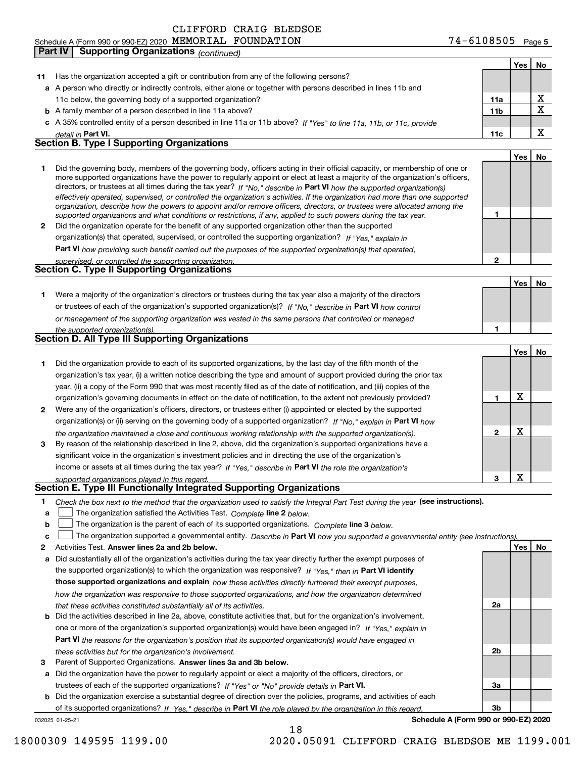**11a**

**YesNo**

 $\underline{x}$ 

|   | detail in Part VI.                                                                                                                                                                                                                                        | 11c |            | X  |
|---|-----------------------------------------------------------------------------------------------------------------------------------------------------------------------------------------------------------------------------------------------------------|-----|------------|----|
|   | <b>Section B. Type I Supporting Organizations</b>                                                                                                                                                                                                         |     |            |    |
|   |                                                                                                                                                                                                                                                           |     | Yes        | No |
| 1 | Did the governing body, members of the governing body, officers acting in their official capacity, or membership of one or                                                                                                                                |     |            |    |
|   | more supported organizations have the power to regularly appoint or elect at least a majority of the organization's officers,                                                                                                                             |     |            |    |
|   | directors, or trustees at all times during the tax year? If "No," describe in Part VI how the supported organization(s)<br>effectively operated, supervised, or controlled the organization's activities. If the organization had more than one supported |     |            |    |
|   | organization, describe how the powers to appoint and/or remove officers, directors, or trustees were allocated among the                                                                                                                                  |     |            |    |
|   | supported organizations and what conditions or restrictions, if any, applied to such powers during the tax year.                                                                                                                                          | 1   |            |    |
| 2 | Did the organization operate for the benefit of any supported organization other than the supported                                                                                                                                                       |     |            |    |
|   | organization(s) that operated, supervised, or controlled the supporting organization? If "Yes," explain in                                                                                                                                                |     |            |    |
|   | Part VI how providing such benefit carried out the purposes of the supported organization(s) that operated,                                                                                                                                               |     |            |    |
|   | supervised, or controlled the supporting organization.                                                                                                                                                                                                    | 2   |            |    |
|   | <b>Section C. Type II Supporting Organizations</b>                                                                                                                                                                                                        |     |            |    |
|   |                                                                                                                                                                                                                                                           |     | <b>Yes</b> | No |
| 1 | Were a majority of the organization's directors or trustees during the tax year also a majority of the directors                                                                                                                                          |     |            |    |
|   | or trustees of each of the organization's supported organization(s)? If "No," describe in Part VI how control                                                                                                                                             |     |            |    |
|   | or management of the supporting organization was vested in the same persons that controlled or managed                                                                                                                                                    |     |            |    |
|   | the supported organization(s).<br><b>Section D. All Type III Supporting Organizations</b>                                                                                                                                                                 | 1   |            |    |
|   |                                                                                                                                                                                                                                                           |     | Yes        | No |
| 1 | Did the organization provide to each of its supported organizations, by the last day of the fifth month of the                                                                                                                                            |     |            |    |
|   | organization's tax year, (i) a written notice describing the type and amount of support provided during the prior tax                                                                                                                                     |     |            |    |
|   | year, (ii) a copy of the Form 990 that was most recently filed as of the date of notification, and (iii) copies of the                                                                                                                                    |     |            |    |
|   | organization's governing documents in effect on the date of notification, to the extent not previously provided?                                                                                                                                          | 1   | х          |    |
| 2 | Were any of the organization's officers, directors, or trustees either (i) appointed or elected by the supported                                                                                                                                          |     |            |    |
|   | organization(s) or (ii) serving on the governing body of a supported organization? If "No," explain in Part VI how                                                                                                                                        |     |            |    |
|   |                                                                                                                                                                                                                                                           | 2   | х          |    |
| з | the organization maintained a close and continuous working relationship with the supported organization(s).<br>By reason of the relationship described in line 2, above, did the organization's supported organizations have a                            |     |            |    |
|   | significant voice in the organization's investment policies and in directing the use of the organization's                                                                                                                                                |     |            |    |
|   | income or assets at all times during the tax year? If "Yes," describe in Part VI the role the organization's                                                                                                                                              |     |            |    |
|   | supported organizations played in this regard.                                                                                                                                                                                                            | 3   | X          |    |
|   | Section E. Type III Functionally Integrated Supporting Organizations                                                                                                                                                                                      |     |            |    |
| 1 | Check the box next to the method that the organization used to satisfy the Integral Part Test during the year (see instructions).                                                                                                                         |     |            |    |
| a | The organization satisfied the Activities Test. Complete line 2 below.                                                                                                                                                                                    |     |            |    |
| b | The organization is the parent of each of its supported organizations. Complete line 3 below.                                                                                                                                                             |     |            |    |
| с | The organization supported a governmental entity. Describe in Part VI how you supported a governmental entity (see instructions).                                                                                                                         |     |            |    |
| 2 | Activities Test. Answer lines 2a and 2b below.                                                                                                                                                                                                            |     | Yes        | No |
|   | a Did substantially all of the organization's activities during the tax year directly further the exempt purposes of                                                                                                                                      |     |            |    |
|   | the supported organization(s) to which the organization was responsive? If "Yes," then in Part VI identify                                                                                                                                                |     |            |    |
|   | those supported organizations and explain how these activities directly furthered their exempt purposes,                                                                                                                                                  |     |            |    |
|   | how the organization was responsive to those supported organizations, and how the organization determined                                                                                                                                                 |     |            |    |
|   | that these activities constituted substantially all of its activities.                                                                                                                                                                                    | 2a  |            |    |
|   | <b>b</b> Did the activities described in line 2a, above, constitute activities that, but for the organization's involvement,                                                                                                                              |     |            |    |
|   | one or more of the organization's supported organization(s) would have been engaged in? If "Yes," explain in                                                                                                                                              |     |            |    |
|   | Part VI the reasons for the organization's position that its supported organization(s) would have engaged in                                                                                                                                              |     |            |    |
|   | these activities but for the organization's involvement.                                                                                                                                                                                                  | 2b  |            |    |
| з | Parent of Supported Organizations. Answer lines 3a and 3b below.                                                                                                                                                                                          |     |            |    |
|   | a Did the organization have the power to regularly appoint or elect a majority of the officers, directors, or                                                                                                                                             |     |            |    |
|   | trustees of each of the supported organizations? If "Yes" or "No" provide details in Part VI.                                                                                                                                                             | За  |            |    |
|   | <b>b</b> Did the organization exercise a substantial degree of direction over the policies, programs, and activities of each                                                                                                                              |     |            |    |
|   | of its supported organizations? If "Yes," describe in Part VI the role played by the organization in this regard.                                                                                                                                         | Зb  |            |    |
|   | Schedule A (Form 990 or 990-EZ) 2020<br>032025 01-25-21                                                                                                                                                                                                   |     |            |    |

**a**A person who directly or indirectly controls, either alone or together with persons described in lines 11b and

**11** Has the organization accepted a gift or contribution from any of the following persons?

11c below, the governing body of a supported organization?

**Part IV Supporting Organizations** *(continued)*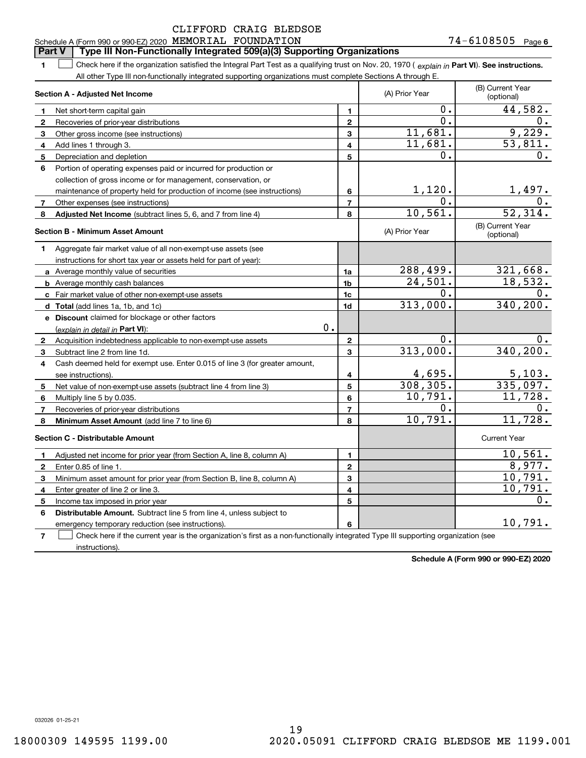#### **Part V Type III Non-Functionally Integrated 509(a)(3) Supporting Organizations**

**1**1 Check here if the organization satisfied the Integral Part Test as a qualifying trust on Nov. 20, 1970 (explain in Part VI). See instructions. All other Type III non-functionally integrated supporting organizations must complete Sections A through E.

|                | Section A - Adjusted Net Income                                                                                                   |                | (A) Prior Year          | (B) Current Year<br>(optional) |
|----------------|-----------------------------------------------------------------------------------------------------------------------------------|----------------|-------------------------|--------------------------------|
| $\mathbf{1}$   | Net short-term capital gain                                                                                                       | 1              | 0.                      | 44,582.                        |
| $\mathbf{2}$   | Recoveries of prior-year distributions                                                                                            | $\overline{2}$ | 0.                      | 0.                             |
| 3              | Other gross income (see instructions)                                                                                             | 3              | 11,681.                 | 9,229.                         |
| 4              | Add lines 1 through 3.                                                                                                            | 4              | 11,681.                 | $\overline{53,811.}$           |
| 5              | Depreciation and depletion                                                                                                        | 5              | О.                      | 0.                             |
| 6              | Portion of operating expenses paid or incurred for production or                                                                  |                |                         |                                |
|                | collection of gross income or for management, conservation, or                                                                    |                |                         |                                |
|                | maintenance of property held for production of income (see instructions)                                                          | 6              | 1,120.                  | 1,497.                         |
| 7              | Other expenses (see instructions)                                                                                                 | $\overline{7}$ | $\mathbf 0$ .           |                                |
| 8              | Adjusted Net Income (subtract lines 5, 6, and 7 from line 4)                                                                      | 8              | 10,561.                 | 52,314.                        |
|                | <b>Section B - Minimum Asset Amount</b>                                                                                           |                | (A) Prior Year          | (B) Current Year<br>(optional) |
| 1              | Aggregate fair market value of all non-exempt-use assets (see                                                                     |                |                         |                                |
|                | instructions for short tax year or assets held for part of year):                                                                 |                |                         |                                |
|                | a Average monthly value of securities                                                                                             | 1a             | 288,499.                | 321,668.                       |
|                | <b>b</b> Average monthly cash balances                                                                                            | 1b             | 24,501.                 | 18,532.                        |
|                | c Fair market value of other non-exempt-use assets                                                                                | 1c             | О.                      | 0.                             |
|                | d Total (add lines 1a, 1b, and 1c)                                                                                                | 1 <sub>d</sub> | 313,000.                | 340, 200.                      |
|                | e Discount claimed for blockage or other factors                                                                                  |                |                         |                                |
|                | 0.<br>(explain in detail in Part VI):                                                                                             |                |                         |                                |
| $\mathbf{2}$   | Acquisition indebtedness applicable to non-exempt-use assets                                                                      | $\mathbf 2$    | $\mathbf 0$ .           | $0$ .                          |
| 3              | Subtract line 2 from line 1d.                                                                                                     | 3              | 313,000.                | 340,200.                       |
| 4              | Cash deemed held for exempt use. Enter 0.015 of line 3 (for greater amount,                                                       |                |                         |                                |
|                | see instructions).                                                                                                                | 4              | $\frac{4,695}{308,305}$ |                                |
| 5              | Net value of non-exempt-use assets (subtract line 4 from line 3)                                                                  | 5              |                         | $\frac{5,103}{335,097}$ .      |
| 6              | Multiply line 5 by 0.035.                                                                                                         | 6              | 10,791.                 | 11,728.                        |
| 7              | Recoveries of prior-year distributions                                                                                            | $\overline{7}$ | О.                      | 0.                             |
| 8              | Minimum Asset Amount (add line 7 to line 6)                                                                                       | 8              | 10,791.                 | 11,728.                        |
|                | <b>Section C - Distributable Amount</b>                                                                                           |                |                         | <b>Current Year</b>            |
| 1              | Adjusted net income for prior year (from Section A, line 8, column A)                                                             | 1              |                         | 10,561.                        |
| $\mathbf{2}$   | Enter 0.85 of line 1.                                                                                                             | $\mathbf{2}$   |                         | 8,977.                         |
| 3              | Minimum asset amount for prior year (from Section B, line 8, column A)                                                            | 3              |                         | 10,791.                        |
| 4              | Enter greater of line 2 or line 3.                                                                                                | 4              |                         | 10, 791.                       |
| 5              | Income tax imposed in prior year                                                                                                  | 5              |                         | 0.                             |
| 6              | <b>Distributable Amount.</b> Subtract line 5 from line 4, unless subject to                                                       |                |                         |                                |
|                | emergency temporary reduction (see instructions).                                                                                 | 6              |                         | 10,791.                        |
| $\overline{7}$ | Check here if the current year is the organization's first as a non-functionally integrated Type III supporting organization (see |                |                         |                                |

**Schedule A (Form 990 or 990-EZ) 2020**

032026 01-25-21

instructions).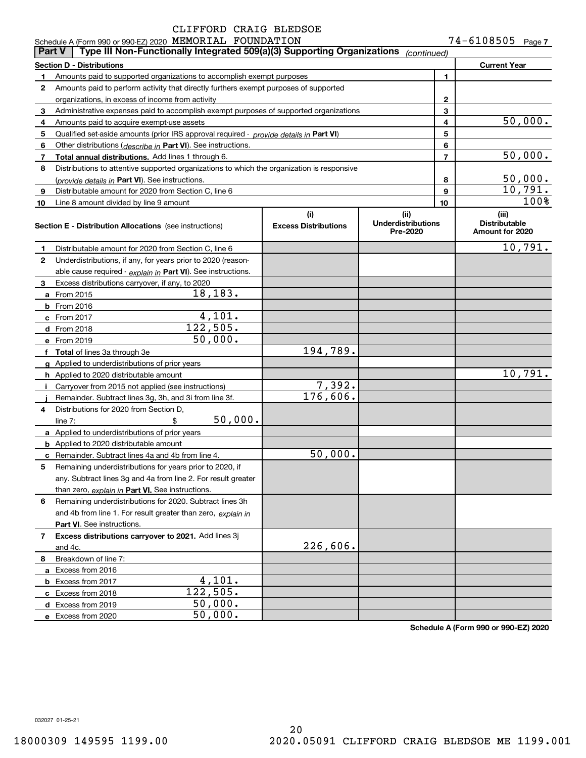|              | Schedule A (Form 990 or 990-EZ) 2020 MEMORIAL FOUNDATION<br>Type III Non-Functionally Integrated 509(a)(3) Supporting Organizations<br>Part V |                             |                                       |                | 74-6108505                              | Page 7  |
|--------------|-----------------------------------------------------------------------------------------------------------------------------------------------|-----------------------------|---------------------------------------|----------------|-----------------------------------------|---------|
|              |                                                                                                                                               |                             | (continued)                           |                |                                         |         |
|              | <b>Section D - Distributions</b>                                                                                                              |                             |                                       |                | <b>Current Year</b>                     |         |
| 1.           | Amounts paid to supported organizations to accomplish exempt purposes                                                                         |                             |                                       | 1              |                                         |         |
| $\mathbf{2}$ | Amounts paid to perform activity that directly furthers exempt purposes of supported                                                          |                             |                                       |                |                                         |         |
|              | organizations, in excess of income from activity                                                                                              |                             | 2                                     |                |                                         |         |
| 3            | Administrative expenses paid to accomplish exempt purposes of supported organizations                                                         |                             |                                       | 3              |                                         | 50,000. |
| 4            | Amounts paid to acquire exempt-use assets                                                                                                     |                             |                                       | 4              |                                         |         |
| 5            | Qualified set-aside amounts (prior IRS approval required - provide details in Part VI)                                                        |                             |                                       | 5<br>6         |                                         |         |
| 6            | Other distributions (describe in Part VI). See instructions.<br>Total annual distributions. Add lines 1 through 6.                            |                             |                                       | $\overline{7}$ |                                         | 50,000. |
| 7<br>8       | Distributions to attentive supported organizations to which the organization is responsive                                                    |                             |                                       |                |                                         |         |
|              | (provide details in Part VI). See instructions.                                                                                               |                             |                                       | 8              |                                         | 50,000. |
| 9            | Distributable amount for 2020 from Section C, line 6                                                                                          |                             |                                       | 9              |                                         | 10,791. |
| 10           | Line 8 amount divided by line 9 amount                                                                                                        |                             |                                       | 10             |                                         | 100%    |
|              |                                                                                                                                               | (i)                         | (ii)                                  |                | (iii)                                   |         |
|              | Section E - Distribution Allocations (see instructions)                                                                                       | <b>Excess Distributions</b> | <b>Underdistributions</b><br>Pre-2020 |                | <b>Distributable</b><br>Amount for 2020 |         |
| 1.           | Distributable amount for 2020 from Section C, line 6                                                                                          |                             |                                       |                |                                         | 10,791. |
| $\mathbf{2}$ | Underdistributions, if any, for years prior to 2020 (reason-                                                                                  |                             |                                       |                |                                         |         |
|              | able cause required - explain in Part VI). See instructions.                                                                                  |                             |                                       |                |                                         |         |
| 3            | Excess distributions carryover, if any, to 2020                                                                                               |                             |                                       |                |                                         |         |
|              | 18,183.<br>a From 2015                                                                                                                        |                             |                                       |                |                                         |         |
|              | <b>b</b> From 2016                                                                                                                            |                             |                                       |                |                                         |         |
|              | 4,101.<br>c From 2017                                                                                                                         |                             |                                       |                |                                         |         |
|              | 122,505.<br>d From 2018                                                                                                                       |                             |                                       |                |                                         |         |
|              | 50,000.<br>e From 2019                                                                                                                        |                             |                                       |                |                                         |         |
|              | f Total of lines 3a through 3e                                                                                                                | 194,789.                    |                                       |                |                                         |         |
|              | g Applied to underdistributions of prior years                                                                                                |                             |                                       |                |                                         |         |
|              | h Applied to 2020 distributable amount                                                                                                        |                             |                                       |                |                                         | 10,791. |
| Ť.           | Carryover from 2015 not applied (see instructions)                                                                                            | 7,392.                      |                                       |                |                                         |         |
|              | Remainder. Subtract lines 3g, 3h, and 3i from line 3f.                                                                                        | 176,606.                    |                                       |                |                                         |         |
| 4            | Distributions for 2020 from Section D,                                                                                                        |                             |                                       |                |                                         |         |
|              | 50,000.<br>\$<br>line $7:$                                                                                                                    |                             |                                       |                |                                         |         |
|              | a Applied to underdistributions of prior years                                                                                                |                             |                                       |                |                                         |         |
|              | <b>b</b> Applied to 2020 distributable amount                                                                                                 |                             |                                       |                |                                         |         |
|              | c Remainder. Subtract lines 4a and 4b from line 4.                                                                                            | 50,000.                     |                                       |                |                                         |         |
| 5            | Remaining underdistributions for years prior to 2020, if                                                                                      |                             |                                       |                |                                         |         |
|              | any. Subtract lines 3g and 4a from line 2. For result greater                                                                                 |                             |                                       |                |                                         |         |
|              | than zero, explain in Part VI. See instructions.                                                                                              |                             |                                       |                |                                         |         |
| 6            | Remaining underdistributions for 2020. Subtract lines 3h                                                                                      |                             |                                       |                |                                         |         |
|              | and 4b from line 1. For result greater than zero, explain in                                                                                  |                             |                                       |                |                                         |         |
|              | Part VI. See instructions.                                                                                                                    |                             |                                       |                |                                         |         |
| 7            | Excess distributions carryover to 2021. Add lines 3j                                                                                          |                             |                                       |                |                                         |         |
|              | and 4c.                                                                                                                                       | 226,606.                    |                                       |                |                                         |         |
| 8            | Breakdown of line 7:                                                                                                                          |                             |                                       |                |                                         |         |
|              | a Excess from 2016                                                                                                                            |                             |                                       |                |                                         |         |
|              | 4,101.<br><b>b</b> Excess from 2017                                                                                                           |                             |                                       |                |                                         |         |
|              | 122,505.<br>c Excess from 2018                                                                                                                |                             |                                       |                |                                         |         |
|              | 50,000.<br>d Excess from 2019                                                                                                                 |                             |                                       |                |                                         |         |
|              | 50,000.<br>e Excess from 2020                                                                                                                 |                             |                                       |                |                                         |         |

**Schedule A (Form 990 or 990-EZ) 2020**

032027 01-25-21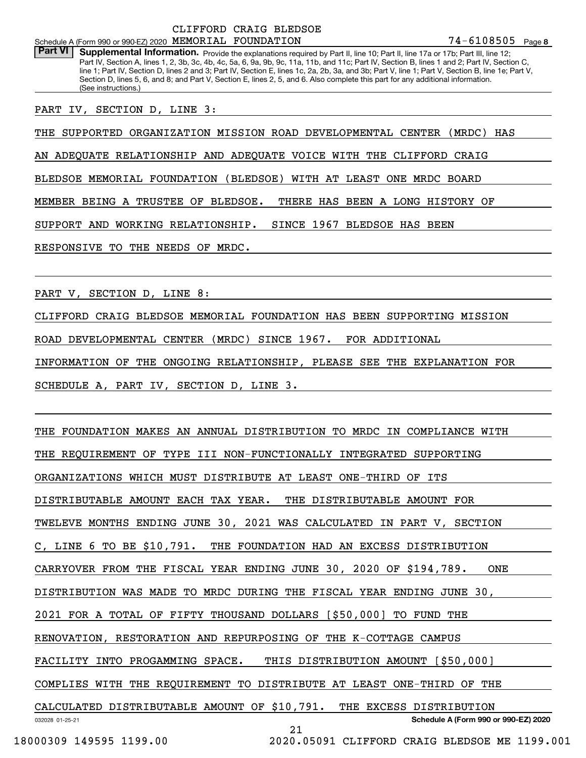Part VI | Supplemental Information. Provide the explanations required by Part II, line 10; Part II, line 17a or 17b; Part III, line 12; Part IV, Section A, lines 1, 2, 3b, 3c, 4b, 4c, 5a, 6, 9a, 9b, 9c, 11a, 11b, and 11c; Part IV, Section B, lines 1 and 2; Part IV, Section C, line 1; Part IV, Section D, lines 2 and 3; Part IV, Section E, lines 1c, 2a, 2b, 3a, and 3b; Part V, line 1; Part V, Section B, line 1e; Part V, Section D, lines 5, 6, and 8; and Part V, Section E, lines 2, 5, and 6. Also complete this part for any additional information. (See instructions.)

PART IV, SECTION D, LINE 3:

THE SUPPORTED ORGANIZATION MISSION ROAD DEVELOPMENTAL CENTER (MRDC) HAS

AN ADEQUATE RELATIONSHIP AND ADEQUATE VOICE WITH THE CLIFFORD CRAIG

BLEDSOE MEMORIAL FOUNDATION (BLEDSOE) WITH AT LEAST ONE MRDC BOARD

MEMBER BEING A TRUSTEE OF BLEDSOE. THERE HAS BEEN A LONG HISTORY OF

SUPPORT AND WORKING RELATIONSHIP. SINCE 1967 BLEDSOE HAS BEEN

RESPONSIVE TO THE NEEDS OF MRDC.

PART V, SECTION D, LINE 8:

CLIFFORD CRAIG BLEDSOE MEMORIAL FOUNDATION HAS BEEN SUPPORTING MISSION

ROAD DEVELOPMENTAL CENTER (MRDC) SINCE 1967. FOR ADDITIONAL

INFORMATION OF THE ONGOING RELATIONSHIP, PLEASE SEE THE EXPLANATION FOR

SCHEDULE A, PART IV, SECTION D, LINE 3.

THE FOUNDATION MAKES AN ANNUAL DISTRIBUTION TO MRDC IN COMPLIANCE WITH

THE REQUIREMENT OF TYPE III NON-FUNCTIONALLY INTEGRATED SUPPORTING

ORGANIZATIONS WHICH MUST DISTRIBUTE AT LEAST ONE-THIRD OF ITS

DISTRIBUTABLE AMOUNT EACH TAX YEAR. THE DISTRIBUTABLE AMOUNT FOR

TWELEVE MONTHS ENDING JUNE 30, 2021 WAS CALCULATED IN PART V, SECTION

C, LINE 6 TO BE \$10,791. THE FOUNDATION HAD AN EXCESS DISTRIBUTION

CARRYOVER FROM THE FISCAL YEAR ENDING JUNE 30, 2020 OF \$194,789. ONE

DISTRIBUTION WAS MADE TO MRDC DURING THE FISCAL YEAR ENDING JUNE 30,

2021 FOR A TOTAL OF FIFTY THOUSAND DOLLARS [\$50,000] TO FUND THE

RENOVATION, RESTORATION AND REPURPOSING OF THE K-COTTAGE CAMPUS

FACILITY INTO PROGAMMING SPACE. THIS DISTRIBUTION AMOUNT [\$50,000]

COMPLIES WITH THE REQUIREMENT TO DISTRIBUTE AT LEAST ONE-THIRD OF THE

032028 01-25-21 **Schedule A (Form 990 or 990-EZ) 2020** CALCULATED DISTRIBUTABLE AMOUNT OF \$10,791. THE EXCESS DISTRIBUTION

18000309 149595 1199.00 2020.05091 CLIFFORD CRAIG BLEDSOE ME 1199.001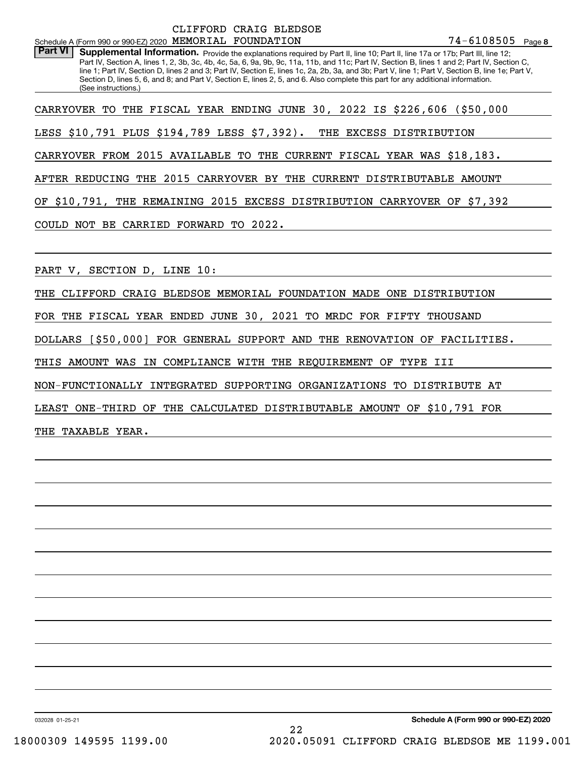|                                                          | CLIFFORD CRAIG BLEDSOE |                     |  |
|----------------------------------------------------------|------------------------|---------------------|--|
| Schedule A (Form 990 or 990-EZ) 2020 MEMORIAL FOUNDATION |                        | $74 - 6108505$ Page |  |

**8**74-6108505

Part VI | Supplemental Information. Provide the explanations required by Part II, line 10; Part II, line 17a or 17b; Part III, line 12; Part IV, Section A, lines 1, 2, 3b, 3c, 4b, 4c, 5a, 6, 9a, 9b, 9c, 11a, 11b, and 11c; Part IV, Section B, lines 1 and 2; Part IV, Section C, line 1; Part IV, Section D, lines 2 and 3; Part IV, Section E, lines 1c, 2a, 2b, 3a, and 3b; Part V, line 1; Part V, Section B, line 1e; Part V, Section D, lines 5, 6, and 8; and Part V, Section E, lines 2, 5, and 6. Also complete this part for any additional information. (See instructions.)

CARRYOVER TO THE FISCAL YEAR ENDING JUNE 30, 2022 IS \$226,606 (\$50,000

LESS \$10,791 PLUS \$194,789 LESS \$7,392). THE EXCESS DISTRIBUTION

CARRYOVER FROM 2015 AVAILABLE TO THE CURRENT FISCAL YEAR WAS \$18,183.

AFTER REDUCING THE 2015 CARRYOVER BY THE CURRENT DISTRIBUTABLE AMOUNT

OF \$10,791, THE REMAINING 2015 EXCESS DISTRIBUTION CARRYOVER OF \$7,392

COULD NOT BE CARRIED FORWARD TO 2022.

PART V, SECTION D, LINE 10:

THE CLIFFORD CRAIG BLEDSOE MEMORIAL FOUNDATION MADE ONE DISTRIBUTION

FOR THE FISCAL YEAR ENDED JUNE 30, 2021 TO MRDC FOR FIFTY THOUSAND

DOLLARS [\$50,000] FOR GENERAL SUPPORT AND THE RENOVATION OF FACILITIES.

THIS AMOUNT WAS IN COMPLIANCE WITH THE REQUIREMENT OF TYPE III

NON-FUNCTIONALLY INTEGRATED SUPPORTING ORGANIZATIONS TO DISTRIBUTE AT

LEAST ONE-THIRD OF THE CALCULATED DISTRIBUTABLE AMOUNT OF \$10,791 FOR

THE TAXABLE YEAR.

032028 01-25-21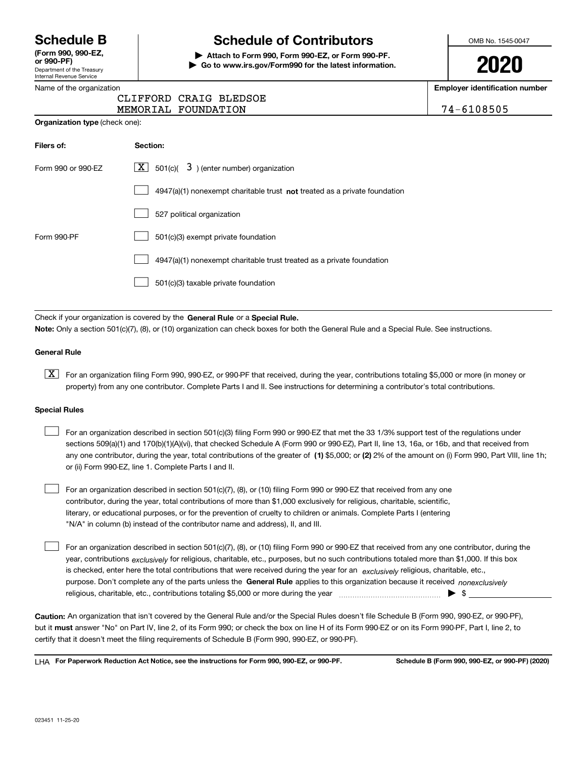Department of the Treasury Internal Revenue Service **(Form 990, 990-EZ, or 990-PF)**

## **Schedule B Schedule of Contributors**

**| Attach to Form 990, Form 990-EZ, or Form 990-PF. | Go to www.irs.gov/Form990 for the latest information.** OMB No. 1545-0047

**2020**

**Employer identification number**

| 74-6108505 |  |  |
|------------|--|--|
|            |  |  |

|  | Name of the organization |
|--|--------------------------|

|                                       | CLIFFORD CRAIG BLEDSOE                                      |            |
|---------------------------------------|-------------------------------------------------------------|------------|
|                                       | MEMORIAL FOUNDATION                                         | 74-6108505 |
| <b>Organization type (check one):</b> |                                                             |            |
| Filers of:                            | Section:                                                    |            |
| Form 990 or 990-EZ                    | $\boxed{\mathbf{X}}$ 501(c)( 3) (enter number) organization |            |
|                                       | $\cdots$                                                    |            |

|             | $4947(a)(1)$ nonexempt charitable trust <b>not</b> treated as a private foundation |
|-------------|------------------------------------------------------------------------------------|
|             | 527 political organization                                                         |
| Form 990-PF | 501(c)(3) exempt private foundation                                                |
|             | 4947(a)(1) nonexempt charitable trust treated as a private foundation              |
|             | 501(c)(3) taxable private foundation                                               |

Check if your organization is covered by the **General Rule** or a **Special Rule. Note:**  Only a section 501(c)(7), (8), or (10) organization can check boxes for both the General Rule and a Special Rule. See instructions.

#### **General Rule**

 $\boxed{\textbf{X}}$  For an organization filing Form 990, 990-EZ, or 990-PF that received, during the year, contributions totaling \$5,000 or more (in money or property) from any one contributor. Complete Parts I and II. See instructions for determining a contributor's total contributions.

#### **Special Rules**

| For an organization described in section 501(c)(3) filing Form 990 or 990-EZ that met the 33 1/3% support test of the regulations under               |
|-------------------------------------------------------------------------------------------------------------------------------------------------------|
| sections 509(a)(1) and 170(b)(1)(A)(vi), that checked Schedule A (Form 990 or 990-EZ), Part II, line 13, 16a, or 16b, and that received from          |
| any one contributor, during the year, total contributions of the greater of (1) \$5,000; or (2) 2% of the amount on (i) Form 990, Part VIII, line 1h; |
| or (ii) Form 990-EZ, line 1. Complete Parts I and II.                                                                                                 |

For an organization described in section 501(c)(7), (8), or (10) filing Form 990 or 990-EZ that received from any one contributor, during the year, total contributions of more than \$1,000 exclusively for religious, charitable, scientific, literary, or educational purposes, or for the prevention of cruelty to children or animals. Complete Parts I (entering "N/A" in column (b) instead of the contributor name and address), II, and III.  $\mathcal{L}^{\text{max}}$ 

purpose. Don't complete any of the parts unless the **General Rule** applies to this organization because it received *nonexclusively* year, contributions <sub>exclusively</sub> for religious, charitable, etc., purposes, but no such contributions totaled more than \$1,000. If this box is checked, enter here the total contributions that were received during the year for an  $\;$ exclusively religious, charitable, etc., For an organization described in section 501(c)(7), (8), or (10) filing Form 990 or 990-EZ that received from any one contributor, during the religious, charitable, etc., contributions totaling \$5,000 or more during the year  $\Box$ — $\Box$   $\Box$  $\mathcal{L}^{\text{max}}$ 

**Caution:**  An organization that isn't covered by the General Rule and/or the Special Rules doesn't file Schedule B (Form 990, 990-EZ, or 990-PF),  **must** but it answer "No" on Part IV, line 2, of its Form 990; or check the box on line H of its Form 990-EZ or on its Form 990-PF, Part I, line 2, to certify that it doesn't meet the filing requirements of Schedule B (Form 990, 990-EZ, or 990-PF).

**For Paperwork Reduction Act Notice, see the instructions for Form 990, 990-EZ, or 990-PF. Schedule B (Form 990, 990-EZ, or 990-PF) (2020)** LHA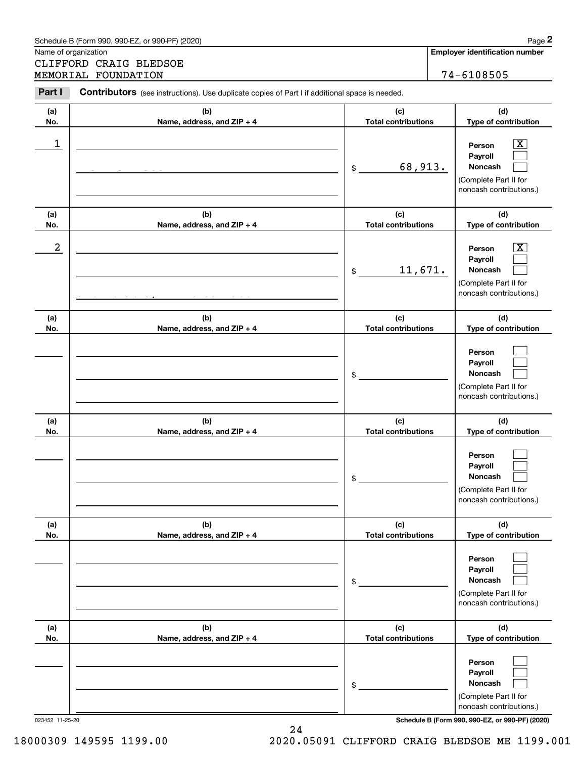|            | Schedule B (Form 990, 990-EZ, or 990-PF) (2020)<br>Name of organization                        |                                                    | Page 2<br><b>Employer identification number</b>                                                                |
|------------|------------------------------------------------------------------------------------------------|----------------------------------------------------|----------------------------------------------------------------------------------------------------------------|
|            | CLIFFORD CRAIG BLEDSOE                                                                         |                                                    |                                                                                                                |
|            | MEMORIAL FOUNDATION                                                                            |                                                    | 74-6108505                                                                                                     |
| Part I     | Contributors (see instructions). Use duplicate copies of Part I if additional space is needed. |                                                    |                                                                                                                |
| (a)<br>No. | (b)<br>Name, address, and ZIP + 4                                                              | (c)<br><b>Total contributions</b>                  | (d)<br>Type of contribution                                                                                    |
| 1          |                                                                                                | 68,913.<br>$$\mathbb{S}$$                          | X.<br>Person<br>Payroll<br>Noncash<br>(Complete Part II for<br>noncash contributions.)                         |
| (a)        | (b)                                                                                            | (c)                                                | (d)                                                                                                            |
| No.<br>2   | Name, address, and ZIP + 4                                                                     | <b>Total contributions</b><br>11,671.<br>$$\circ$$ | Type of contribution<br>X.<br>Person<br>Payroll<br>Noncash<br>(Complete Part II for<br>noncash contributions.) |
| (a)<br>No. | (b)<br>Name, address, and ZIP + 4                                                              | (c)<br><b>Total contributions</b>                  | (d)<br>Type of contribution                                                                                    |
|            |                                                                                                | \$                                                 | Person<br>Payroll<br><b>Noncash</b><br>(Complete Part II for<br>noncash contributions.)                        |
| (a)<br>No. | (b)<br>Name, address, and ZIP + 4                                                              | (c)<br><b>Total contributions</b>                  | (d)<br>Type of contribution                                                                                    |
|            |                                                                                                | \$                                                 | Person<br>Payroll<br>Noncash<br>(Complete Part II for<br>noncash contributions.)                               |
| (a)<br>No. | (b)<br>Name, address, and ZIP + 4                                                              | (c)<br><b>Total contributions</b>                  | (d)<br>Type of contribution                                                                                    |
|            |                                                                                                | \$                                                 | Person<br>Payroll<br>Noncash<br>(Complete Part II for<br>noncash contributions.)                               |
| (a)<br>No. | (b)<br>Name, address, and ZIP + 4                                                              | (c)<br><b>Total contributions</b>                  | (d)<br>Type of contribution                                                                                    |
|            |                                                                                                | \$                                                 | Person<br>Payroll<br>Noncash<br>(Complete Part II for<br>noncash contributions.)                               |

023452 11-25-20 **Schedule B (Form 990, 990-EZ, or 990-PF) (2020)**

24 18000309 149595 1199.00 2020.05091 CLIFFORD CRAIG BLEDSOE ME 1199.001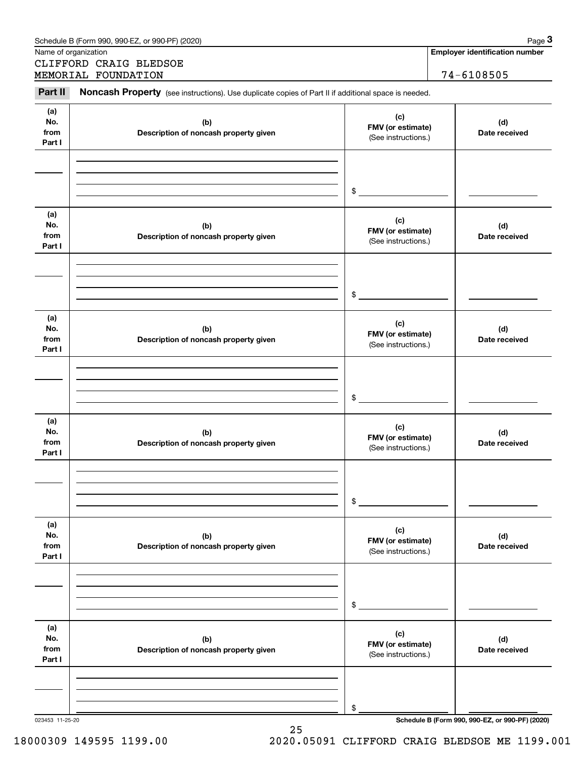|                              | CLIFFORD CRAIG BLEDSOE<br>MEMORIAL FOUNDATION                                                       |                                                 | 74-6108505           |
|------------------------------|-----------------------------------------------------------------------------------------------------|-------------------------------------------------|----------------------|
| Part II                      | Noncash Property (see instructions). Use duplicate copies of Part II if additional space is needed. |                                                 |                      |
| (a)<br>No.<br>from<br>Part I | (b)<br>Description of noncash property given                                                        | (c)<br>FMV (or estimate)<br>(See instructions.) | (d)<br>Date received |
|                              |                                                                                                     | \$                                              |                      |
| (a)<br>No.<br>from<br>Part I | (b)<br>Description of noncash property given                                                        | (c)<br>FMV (or estimate)<br>(See instructions.) | (d)<br>Date received |
|                              |                                                                                                     | \$                                              |                      |
| (a)<br>No.<br>from<br>Part I | (b)<br>Description of noncash property given                                                        | (c)<br>FMV (or estimate)<br>(See instructions.) | (d)<br>Date received |
|                              |                                                                                                     | \$                                              |                      |
| (a)<br>No.<br>from<br>Part I | (b)<br>Description of noncash property given                                                        | (c)<br>FMV (or estimate)<br>(See instructions.) | (d)<br>Date received |
|                              |                                                                                                     | \$                                              |                      |
| (a)<br>No.<br>from<br>Part I | (b)<br>Description of noncash property given                                                        | (c)<br>FMV (or estimate)<br>(See instructions.) | (d)<br>Date received |
|                              |                                                                                                     | \$                                              |                      |
| (a)<br>No.<br>from<br>Part I | (b)<br>Description of noncash property given                                                        | (c)<br>FMV (or estimate)<br>(See instructions.) | (d)<br>Date received |
|                              |                                                                                                     |                                                 |                      |

25

Schedule B (Form 990, 990-EZ, or 990-PF) (2020) Page 3

18000309 149595 1199.00 2020.05091 CLIFFORD CRAIG BLEDSOE ME 1199.001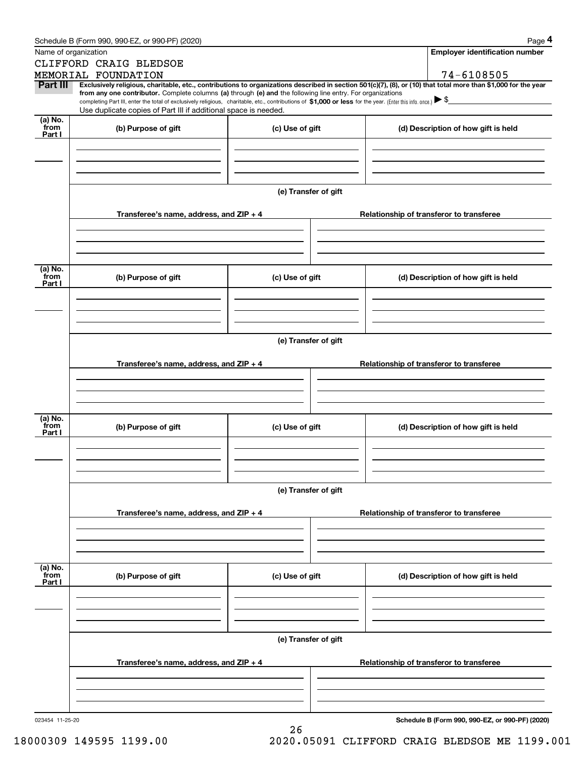|                      | Schedule B (Form 990, 990-EZ, or 990-PF) (2020)                                                                                                                                                                                                      |                      | Page 4                                                                                                                                                                       |  |  |  |  |
|----------------------|------------------------------------------------------------------------------------------------------------------------------------------------------------------------------------------------------------------------------------------------------|----------------------|------------------------------------------------------------------------------------------------------------------------------------------------------------------------------|--|--|--|--|
| Name of organization |                                                                                                                                                                                                                                                      |                      | <b>Employer identification number</b>                                                                                                                                        |  |  |  |  |
|                      | CLIFFORD CRAIG BLEDSOE                                                                                                                                                                                                                               |                      |                                                                                                                                                                              |  |  |  |  |
| Part III             | MEMORIAL FOUNDATION                                                                                                                                                                                                                                  |                      | 74-6108505<br>Exclusively religious, charitable, etc., contributions to organizations described in section 501(c)(7), (8), or (10) that total more than \$1,000 for the year |  |  |  |  |
|                      | from any one contributor. Complete columns (a) through (e) and the following line entry. For organizations                                                                                                                                           |                      |                                                                                                                                                                              |  |  |  |  |
|                      | completing Part III, enter the total of exclusively religious, charitable, etc., contributions of \$1,000 or less for the year. (Enter this info. once.) $\blacktriangleright$ \$<br>Use duplicate copies of Part III if additional space is needed. |                      |                                                                                                                                                                              |  |  |  |  |
| (a) No.              |                                                                                                                                                                                                                                                      |                      |                                                                                                                                                                              |  |  |  |  |
| from<br>Part I       | (b) Purpose of gift                                                                                                                                                                                                                                  | (c) Use of gift      | (d) Description of how gift is held                                                                                                                                          |  |  |  |  |
|                      |                                                                                                                                                                                                                                                      |                      |                                                                                                                                                                              |  |  |  |  |
|                      |                                                                                                                                                                                                                                                      |                      |                                                                                                                                                                              |  |  |  |  |
|                      |                                                                                                                                                                                                                                                      |                      |                                                                                                                                                                              |  |  |  |  |
|                      |                                                                                                                                                                                                                                                      |                      |                                                                                                                                                                              |  |  |  |  |
|                      |                                                                                                                                                                                                                                                      | (e) Transfer of gift |                                                                                                                                                                              |  |  |  |  |
|                      | Transferee's name, address, and ZIP + 4                                                                                                                                                                                                              |                      | Relationship of transferor to transferee                                                                                                                                     |  |  |  |  |
|                      |                                                                                                                                                                                                                                                      |                      |                                                                                                                                                                              |  |  |  |  |
|                      |                                                                                                                                                                                                                                                      |                      |                                                                                                                                                                              |  |  |  |  |
|                      |                                                                                                                                                                                                                                                      |                      |                                                                                                                                                                              |  |  |  |  |
| (a) No.              |                                                                                                                                                                                                                                                      |                      |                                                                                                                                                                              |  |  |  |  |
| from<br>Part I       | (b) Purpose of gift                                                                                                                                                                                                                                  | (c) Use of gift      | (d) Description of how gift is held                                                                                                                                          |  |  |  |  |
|                      |                                                                                                                                                                                                                                                      |                      |                                                                                                                                                                              |  |  |  |  |
|                      |                                                                                                                                                                                                                                                      |                      |                                                                                                                                                                              |  |  |  |  |
|                      |                                                                                                                                                                                                                                                      |                      |                                                                                                                                                                              |  |  |  |  |
|                      |                                                                                                                                                                                                                                                      |                      |                                                                                                                                                                              |  |  |  |  |
|                      | (e) Transfer of gift                                                                                                                                                                                                                                 |                      |                                                                                                                                                                              |  |  |  |  |
|                      | Transferee's name, address, and ZIP + 4                                                                                                                                                                                                              |                      | Relationship of transferor to transferee                                                                                                                                     |  |  |  |  |
|                      |                                                                                                                                                                                                                                                      |                      |                                                                                                                                                                              |  |  |  |  |
|                      |                                                                                                                                                                                                                                                      |                      |                                                                                                                                                                              |  |  |  |  |
|                      |                                                                                                                                                                                                                                                      |                      |                                                                                                                                                                              |  |  |  |  |
| (a) No.              |                                                                                                                                                                                                                                                      |                      |                                                                                                                                                                              |  |  |  |  |
| from<br>Part I       | (b) Purpose of gift                                                                                                                                                                                                                                  | (c) Use of gift      | (d) Description of how gift is held                                                                                                                                          |  |  |  |  |
|                      |                                                                                                                                                                                                                                                      |                      |                                                                                                                                                                              |  |  |  |  |
|                      |                                                                                                                                                                                                                                                      |                      |                                                                                                                                                                              |  |  |  |  |
|                      |                                                                                                                                                                                                                                                      |                      |                                                                                                                                                                              |  |  |  |  |
|                      |                                                                                                                                                                                                                                                      |                      |                                                                                                                                                                              |  |  |  |  |
|                      |                                                                                                                                                                                                                                                      | (e) Transfer of gift |                                                                                                                                                                              |  |  |  |  |
|                      | Transferee's name, address, and $ZIP + 4$                                                                                                                                                                                                            |                      | Relationship of transferor to transferee                                                                                                                                     |  |  |  |  |
|                      |                                                                                                                                                                                                                                                      |                      |                                                                                                                                                                              |  |  |  |  |
|                      |                                                                                                                                                                                                                                                      |                      |                                                                                                                                                                              |  |  |  |  |
|                      |                                                                                                                                                                                                                                                      |                      |                                                                                                                                                                              |  |  |  |  |
| (a) No.<br>from      |                                                                                                                                                                                                                                                      |                      |                                                                                                                                                                              |  |  |  |  |
| Part I               | (b) Purpose of gift                                                                                                                                                                                                                                  | (c) Use of gift      | (d) Description of how gift is held                                                                                                                                          |  |  |  |  |
|                      |                                                                                                                                                                                                                                                      |                      |                                                                                                                                                                              |  |  |  |  |
|                      |                                                                                                                                                                                                                                                      |                      |                                                                                                                                                                              |  |  |  |  |
|                      |                                                                                                                                                                                                                                                      |                      |                                                                                                                                                                              |  |  |  |  |
|                      |                                                                                                                                                                                                                                                      | (e) Transfer of gift |                                                                                                                                                                              |  |  |  |  |
|                      |                                                                                                                                                                                                                                                      |                      |                                                                                                                                                                              |  |  |  |  |
|                      | Transferee's name, address, and ZIP + 4                                                                                                                                                                                                              |                      | Relationship of transferor to transferee                                                                                                                                     |  |  |  |  |
|                      |                                                                                                                                                                                                                                                      |                      |                                                                                                                                                                              |  |  |  |  |
|                      |                                                                                                                                                                                                                                                      |                      |                                                                                                                                                                              |  |  |  |  |
|                      |                                                                                                                                                                                                                                                      |                      |                                                                                                                                                                              |  |  |  |  |

26

Schedule B (Form 990, 990-EZ, or 990-PF) (2020) Page 4

**Schedule B (Form 990, 990-EZ, or 990-PF) (2020)**

18000309 149595 1199.00 2020.05091 CLIFFORD CRAIG BLEDSOE ME 1199.001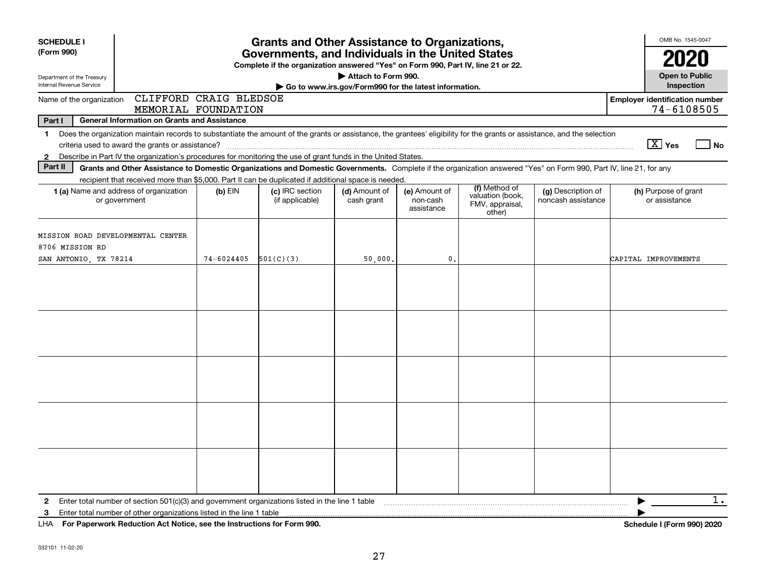| <b>SCHEDULE I</b>                                                             |                                                                                                                                                                                                                                                                                           |            | <b>Grants and Other Assistance to Organizations,</b>                                                                                  |                                                                              |                                         |                                                                |                                          | OMB No. 1545-0047                                   |
|-------------------------------------------------------------------------------|-------------------------------------------------------------------------------------------------------------------------------------------------------------------------------------------------------------------------------------------------------------------------------------------|------------|---------------------------------------------------------------------------------------------------------------------------------------|------------------------------------------------------------------------------|-----------------------------------------|----------------------------------------------------------------|------------------------------------------|-----------------------------------------------------|
| (Form 990)                                                                    |                                                                                                                                                                                                                                                                                           |            | Governments, and Individuals in the United States<br>Complete if the organization answered "Yes" on Form 990, Part IV, line 21 or 22. |                                                                              |                                         |                                                                |                                          |                                                     |
| Department of the Treasury<br><b>Internal Revenue Service</b>                 |                                                                                                                                                                                                                                                                                           |            |                                                                                                                                       | Attach to Form 990.<br>Go to www.irs.gov/Form990 for the latest information. |                                         |                                                                |                                          | <b>Open to Public</b><br>Inspection                 |
| Name of the organization                                                      | CLIFFORD CRAIG BLEDSOE<br>MEMORIAL FOUNDATION                                                                                                                                                                                                                                             |            |                                                                                                                                       |                                                                              |                                         |                                                                |                                          | <b>Employer identification number</b><br>74-6108505 |
| Part I                                                                        | <b>General Information on Grants and Assistance</b>                                                                                                                                                                                                                                       |            |                                                                                                                                       |                                                                              |                                         |                                                                |                                          |                                                     |
| $\mathbf{1}$<br>$\mathbf{2}$                                                  | Does the organization maintain records to substantiate the amount of the grants or assistance, the grantees' eligibility for the grants or assistance, and the selection<br>Describe in Part IV the organization's procedures for monitoring the use of grant funds in the United States. |            |                                                                                                                                       |                                                                              |                                         |                                                                |                                          | $\boxed{\text{X}}$ Yes<br>l No                      |
| Part II                                                                       | Grants and Other Assistance to Domestic Organizations and Domestic Governments. Complete if the organization answered "Yes" on Form 990, Part IV, line 21, for any                                                                                                                        |            |                                                                                                                                       |                                                                              |                                         |                                                                |                                          |                                                     |
|                                                                               | recipient that received more than \$5,000. Part II can be duplicated if additional space is needed.<br>1 (a) Name and address of organization<br>or government                                                                                                                            | $(b)$ EIN  | (c) IRC section<br>(if applicable)                                                                                                    | (d) Amount of<br>cash grant                                                  | (e) Amount of<br>non-cash<br>assistance | (f) Method of<br>valuation (book,<br>FMV, appraisal,<br>other) | (g) Description of<br>noncash assistance | (h) Purpose of grant<br>or assistance               |
| MISSION ROAD DEVELOPMENTAL CENTER<br>8706 MISSION RD<br>SAN ANTONIO, TX 78214 |                                                                                                                                                                                                                                                                                           | 74-6024405 | 501(C)(3)                                                                                                                             | 50,000.                                                                      | $\mathbf{0}$                            |                                                                |                                          | CAPITAL IMPROVEMENTS                                |
|                                                                               |                                                                                                                                                                                                                                                                                           |            |                                                                                                                                       |                                                                              |                                         |                                                                |                                          |                                                     |
|                                                                               |                                                                                                                                                                                                                                                                                           |            |                                                                                                                                       |                                                                              |                                         |                                                                |                                          |                                                     |
|                                                                               |                                                                                                                                                                                                                                                                                           |            |                                                                                                                                       |                                                                              |                                         |                                                                |                                          |                                                     |
|                                                                               |                                                                                                                                                                                                                                                                                           |            |                                                                                                                                       |                                                                              |                                         |                                                                |                                          |                                                     |
|                                                                               |                                                                                                                                                                                                                                                                                           |            |                                                                                                                                       |                                                                              |                                         |                                                                |                                          |                                                     |
| $\mathbf{2}$<br>3                                                             | Enter total number of section $501(c)(3)$ and government organizations listed in the line 1 table                                                                                                                                                                                         |            |                                                                                                                                       |                                                                              |                                         |                                                                |                                          | 1.                                                  |

**For Paperwork Reduction Act Notice, see the Instructions for Form 990. Schedule I (Form 990) 2020** LHA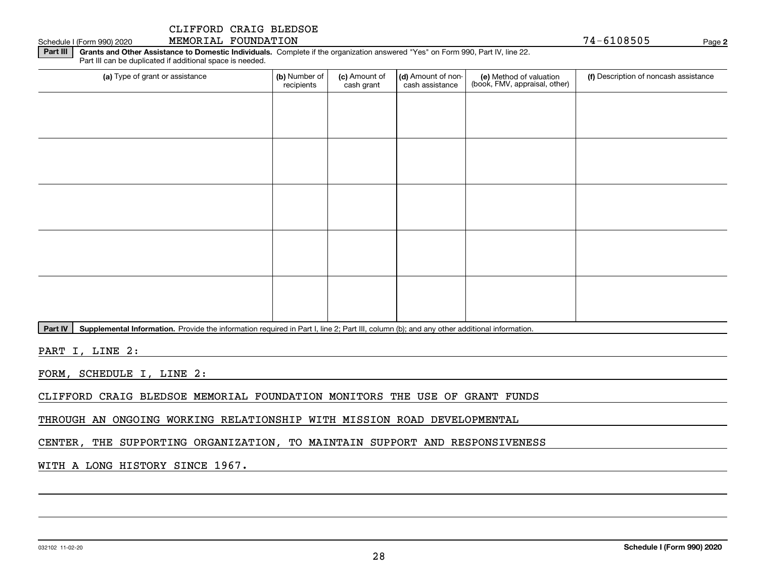Schedule I (Form 990) 2020 Page MEMORIAL FOUNDATION 74-6108505

**2**

**Part III | Grants and Other Assistance to Domestic Individuals. Complete if the organization answered "Yes" on Form 990, Part IV, line 22.** Part III can be duplicated if additional space is needed.

| (a) Type of grant or assistance | (b) Number of<br>recipients | (c) Amount of<br>cash grant | (d) Amount of non-<br>cash assistance | (e) Method of valuation<br>(book, FMV, appraisal, other) | (f) Description of noncash assistance |
|---------------------------------|-----------------------------|-----------------------------|---------------------------------------|----------------------------------------------------------|---------------------------------------|
|                                 |                             |                             |                                       |                                                          |                                       |
|                                 |                             |                             |                                       |                                                          |                                       |
|                                 |                             |                             |                                       |                                                          |                                       |
|                                 |                             |                             |                                       |                                                          |                                       |
|                                 |                             |                             |                                       |                                                          |                                       |
|                                 |                             |                             |                                       |                                                          |                                       |
|                                 |                             |                             |                                       |                                                          |                                       |
|                                 |                             |                             |                                       |                                                          |                                       |
|                                 |                             |                             |                                       |                                                          |                                       |
|                                 |                             |                             |                                       |                                                          |                                       |

Part IV | Supplemental Information. Provide the information required in Part I, line 2; Part III, column (b); and any other additional information.

PART I, LINE 2:

FORM, SCHEDULE I, LINE 2:

CLIFFORD CRAIG BLEDSOE MEMORIAL FOUNDATION MONITORS THE USE OF GRANT FUNDS

THROUGH AN ONGOING WORKING RELATIONSHIP WITH MISSION ROAD DEVELOPMENTAL

CENTER, THE SUPPORTING ORGANIZATION, TO MAINTAIN SUPPORT AND RESPONSIVENESS

WITH A LONG HISTORY SINCE 1967.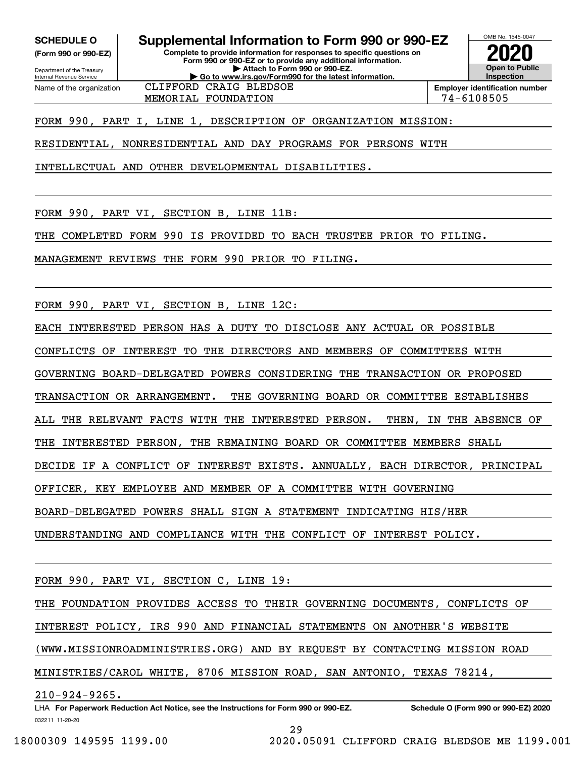**(Form 990 or 990-EZ)**

Department of the Treasury Internal Revenue Service Name of the organization

# **SCHEDULE O Supplemental Information to Form 990 or 990-EZ**

**Complete to provide information for responses to specific questions on Form 990 or 990-EZ or to provide any additional information. | Attach to Form 990 or 990-EZ. | Go to www.irs.gov/Form990 for the latest information.** CLIFFORD CRAIG BLEDSOE



MEMORIAL FOUNDATION 74-6108505

FORM 990, PART I, LINE 1, DESCRIPTION OF ORGANIZATION MISSION:

RESIDENTIAL, NONRESIDENTIAL AND DAY PROGRAMS FOR PERSONS WITH

INTELLECTUAL AND OTHER DEVELOPMENTAL DISABILITIES.

FORM 990, PART VI, SECTION B, LINE 11B:

THE COMPLETED FORM 990 IS PROVIDED TO EACH TRUSTEE PRIOR TO FILING.

MANAGEMENT REVIEWS THE FORM 990 PRIOR TO FILING.

FORM 990, PART VI, SECTION B, LINE 12C:

EACH INTERESTED PERSON HAS A DUTY TO DISCLOSE ANY ACTUAL OR POSSIBLE

CONFLICTS OF INTEREST TO THE DIRECTORS AND MEMBERS OF COMMITTEES WITH

GOVERNING BOARD-DELEGATED POWERS CONSIDERING THE TRANSACTION OR PROPOSED

TRANSACTION OR ARRANGEMENT. THE GOVERNING BOARD OR COMMITTEE ESTABLISHES

ALL THE RELEVANT FACTS WITH THE INTERESTED PERSON. THEN, IN THE ABSENCE OF

THE INTERESTED PERSON, THE REMAINING BOARD OR COMMITTEE MEMBERS SHALL

DECIDE IF A CONFLICT OF INTEREST EXISTS. ANNUALLY, EACH DIRECTOR, PRINCIPAL

OFFICER, KEY EMPLOYEE AND MEMBER OF A COMMITTEE WITH GOVERNING

BOARD-DELEGATED POWERS SHALL SIGN A STATEMENT INDICATING HIS/HER

UNDERSTANDING AND COMPLIANCE WITH THE CONFLICT OF INTEREST POLICY.

FORM 990, PART VI, SECTION C, LINE 19:

THE FOUNDATION PROVIDES ACCESS TO THEIR GOVERNING DOCUMENTS, CONFLICTS OF

INTEREST POLICY, IRS 990 AND FINANCIAL STATEMENTS ON ANOTHER'S WEBSITE

(WWW.MISSIONROADMINISTRIES.ORG) AND BY REQUEST BY CONTACTING MISSION ROAD

MINISTRIES/CAROL WHITE, 8706 MISSION ROAD, SAN ANTONIO, TEXAS 78214,

210-924-9265.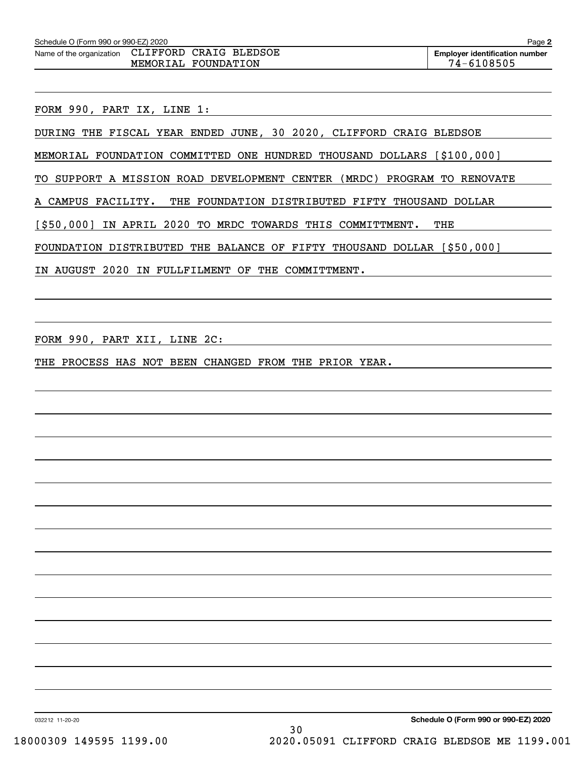FORM 990, PART IX, LINE 1:

DURING THE FISCAL YEAR ENDED JUNE, 30 2020, CLIFFORD CRAIG BLEDSOE

MEMORIAL FOUNDATION COMMITTED ONE HUNDRED THOUSAND DOLLARS [\$100,000]

TO SUPPORT A MISSION ROAD DEVELOPMENT CENTER (MRDC) PROGRAM TO RENOVATE

A CAMPUS FACILITY. THE FOUNDATION DISTRIBUTED FIFTY THOUSAND DOLLAR

[\$50,000] IN APRIL 2020 TO MRDC TOWARDS THIS COMMITTMENT. THE

FOUNDATION DISTRIBUTED THE BALANCE OF FIFTY THOUSAND DOLLAR [\$50,000]

IN AUGUST 2020 IN FULLFILMENT OF THE COMMITTMENT.

FORM 990, PART XII, LINE 2C:

THE PROCESS HAS NOT BEEN CHANGED FROM THE PRIOR YEAR.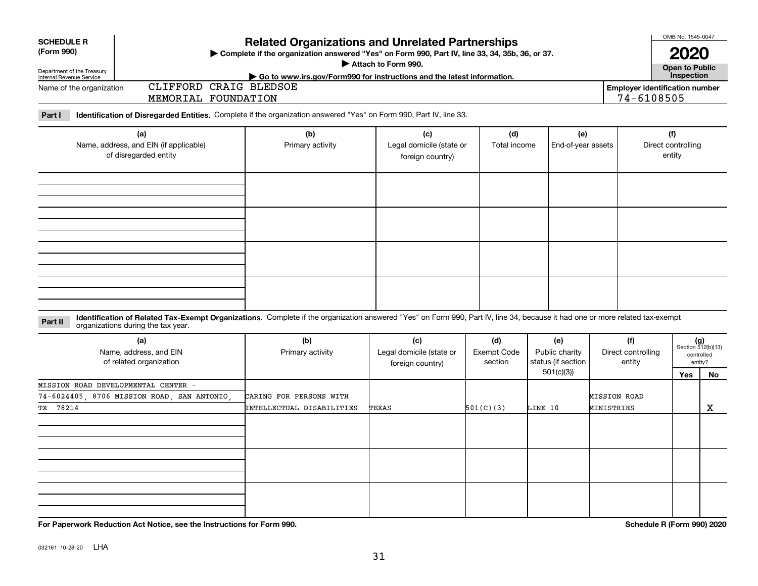| <b>SCHEDULE R</b><br>(Form 990)<br>Department of the Treasury<br>Internal Revenue Service<br>Name of the organization        | CLIFFORD CRAIG BLEDSOE                                                 | <b>Related Organizations and Unrelated Partnerships</b><br>> Complete if the organization answered "Yes" on Form 990, Part IV, line 33, 34, 35b, 36, or 37.<br>Attach to Form 990.<br>Go to www.irs.gov/Form990 for instructions and the latest information. |                                                     |                     |                           |                                                     |  |  |  |  |  |  |
|------------------------------------------------------------------------------------------------------------------------------|------------------------------------------------------------------------|--------------------------------------------------------------------------------------------------------------------------------------------------------------------------------------------------------------------------------------------------------------|-----------------------------------------------------|---------------------|---------------------------|-----------------------------------------------------|--|--|--|--|--|--|
|                                                                                                                              | <b>MEMORIAL</b>                                                        | FOUNDATION                                                                                                                                                                                                                                                   |                                                     |                     |                           | <b>Employer identification number</b><br>74-6108505 |  |  |  |  |  |  |
| Identification of Disregarded Entities. Complete if the organization answered "Yes" on Form 990, Part IV, line 33.<br>Part I |                                                                        |                                                                                                                                                                                                                                                              |                                                     |                     |                           |                                                     |  |  |  |  |  |  |
|                                                                                                                              | (a)<br>Name, address, and EIN (if applicable)<br>of disregarded entity | (b)<br>Primary activity                                                                                                                                                                                                                                      | (c)<br>Legal domicile (state or<br>foreign country) | (d)<br>Total income | (e)<br>End-of-year assets | (f)<br>Direct controlling<br>entity                 |  |  |  |  |  |  |
|                                                                                                                              |                                                                        |                                                                                                                                                                                                                                                              |                                                     |                     |                           |                                                     |  |  |  |  |  |  |
|                                                                                                                              |                                                                        |                                                                                                                                                                                                                                                              |                                                     |                     |                           |                                                     |  |  |  |  |  |  |
|                                                                                                                              |                                                                        |                                                                                                                                                                                                                                                              |                                                     |                     |                           |                                                     |  |  |  |  |  |  |
|                                                                                                                              |                                                                        |                                                                                                                                                                                                                                                              |                                                     |                     |                           |                                                     |  |  |  |  |  |  |

#### **Identification of Related Tax-Exempt Organizations.** Complete if the organization answered "Yes" on Form 990, Part IV, line 34, because it had one or more related tax-exempt **Part II** organizations during the tax year.

| (a)<br>Name, address, and EIN<br>of related organization | (b)<br>Primary activity   | (c)<br>Legal domicile (state or<br>foreign country) | (d)<br>(e)<br>Exempt Code<br>Public charity<br>status (if section<br>section |            | (f)<br>Direct controlling<br>entity |     | $(g)$<br>Section 512(b)(13)<br>controlled<br>entity? |
|----------------------------------------------------------|---------------------------|-----------------------------------------------------|------------------------------------------------------------------------------|------------|-------------------------------------|-----|------------------------------------------------------|
|                                                          |                           |                                                     |                                                                              | 501(c)(3)) |                                     | Yes | No                                                   |
| MISSION ROAD DEVELOPMENTAL CENTER -                      |                           |                                                     |                                                                              |            |                                     |     |                                                      |
| 74-6024405, 8706 MISSION ROAD, SAN ANTONIO,              | CARING FOR PERSONS WITH   |                                                     |                                                                              |            | <b>MISSION ROAD</b>                 |     |                                                      |
| TX 78214                                                 | INTELLECTUAL DISABILITIES | TEXAS                                               | 501(C)(3)                                                                    | LINE 10    | MINISTRIES                          |     | X                                                    |
|                                                          |                           |                                                     |                                                                              |            |                                     |     |                                                      |
|                                                          |                           |                                                     |                                                                              |            |                                     |     |                                                      |
|                                                          |                           |                                                     |                                                                              |            |                                     |     |                                                      |

**For Paperwork Reduction Act Notice, see the Instructions for Form 990. Schedule R (Form 990) 2020**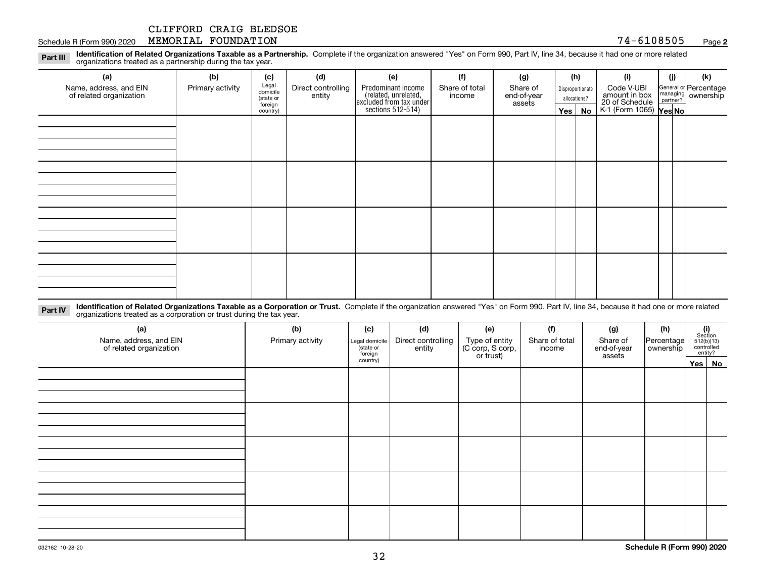#### Schedule R (Form 990) 2020 Page MEMORIAL FOUNDATION 74-6108505

**2**

**Identification of Related Organizations Taxable as a Partnership.** Complete if the organization answered "Yes" on Form 990, Part IV, line 34, because it had one or more related **Part III** organizations treated as a partnership during the tax year.

| (a)                                               | (b)              | (c)                  | (d)                          | (e)                                                                 | (f)                      | (g)                     | (h)              | (i)                                      | (j) | (k)                   |
|---------------------------------------------------|------------------|----------------------|------------------------------|---------------------------------------------------------------------|--------------------------|-------------------------|------------------|------------------------------------------|-----|-----------------------|
| Name, address, and EIN<br>of related organization | Primary activity | Legal<br>domicile    | Direct controlling<br>entity | Predominant income                                                  | Share of total<br>income | Share of<br>end-of-year | Disproportionate | Code V-UBI<br>amount in box              |     | General or Percentage |
|                                                   |                  | (state or<br>foreign |                              | related, unrelated,<br>excluded from tax under<br>sections 512-514) |                          | assets                  | allocations?     | 20 of Schedule<br>K-1 (Form 1065) Yes No |     | managing ownership    |
|                                                   |                  | country)             |                              |                                                                     |                          |                         | $Yes \mid No$    |                                          |     |                       |
|                                                   |                  |                      |                              |                                                                     |                          |                         |                  |                                          |     |                       |
|                                                   |                  |                      |                              |                                                                     |                          |                         |                  |                                          |     |                       |
|                                                   |                  |                      |                              |                                                                     |                          |                         |                  |                                          |     |                       |
|                                                   |                  |                      |                              |                                                                     |                          |                         |                  |                                          |     |                       |
|                                                   |                  |                      |                              |                                                                     |                          |                         |                  |                                          |     |                       |
|                                                   |                  |                      |                              |                                                                     |                          |                         |                  |                                          |     |                       |
|                                                   |                  |                      |                              |                                                                     |                          |                         |                  |                                          |     |                       |
|                                                   |                  |                      |                              |                                                                     |                          |                         |                  |                                          |     |                       |
|                                                   |                  |                      |                              |                                                                     |                          |                         |                  |                                          |     |                       |
|                                                   |                  |                      |                              |                                                                     |                          |                         |                  |                                          |     |                       |
|                                                   |                  |                      |                              |                                                                     |                          |                         |                  |                                          |     |                       |
|                                                   |                  |                      |                              |                                                                     |                          |                         |                  |                                          |     |                       |
|                                                   |                  |                      |                              |                                                                     |                          |                         |                  |                                          |     |                       |
|                                                   |                  |                      |                              |                                                                     |                          |                         |                  |                                          |     |                       |
|                                                   |                  |                      |                              |                                                                     |                          |                         |                  |                                          |     |                       |
|                                                   |                  |                      |                              |                                                                     |                          |                         |                  |                                          |     |                       |
|                                                   |                  |                      |                              |                                                                     |                          |                         |                  |                                          |     |                       |

**Identification of Related Organizations Taxable as a Corporation or Trust.** Complete if the organization answered "Yes" on Form 990, Part IV, line 34, because it had one or more related **Part IV** organizations treated as a corporation or trust during the tax year.

| (a)<br>Name, address, and EIN<br>of related organization | (b)<br>Primary activity | (c)<br>Legal domicile<br>state or<br>foreign | (d)<br>Direct controlling<br>entity | (e)<br>Type of entity<br>(C corp, S corp,<br>or trust) | (f)<br>Share of total<br>income | (g)<br>Share of<br>end-of-year<br>assets | (h)<br>Percentage<br>ownership | $(i)$ Section<br>512(b)(13)<br>controlled<br>entity? |  |
|----------------------------------------------------------|-------------------------|----------------------------------------------|-------------------------------------|--------------------------------------------------------|---------------------------------|------------------------------------------|--------------------------------|------------------------------------------------------|--|
|                                                          |                         | country)                                     |                                     |                                                        |                                 |                                          |                                | Yes No                                               |  |
|                                                          |                         |                                              |                                     |                                                        |                                 |                                          |                                |                                                      |  |
|                                                          |                         |                                              |                                     |                                                        |                                 |                                          |                                |                                                      |  |
|                                                          |                         |                                              |                                     |                                                        |                                 |                                          |                                |                                                      |  |
|                                                          |                         |                                              |                                     |                                                        |                                 |                                          |                                |                                                      |  |
|                                                          |                         |                                              |                                     |                                                        |                                 |                                          |                                |                                                      |  |
|                                                          |                         |                                              |                                     |                                                        |                                 |                                          |                                |                                                      |  |
|                                                          |                         |                                              |                                     |                                                        |                                 |                                          |                                |                                                      |  |
|                                                          |                         |                                              |                                     |                                                        |                                 |                                          |                                |                                                      |  |
|                                                          |                         |                                              |                                     |                                                        |                                 |                                          |                                |                                                      |  |
|                                                          |                         |                                              |                                     |                                                        |                                 |                                          |                                |                                                      |  |
|                                                          |                         |                                              |                                     |                                                        |                                 |                                          |                                |                                                      |  |
|                                                          |                         |                                              |                                     |                                                        |                                 |                                          |                                |                                                      |  |
|                                                          |                         |                                              |                                     |                                                        |                                 |                                          |                                |                                                      |  |
|                                                          |                         |                                              |                                     |                                                        |                                 |                                          |                                |                                                      |  |
|                                                          |                         |                                              |                                     |                                                        |                                 |                                          |                                |                                                      |  |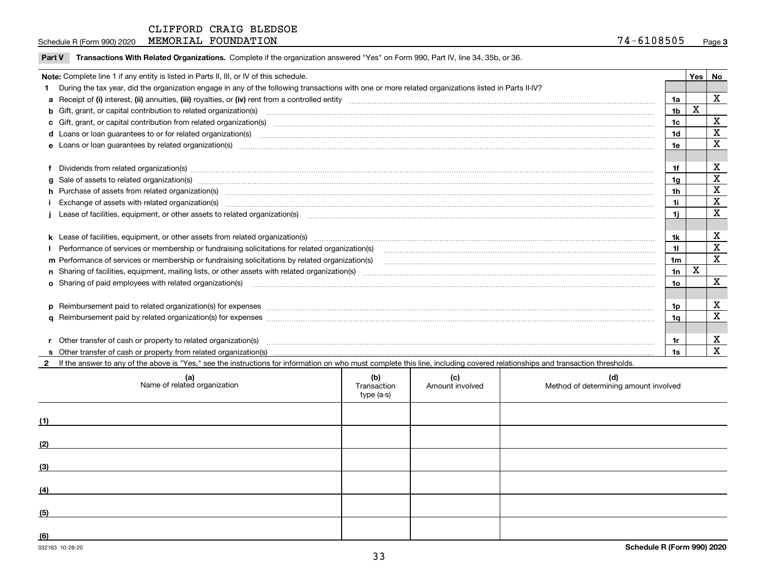**Part V** T**ransactions With Related Organizations.** Complete if the organization answered "Yes" on Form 990, Part IV, line 34, 35b, or 36.

| Note: Complete line 1 if any entity is listed in Parts II, III, or IV of this schedule. |                                                                                                                                                                                                                                |                 |   |                           |  |  |  |
|-----------------------------------------------------------------------------------------|--------------------------------------------------------------------------------------------------------------------------------------------------------------------------------------------------------------------------------|-----------------|---|---------------------------|--|--|--|
|                                                                                         | During the tax year, did the organization engage in any of the following transactions with one or more related organizations listed in Parts II-IV?                                                                            |                 |   |                           |  |  |  |
|                                                                                         |                                                                                                                                                                                                                                | 1a              |   | $\mathbf{x}$              |  |  |  |
|                                                                                         | b Gift, grant, or capital contribution to related organization(s) manufaction contracts and contribution to related organization(s) manufaction contribution to related organization(s)                                        | 1 <sub>b</sub>  | X |                           |  |  |  |
|                                                                                         |                                                                                                                                                                                                                                | 1 <sub>c</sub>  |   | X                         |  |  |  |
|                                                                                         |                                                                                                                                                                                                                                | 1 <sub>d</sub>  |   | X                         |  |  |  |
|                                                                                         |                                                                                                                                                                                                                                | 1e              |   | X                         |  |  |  |
|                                                                                         |                                                                                                                                                                                                                                |                 |   |                           |  |  |  |
|                                                                                         | Dividends from related organization(s) www.andron.com/www.andron.com/www.andron.com/www.andron.com/www.andron.com/www.andron.com/www.andron.com/www.andron.com/www.andron.com/www.andron.com/www.andron.com/www.andron.com/www | 1f              |   | X                         |  |  |  |
| a                                                                                       | Sale of assets to related organization(s) material contents and content and content to the state of assets to related organization(s) material content of the set of assets to related organization(s) material content of the | 1 <sub>q</sub>  |   | $\mathbf X$               |  |  |  |
|                                                                                         | h Purchase of assets from related organization(s) manufactured content to content the content of the content of the content of the content of the content of the content of the content of the content of the content of the c | 1 <sub>h</sub>  |   | X                         |  |  |  |
|                                                                                         | Exchange of assets with related organization(s) www.walescommunity.com/walescommunity/walescommunity/walescommunity/walescommunity/walescommunity/walescommunity/walescommunity/walescommunity/walescommunity/walescommunity/w | 1i              |   | $\mathbf x$               |  |  |  |
|                                                                                         | Lease of facilities, equipment, or other assets to related organization(s) manufactured content and content and content and content and content and content and content and content and content and content and content and co | 1i.             |   | X                         |  |  |  |
|                                                                                         |                                                                                                                                                                                                                                |                 |   |                           |  |  |  |
|                                                                                         |                                                                                                                                                                                                                                | 1k              |   | $\boldsymbol{\mathrm{X}}$ |  |  |  |
|                                                                                         |                                                                                                                                                                                                                                | 11              |   | $\mathbf x$               |  |  |  |
|                                                                                         |                                                                                                                                                                                                                                | 1 <sub>m</sub>  |   | $\mathbf x$               |  |  |  |
|                                                                                         |                                                                                                                                                                                                                                | 1n              | X |                           |  |  |  |
|                                                                                         | <b>o</b> Sharing of paid employees with related organization(s)                                                                                                                                                                | 10 <sub>o</sub> |   | $\mathbf{x}$              |  |  |  |
|                                                                                         |                                                                                                                                                                                                                                |                 |   |                           |  |  |  |
|                                                                                         |                                                                                                                                                                                                                                | 1p              |   | X                         |  |  |  |
|                                                                                         |                                                                                                                                                                                                                                | 1q              |   | X                         |  |  |  |
|                                                                                         |                                                                                                                                                                                                                                |                 |   |                           |  |  |  |
|                                                                                         | r Other transfer of cash or property to related organization(s)                                                                                                                                                                | 1r              |   | X                         |  |  |  |
|                                                                                         |                                                                                                                                                                                                                                | 1s              |   | $\mathbf{x}$              |  |  |  |
|                                                                                         | 2 If the answer to any of the above is "Yes," see the instructions for information on who must complete this line, including covered relationships and transaction thresholds.                                                 |                 |   |                           |  |  |  |

| (a)<br>Name of related organization | (b)<br>Transaction<br>type (a-s) | (c)<br>Amount involved | (d)<br>Method of determining amount involved |
|-------------------------------------|----------------------------------|------------------------|----------------------------------------------|
| (1)                                 |                                  |                        |                                              |
| (2)                                 |                                  |                        |                                              |
| (3)                                 |                                  |                        |                                              |
| (4)                                 |                                  |                        |                                              |
| (5)                                 |                                  |                        |                                              |
| (6)                                 |                                  |                        |                                              |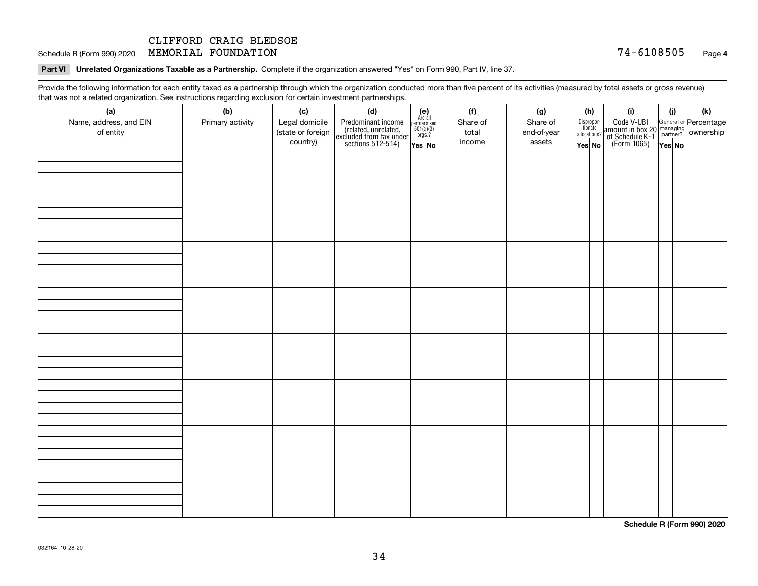Schedule R (Form 990) 2020 Page MEMORIAL FOUNDATION 74-6108505

**Part VI Unrelated Organizations Taxable as a Partnership. Complete if the organization answered "Yes" on Form 990, Part IV, line 37.** 

Provide the following information for each entity taxed as a partnership through which the organization conducted more than five percent of its activities (measured by total assets or gross revenue) that was not a related organization. See instructions regarding exclusion for certain investment partnerships.

| (a)<br>Name, address, and EIN<br>of entity | . - ອ---<br>----- <del>-</del> --------<br>(b)<br>Primary activity | (c)<br>Legal domicile<br>(state or foreign<br>country) | (d)<br>Predominant income<br>(related, unrelated,<br>excluded from tax under<br>sections 512-514) | (e)<br>Are all<br>partners sec.<br>$501(c)(3)$<br>orgs.?<br>Yes No | (f)<br>Share of<br>total<br>income | (g)<br>Share of<br>end-of-year<br>assets | allocations?<br>Yes No | (h)<br>Dispropor-<br>tionate | (i)<br>Code V-UBI<br>amount in box 20 managing<br>of Schedule K-1<br>(Form 1065)<br>$\overline{Yes}$ No | (i)<br>Yes No | (k) |
|--------------------------------------------|--------------------------------------------------------------------|--------------------------------------------------------|---------------------------------------------------------------------------------------------------|--------------------------------------------------------------------|------------------------------------|------------------------------------------|------------------------|------------------------------|---------------------------------------------------------------------------------------------------------|---------------|-----|
|                                            |                                                                    |                                                        |                                                                                                   |                                                                    |                                    |                                          |                        |                              |                                                                                                         |               |     |
|                                            |                                                                    |                                                        |                                                                                                   |                                                                    |                                    |                                          |                        |                              |                                                                                                         |               |     |
|                                            |                                                                    |                                                        |                                                                                                   |                                                                    |                                    |                                          |                        |                              |                                                                                                         |               |     |
|                                            |                                                                    |                                                        |                                                                                                   |                                                                    |                                    |                                          |                        |                              |                                                                                                         |               |     |
|                                            |                                                                    |                                                        |                                                                                                   |                                                                    |                                    |                                          |                        |                              |                                                                                                         |               |     |
|                                            |                                                                    |                                                        |                                                                                                   |                                                                    |                                    |                                          |                        |                              |                                                                                                         |               |     |
|                                            |                                                                    |                                                        |                                                                                                   |                                                                    |                                    |                                          |                        |                              |                                                                                                         |               |     |
|                                            |                                                                    |                                                        |                                                                                                   |                                                                    |                                    |                                          |                        |                              |                                                                                                         |               |     |

**Schedule R (Form 990) 2020**